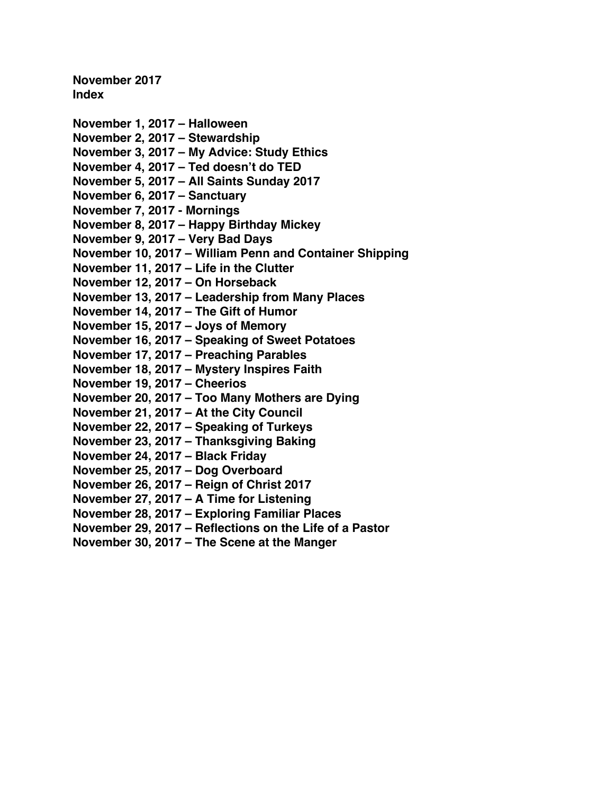**November 2017 Index**

**[November 1, 2017](#page-1-0) – Halloween [November 2, 2017 –](#page-3-0) Stewardship November 3, 2017 – [My Advice: Study Ethics](#page-5-0) November 4, 2017 – [Ted doesn't do TED](#page-7-0) November 5, 2017 – [All Saints Sunday 2017](#page-9-0) [November 6, 2017 –](#page-11-0) Sanctuary [November](#page-13-0) 7, 2017 - Mornings November 8, 2017 – [Happy Birthday Mickey](#page-15-0) [November 9, 2017 –](#page-17-0) Very Bad Days November 10, 2017 – [William Penn and Container Shipping](#page-19-0) [November 11, 2017 –](#page-21-0) Life in the Clutter [November 12, 2017 –](#page-23-0) On Horseback November 13, 2017 – [Leadership from Many Places](#page-25-0) [November 14, 2017 –](#page-28-0) The Gift of Humor [November 15, 2017 –](#page-30-0) Joys of Memory November 16, 2017 – [Speaking of Sweet Potatoes](#page-32-0) [November 17, 2017 –](#page-34-0) Preaching Parables November 18, 2017 – [Mystery Inspires Faith](#page-36-0) [November 19, 2017 –](#page-38-0) Cheerios November 20, 2017 – [Too Many Mothers are Dying](#page-40-0) [November 21, 2017 –](#page-42-0) At the City Council [November 22, 2017 –](#page-44-0) Speaking of Turkeys [November 23, 2017 –](#page-46-0) Thanksgiving Baking [November 24, 2017 –](#page-48-0) Black Friday [November 25, 2017 –](#page-50-0) Dog Overboard [November 26, 2017 –](#page-52-0) Reign of Christ 2017 [November 27, 2017 –](#page-54-0) A Time for Listening November 28, 2017 – [Exploring Familiar Places](#page-56-0) November 29, 2017 – [Reflections on the Life of a Pastor](#page-58-0)**

**November 30, 2017 – [The Scene at the Manger](#page-60-0)**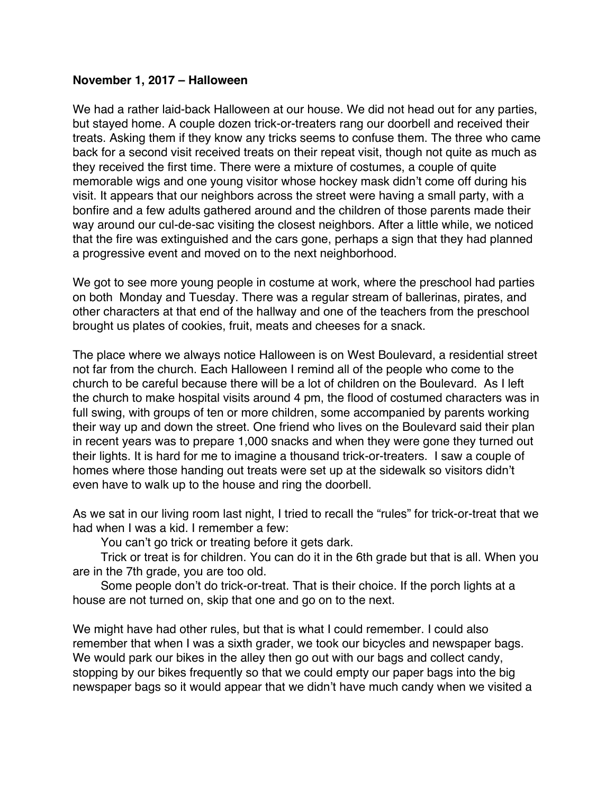### <span id="page-1-0"></span>**November 1, 2017 – Halloween**

We had a rather laid-back Halloween at our house. We did not head out for any parties, but stayed home. A couple dozen trick-or-treaters rang our doorbell and received their treats. Asking them if they know any tricks seems to confuse them. The three who came back for a second visit received treats on their repeat visit, though not quite as much as they received the first time. There were a mixture of costumes, a couple of quite memorable wigs and one young visitor whose hockey mask didn't come off during his visit. It appears that our neighbors across the street were having a small party, with a bonfire and a few adults gathered around and the children of those parents made their way around our cul-de-sac visiting the closest neighbors. After a little while, we noticed that the fire was extinguished and the cars gone, perhaps a sign that they had planned a progressive event and moved on to the next neighborhood.

We got to see more young people in costume at work, where the preschool had parties on both Monday and Tuesday. There was a regular stream of ballerinas, pirates, and other characters at that end of the hallway and one of the teachers from the preschool brought us plates of cookies, fruit, meats and cheeses for a snack.

The place where we always notice Halloween is on West Boulevard, a residential street not far from the church. Each Halloween I remind all of the people who come to the church to be careful because there will be a lot of children on the Boulevard. As I left the church to make hospital visits around 4 pm, the flood of costumed characters was in full swing, with groups of ten or more children, some accompanied by parents working their way up and down the street. One friend who lives on the Boulevard said their plan in recent years was to prepare 1,000 snacks and when they were gone they turned out their lights. It is hard for me to imagine a thousand trick-or-treaters. I saw a couple of homes where those handing out treats were set up at the sidewalk so visitors didn't even have to walk up to the house and ring the doorbell.

As we sat in our living room last night, I tried to recall the "rules" for trick-or-treat that we had when I was a kid. I remember a few:

You can't go trick or treating before it gets dark.

Trick or treat is for children. You can do it in the 6th grade but that is all. When you are in the 7th grade, you are too old.

Some people don't do trick-or-treat. That is their choice. If the porch lights at a house are not turned on, skip that one and go on to the next.

We might have had other rules, but that is what I could remember. I could also remember that when I was a sixth grader, we took our bicycles and newspaper bags. We would park our bikes in the alley then go out with our bags and collect candy, stopping by our bikes frequently so that we could empty our paper bags into the big newspaper bags so it would appear that we didn't have much candy when we visited a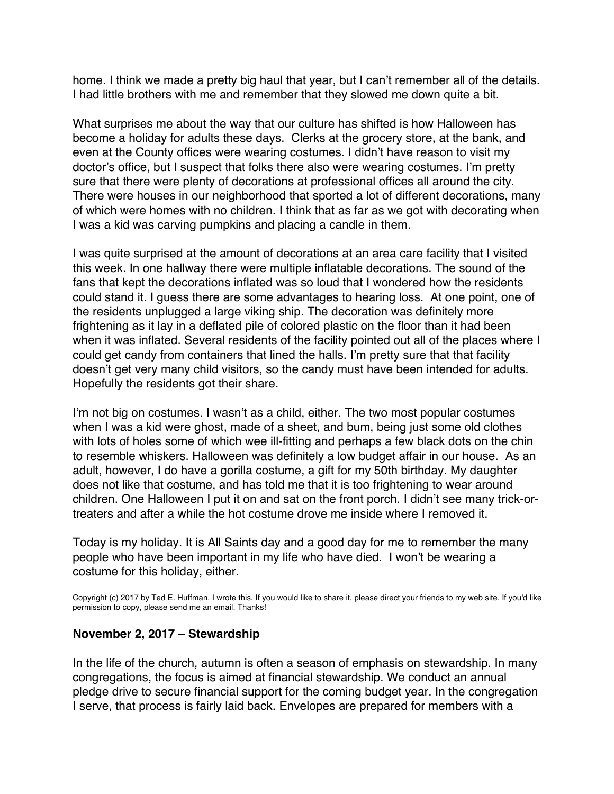home. I think we made a pretty big haul that year, but I can't remember all of the details. I had little brothers with me and remember that they slowed me down quite a bit.

What surprises me about the way that our culture has shifted is how Halloween has become a holiday for adults these days. Clerks at the grocery store, at the bank, and even at the County offices were wearing costumes. I didn't have reason to visit my doctor's office, but I suspect that folks there also were wearing costumes. I'm pretty sure that there were plenty of decorations at professional offices all around the city. There were houses in our neighborhood that sported a lot of different decorations, many of which were homes with no children. I think that as far as we got with decorating when I was a kid was carving pumpkins and placing a candle in them.

I was quite surprised at the amount of decorations at an area care facility that I visited this week. In one hallway there were multiple inflatable decorations. The sound of the fans that kept the decorations inflated was so loud that I wondered how the residents could stand it. I guess there are some advantages to hearing loss. At one point, one of the residents unplugged a large viking ship. The decoration was definitely more frightening as it lay in a deflated pile of colored plastic on the floor than it had been when it was inflated. Several residents of the facility pointed out all of the places where I could get candy from containers that lined the halls. I'm pretty sure that that facility doesn't get very many child visitors, so the candy must have been intended for adults. Hopefully the residents got their share.

I'm not big on costumes. I wasn't as a child, either. The two most popular costumes when I was a kid were ghost, made of a sheet, and bum, being just some old clothes with lots of holes some of which wee ill-fitting and perhaps a few black dots on the chin to resemble whiskers. Halloween was definitely a low budget affair in our house. As an adult, however, I do have a gorilla costume, a gift for my 50th birthday. My daughter does not like that costume, and has told me that it is too frightening to wear around children. One Halloween I put it on and sat on the front porch. I didn't see many trick-ortreaters and after a while the hot costume drove me inside where I removed it.

Today is my holiday. It is All Saints day and a good day for me to remember the many people who have been important in my life who have died. I won't be wearing a costume for this holiday, either.

Copyright (c) 2017 by Ted E. Huffman. I wrote this. If you would like to share it, please direct your friends to my web site. If you'd like permission to copy, please send me an email. Thanks!

# **November 2, 2017 – Stewardship**

In the life of the church, autumn is often a season of emphasis on stewardship. In many congregations, the focus is aimed at financial stewardship. We conduct an annual pledge drive to secure financial support for the coming budget year. In the congregation I serve, that process is fairly laid back. Envelopes are prepared for members with a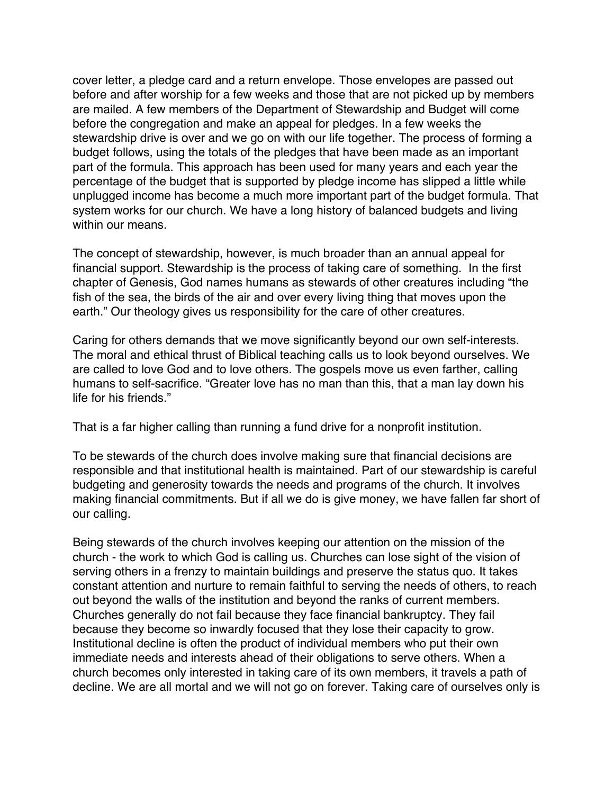<span id="page-3-0"></span>cover letter, a pledge card and a return envelope. Those envelopes are passed out before and after worship for a few weeks and those that are not picked up by members are mailed. A few members of the Department of Stewardship and Budget will come before the congregation and make an appeal for pledges. In a few weeks the stewardship drive is over and we go on with our life together. The process of forming a budget follows, using the totals of the pledges that have been made as an important part of the formula. This approach has been used for many years and each year the percentage of the budget that is supported by pledge income has slipped a little while unplugged income has become a much more important part of the budget formula. That system works for our church. We have a long history of balanced budgets and living within our means.

The concept of stewardship, however, is much broader than an annual appeal for financial support. Stewardship is the process of taking care of something. In the first chapter of Genesis, God names humans as stewards of other creatures including "the fish of the sea, the birds of the air and over every living thing that moves upon the earth." Our theology gives us responsibility for the care of other creatures.

Caring for others demands that we move significantly beyond our own self-interests. The moral and ethical thrust of Biblical teaching calls us to look beyond ourselves. We are called to love God and to love others. The gospels move us even farther, calling humans to self-sacrifice. "Greater love has no man than this, that a man lay down his life for his friends."

That is a far higher calling than running a fund drive for a nonprofit institution.

To be stewards of the church does involve making sure that financial decisions are responsible and that institutional health is maintained. Part of our stewardship is careful budgeting and generosity towards the needs and programs of the church. It involves making financial commitments. But if all we do is give money, we have fallen far short of our calling.

Being stewards of the church involves keeping our attention on the mission of the church - the work to which God is calling us. Churches can lose sight of the vision of serving others in a frenzy to maintain buildings and preserve the status quo. It takes constant attention and nurture to remain faithful to serving the needs of others, to reach out beyond the walls of the institution and beyond the ranks of current members. Churches generally do not fail because they face financial bankruptcy. They fail because they become so inwardly focused that they lose their capacity to grow. Institutional decline is often the product of individual members who put their own immediate needs and interests ahead of their obligations to serve others. When a church becomes only interested in taking care of its own members, it travels a path of decline. We are all mortal and we will not go on forever. Taking care of ourselves only is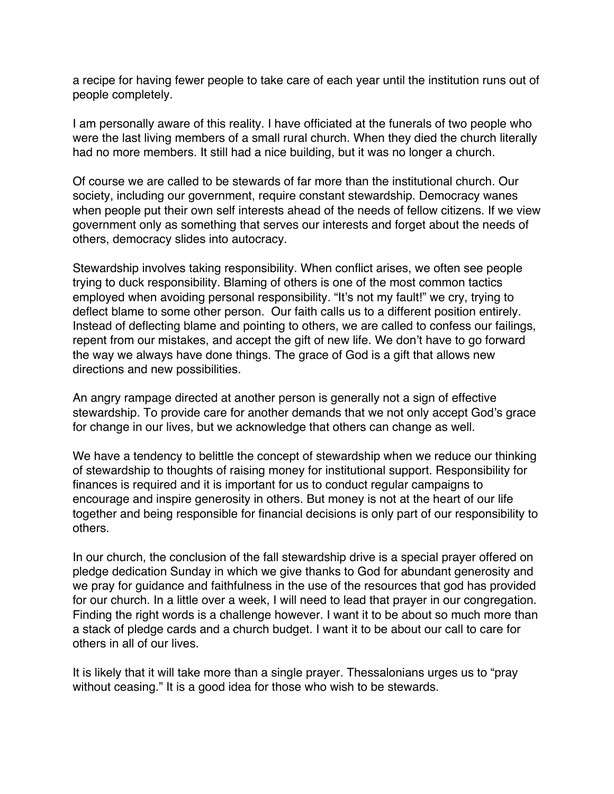a recipe for having fewer people to take care of each year until the institution runs out of people completely.

I am personally aware of this reality. I have officiated at the funerals of two people who were the last living members of a small rural church. When they died the church literally had no more members. It still had a nice building, but it was no longer a church.

Of course we are called to be stewards of far more than the institutional church. Our society, including our government, require constant stewardship. Democracy wanes when people put their own self interests ahead of the needs of fellow citizens. If we view government only as something that serves our interests and forget about the needs of others, democracy slides into autocracy.

Stewardship involves taking responsibility. When conflict arises, we often see people trying to duck responsibility. Blaming of others is one of the most common tactics employed when avoiding personal responsibility. "It's not my fault!" we cry, trying to deflect blame to some other person. Our faith calls us to a different position entirely. Instead of deflecting blame and pointing to others, we are called to confess our failings, repent from our mistakes, and accept the gift of new life. We don't have to go forward the way we always have done things. The grace of God is a gift that allows new directions and new possibilities.

An angry rampage directed at another person is generally not a sign of effective stewardship. To provide care for another demands that we not only accept God's grace for change in our lives, but we acknowledge that others can change as well.

We have a tendency to belittle the concept of stewardship when we reduce our thinking of stewardship to thoughts of raising money for institutional support. Responsibility for finances is required and it is important for us to conduct regular campaigns to encourage and inspire generosity in others. But money is not at the heart of our life together and being responsible for financial decisions is only part of our responsibility to others.

In our church, the conclusion of the fall stewardship drive is a special prayer offered on pledge dedication Sunday in which we give thanks to God for abundant generosity and we pray for guidance and faithfulness in the use of the resources that god has provided for our church. In a little over a week, I will need to lead that prayer in our congregation. Finding the right words is a challenge however. I want it to be about so much more than a stack of pledge cards and a church budget. I want it to be about our call to care for others in all of our lives.

It is likely that it will take more than a single prayer. Thessalonians urges us to "pray without ceasing." It is a good idea for those who wish to be stewards.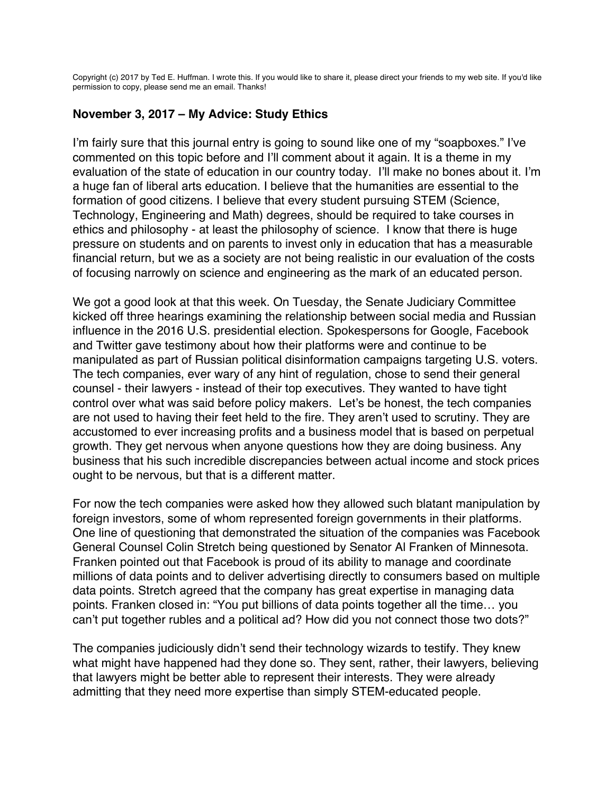<span id="page-5-0"></span>Copyright (c) 2017 by Ted E. Huffman. I wrote this. If you would like to share it, please direct your friends to my web site. If you'd like permission to copy, please send me an email. Thanks!

# **November 3, 2017 – My Advice: Study Ethics**

I'm fairly sure that this journal entry is going to sound like one of my "soapboxes." I've commented on this topic before and I'll comment about it again. It is a theme in my evaluation of the state of education in our country today. I'll make no bones about it. I'm a huge fan of liberal arts education. I believe that the humanities are essential to the formation of good citizens. I believe that every student pursuing STEM (Science, Technology, Engineering and Math) degrees, should be required to take courses in ethics and philosophy - at least the philosophy of science. I know that there is huge pressure on students and on parents to invest only in education that has a measurable financial return, but we as a society are not being realistic in our evaluation of the costs of focusing narrowly on science and engineering as the mark of an educated person.

We got a good look at that this week. On Tuesday, the Senate Judiciary Committee kicked off three hearings examining the relationship between social media and Russian influence in the 2016 U.S. presidential election. Spokespersons for Google, Facebook and Twitter gave testimony about how their platforms were and continue to be manipulated as part of Russian political disinformation campaigns targeting U.S. voters. The tech companies, ever wary of any hint of regulation, chose to send their general counsel - their lawyers - instead of their top executives. They wanted to have tight control over what was said before policy makers. Let's be honest, the tech companies are not used to having their feet held to the fire. They aren't used to scrutiny. They are accustomed to ever increasing profits and a business model that is based on perpetual growth. They get nervous when anyone questions how they are doing business. Any business that his such incredible discrepancies between actual income and stock prices ought to be nervous, but that is a different matter.

For now the tech companies were asked how they allowed such blatant manipulation by foreign investors, some of whom represented foreign governments in their platforms. One line of questioning that demonstrated the situation of the companies was Facebook General Counsel Colin Stretch being questioned by Senator Al Franken of Minnesota. Franken pointed out that Facebook is proud of its ability to manage and coordinate millions of data points and to deliver advertising directly to consumers based on multiple data points. Stretch agreed that the company has great expertise in managing data points. Franken closed in: "You put billions of data points together all the time… you can't put together rubles and a political ad? How did you not connect those two dots?"

The companies judiciously didn't send their technology wizards to testify. They knew what might have happened had they done so. They sent, rather, their lawyers, believing that lawyers might be better able to represent their interests. They were already admitting that they need more expertise than simply STEM-educated people.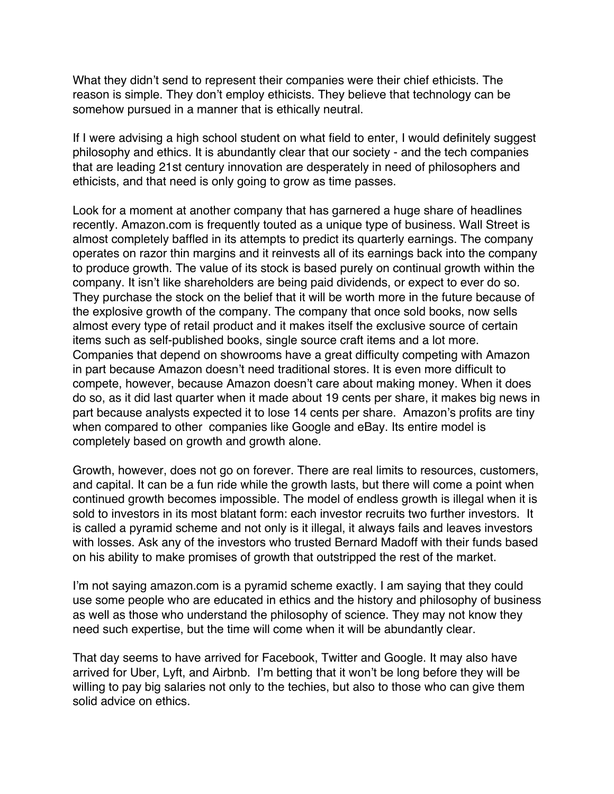What they didn't send to represent their companies were their chief ethicists. The reason is simple. They don't employ ethicists. They believe that technology can be somehow pursued in a manner that is ethically neutral.

If I were advising a high school student on what field to enter, I would definitely suggest philosophy and ethics. It is abundantly clear that our society - and the tech companies that are leading 21st century innovation are desperately in need of philosophers and ethicists, and that need is only going to grow as time passes.

Look for a moment at another company that has garnered a huge share of headlines recently. Amazon.com is frequently touted as a unique type of business. Wall Street is almost completely baffled in its attempts to predict its quarterly earnings. The company operates on razor thin margins and it reinvests all of its earnings back into the company to produce growth. The value of its stock is based purely on continual growth within the company. It isn't like shareholders are being paid dividends, or expect to ever do so. They purchase the stock on the belief that it will be worth more in the future because of the explosive growth of the company. The company that once sold books, now sells almost every type of retail product and it makes itself the exclusive source of certain items such as self-published books, single source craft items and a lot more. Companies that depend on showrooms have a great difficulty competing with Amazon in part because Amazon doesn't need traditional stores. It is even more difficult to compete, however, because Amazon doesn't care about making money. When it does do so, as it did last quarter when it made about 19 cents per share, it makes big news in part because analysts expected it to lose 14 cents per share. Amazon's profits are tiny when compared to other companies like Google and eBay. Its entire model is completely based on growth and growth alone.

Growth, however, does not go on forever. There are real limits to resources, customers, and capital. It can be a fun ride while the growth lasts, but there will come a point when continued growth becomes impossible. The model of endless growth is illegal when it is sold to investors in its most blatant form: each investor recruits two further investors. It is called a pyramid scheme and not only is it illegal, it always fails and leaves investors with losses. Ask any of the investors who trusted Bernard Madoff with their funds based on his ability to make promises of growth that outstripped the rest of the market.

I'm not saying amazon.com is a pyramid scheme exactly. I am saying that they could use some people who are educated in ethics and the history and philosophy of business as well as those who understand the philosophy of science. They may not know they need such expertise, but the time will come when it will be abundantly clear.

That day seems to have arrived for Facebook, Twitter and Google. It may also have arrived for Uber, Lyft, and Airbnb. I'm betting that it won't be long before they will be willing to pay big salaries not only to the techies, but also to those who can give them solid advice on ethics.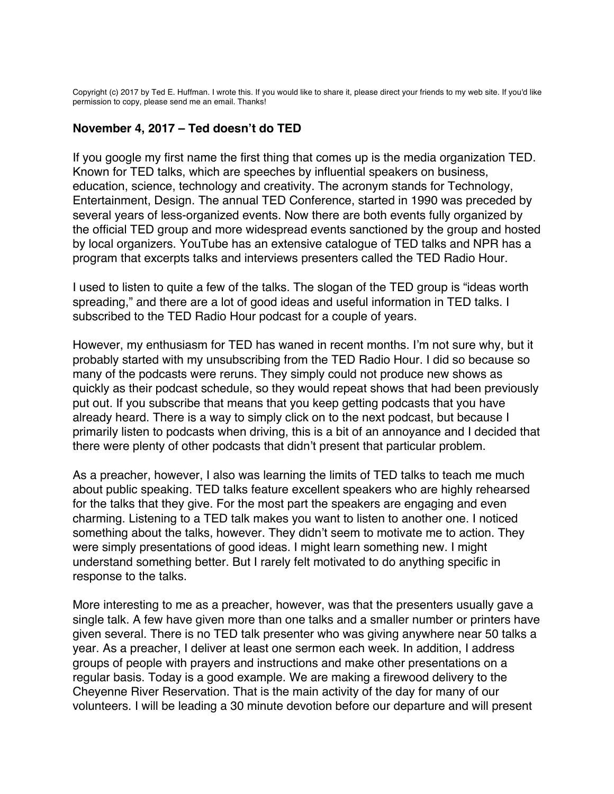<span id="page-7-0"></span>Copyright (c) 2017 by Ted E. Huffman. I wrote this. If you would like to share it, please direct your friends to my web site. If you'd like permission to copy, please send me an email. Thanks!

### **November 4, 2017 – Ted doesn't do TED**

If you google my first name the first thing that comes up is the media organization TED. Known for TED talks, which are speeches by influential speakers on business, education, science, technology and creativity. The acronym stands for Technology, Entertainment, Design. The annual TED Conference, started in 1990 was preceded by several years of less-organized events. Now there are both events fully organized by the official TED group and more widespread events sanctioned by the group and hosted by local organizers. YouTube has an extensive catalogue of TED talks and NPR has a program that excerpts talks and interviews presenters called the TED Radio Hour.

I used to listen to quite a few of the talks. The slogan of the TED group is "ideas worth spreading," and there are a lot of good ideas and useful information in TED talks. I subscribed to the TED Radio Hour podcast for a couple of years.

However, my enthusiasm for TED has waned in recent months. I'm not sure why, but it probably started with my unsubscribing from the TED Radio Hour. I did so because so many of the podcasts were reruns. They simply could not produce new shows as quickly as their podcast schedule, so they would repeat shows that had been previously put out. If you subscribe that means that you keep getting podcasts that you have already heard. There is a way to simply click on to the next podcast, but because I primarily listen to podcasts when driving, this is a bit of an annoyance and I decided that there were plenty of other podcasts that didn't present that particular problem.

As a preacher, however, I also was learning the limits of TED talks to teach me much about public speaking. TED talks feature excellent speakers who are highly rehearsed for the talks that they give. For the most part the speakers are engaging and even charming. Listening to a TED talk makes you want to listen to another one. I noticed something about the talks, however. They didn't seem to motivate me to action. They were simply presentations of good ideas. I might learn something new. I might understand something better. But I rarely felt motivated to do anything specific in response to the talks.

More interesting to me as a preacher, however, was that the presenters usually gave a single talk. A few have given more than one talks and a smaller number or printers have given several. There is no TED talk presenter who was giving anywhere near 50 talks a year. As a preacher, I deliver at least one sermon each week. In addition, I address groups of people with prayers and instructions and make other presentations on a regular basis. Today is a good example. We are making a firewood delivery to the Cheyenne River Reservation. That is the main activity of the day for many of our volunteers. I will be leading a 30 minute devotion before our departure and will present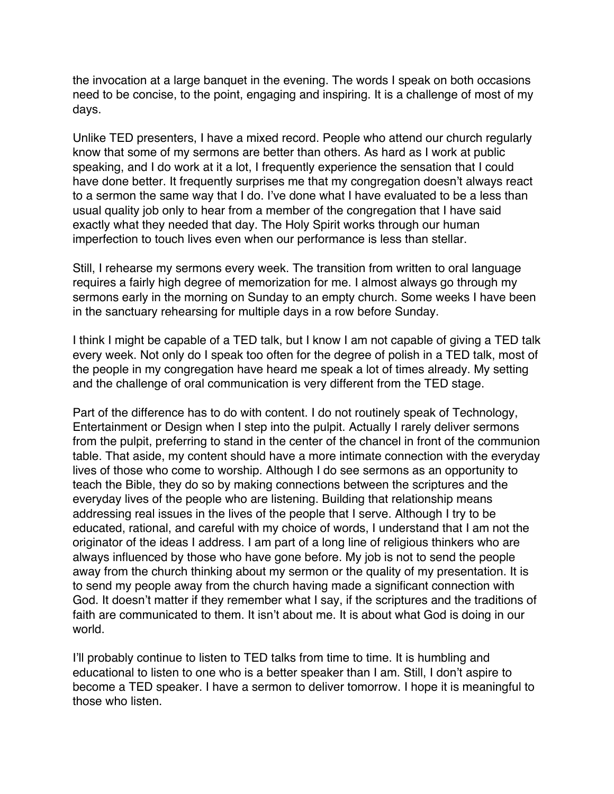the invocation at a large banquet in the evening. The words I speak on both occasions need to be concise, to the point, engaging and inspiring. It is a challenge of most of my days.

Unlike TED presenters, I have a mixed record. People who attend our church regularly know that some of my sermons are better than others. As hard as I work at public speaking, and I do work at it a lot, I frequently experience the sensation that I could have done better. It frequently surprises me that my congregation doesn't always react to a sermon the same way that I do. I've done what I have evaluated to be a less than usual quality job only to hear from a member of the congregation that I have said exactly what they needed that day. The Holy Spirit works through our human imperfection to touch lives even when our performance is less than stellar.

Still, I rehearse my sermons every week. The transition from written to oral language requires a fairly high degree of memorization for me. I almost always go through my sermons early in the morning on Sunday to an empty church. Some weeks I have been in the sanctuary rehearsing for multiple days in a row before Sunday.

I think I might be capable of a TED talk, but I know I am not capable of giving a TED talk every week. Not only do I speak too often for the degree of polish in a TED talk, most of the people in my congregation have heard me speak a lot of times already. My setting and the challenge of oral communication is very different from the TED stage.

Part of the difference has to do with content. I do not routinely speak of Technology, Entertainment or Design when I step into the pulpit. Actually I rarely deliver sermons from the pulpit, preferring to stand in the center of the chancel in front of the communion table. That aside, my content should have a more intimate connection with the everyday lives of those who come to worship. Although I do see sermons as an opportunity to teach the Bible, they do so by making connections between the scriptures and the everyday lives of the people who are listening. Building that relationship means addressing real issues in the lives of the people that I serve. Although I try to be educated, rational, and careful with my choice of words, I understand that I am not the originator of the ideas I address. I am part of a long line of religious thinkers who are always influenced by those who have gone before. My job is not to send the people away from the church thinking about my sermon or the quality of my presentation. It is to send my people away from the church having made a significant connection with God. It doesn't matter if they remember what I say, if the scriptures and the traditions of faith are communicated to them. It isn't about me. It is about what God is doing in our world.

I'll probably continue to listen to TED talks from time to time. It is humbling and educational to listen to one who is a better speaker than I am. Still, I don't aspire to become a TED speaker. I have a sermon to deliver tomorrow. I hope it is meaningful to those who listen.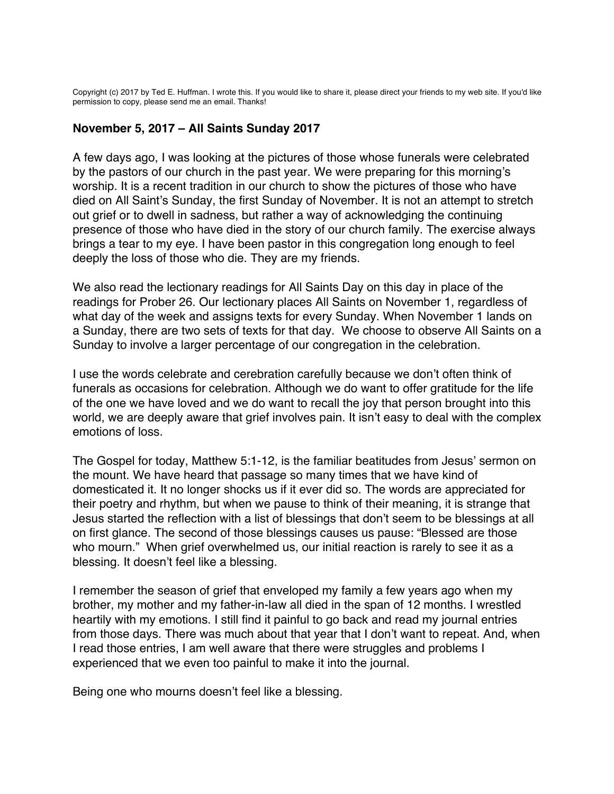<span id="page-9-0"></span>Copyright (c) 2017 by Ted E. Huffman. I wrote this. If you would like to share it, please direct your friends to my web site. If you'd like permission to copy, please send me an email. Thanks!

### **November 5, 2017 – All Saints Sunday 2017**

A few days ago, I was looking at the pictures of those whose funerals were celebrated by the pastors of our church in the past year. We were preparing for this morning's worship. It is a recent tradition in our church to show the pictures of those who have died on All Saint's Sunday, the first Sunday of November. It is not an attempt to stretch out grief or to dwell in sadness, but rather a way of acknowledging the continuing presence of those who have died in the story of our church family. The exercise always brings a tear to my eye. I have been pastor in this congregation long enough to feel deeply the loss of those who die. They are my friends.

We also read the lectionary readings for All Saints Day on this day in place of the readings for Prober 26. Our lectionary places All Saints on November 1, regardless of what day of the week and assigns texts for every Sunday. When November 1 lands on a Sunday, there are two sets of texts for that day. We choose to observe All Saints on a Sunday to involve a larger percentage of our congregation in the celebration.

I use the words celebrate and cerebration carefully because we don't often think of funerals as occasions for celebration. Although we do want to offer gratitude for the life of the one we have loved and we do want to recall the joy that person brought into this world, we are deeply aware that grief involves pain. It isn't easy to deal with the complex emotions of loss.

The Gospel for today, Matthew 5:1-12, is the familiar beatitudes from Jesus' sermon on the mount. We have heard that passage so many times that we have kind of domesticated it. It no longer shocks us if it ever did so. The words are appreciated for their poetry and rhythm, but when we pause to think of their meaning, it is strange that Jesus started the reflection with a list of blessings that don't seem to be blessings at all on first glance. The second of those blessings causes us pause: "Blessed are those who mourn." When grief overwhelmed us, our initial reaction is rarely to see it as a blessing. It doesn't feel like a blessing.

I remember the season of grief that enveloped my family a few years ago when my brother, my mother and my father-in-law all died in the span of 12 months. I wrestled heartily with my emotions. I still find it painful to go back and read my journal entries from those days. There was much about that year that I don't want to repeat. And, when I read those entries, I am well aware that there were struggles and problems I experienced that we even too painful to make it into the journal.

Being one who mourns doesn't feel like a blessing.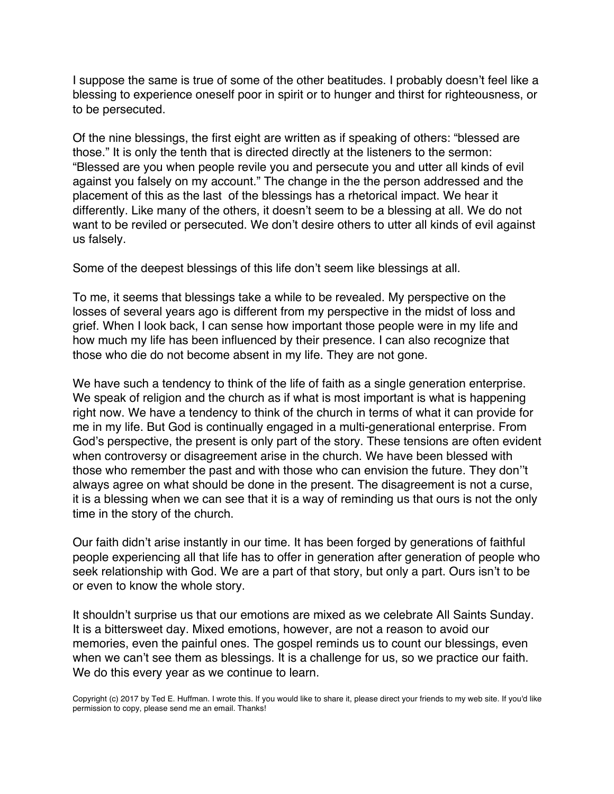I suppose the same is true of some of the other beatitudes. I probably doesn't feel like a blessing to experience oneself poor in spirit or to hunger and thirst for righteousness, or to be persecuted.

Of the nine blessings, the first eight are written as if speaking of others: "blessed are those." It is only the tenth that is directed directly at the listeners to the sermon: "Blessed are you when people revile you and persecute you and utter all kinds of evil against you falsely on my account." The change in the the person addressed and the placement of this as the last of the blessings has a rhetorical impact. We hear it differently. Like many of the others, it doesn't seem to be a blessing at all. We do not want to be reviled or persecuted. We don't desire others to utter all kinds of evil against us falsely.

Some of the deepest blessings of this life don't seem like blessings at all.

To me, it seems that blessings take a while to be revealed. My perspective on the losses of several years ago is different from my perspective in the midst of loss and grief. When I look back, I can sense how important those people were in my life and how much my life has been influenced by their presence. I can also recognize that those who die do not become absent in my life. They are not gone.

We have such a tendency to think of the life of faith as a single generation enterprise. We speak of religion and the church as if what is most important is what is happening right now. We have a tendency to think of the church in terms of what it can provide for me in my life. But God is continually engaged in a multi-generational enterprise. From God's perspective, the present is only part of the story. These tensions are often evident when controversy or disagreement arise in the church. We have been blessed with those who remember the past and with those who can envision the future. They don''t always agree on what should be done in the present. The disagreement is not a curse, it is a blessing when we can see that it is a way of reminding us that ours is not the only time in the story of the church.

Our faith didn't arise instantly in our time. It has been forged by generations of faithful people experiencing all that life has to offer in generation after generation of people who seek relationship with God. We are a part of that story, but only a part. Ours isn't to be or even to know the whole story.

It shouldn't surprise us that our emotions are mixed as we celebrate All Saints Sunday. It is a bittersweet day. Mixed emotions, however, are not a reason to avoid our memories, even the painful ones. The gospel reminds us to count our blessings, even when we can't see them as blessings. It is a challenge for us, so we practice our faith. We do this every year as we continue to learn.

Copyright (c) 2017 by Ted E. Huffman. I wrote this. If you would like to share it, please direct your friends to my web site. If you'd like permission to copy, please send me an email. Thanks!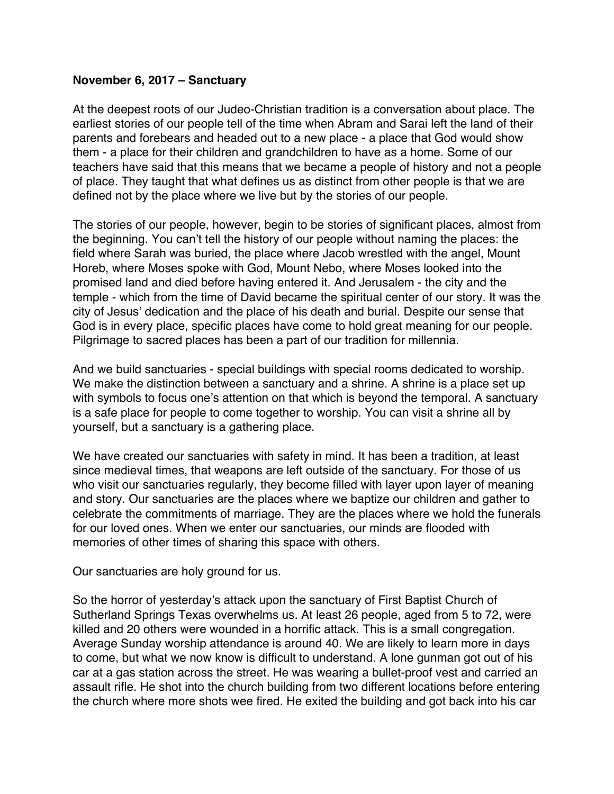### <span id="page-11-0"></span>**November 6, 2017 – Sanctuary**

At the deepest roots of our Judeo-Christian tradition is a conversation about place. The earliest stories of our people tell of the time when Abram and Sarai left the land of their parents and forebears and headed out to a new place - a place that God would show them - a place for their children and grandchildren to have as a home. Some of our teachers have said that this means that we became a people of history and not a people of place. They taught that what defines us as distinct from other people is that we are defined not by the place where we live but by the stories of our people.

The stories of our people, however, begin to be stories of significant places, almost from the beginning. You can't tell the history of our people without naming the places: the field where Sarah was buried, the place where Jacob wrestled with the angel, Mount Horeb, where Moses spoke with God, Mount Nebo, where Moses looked into the promised land and died before having entered it. And Jerusalem - the city and the temple - which from the time of David became the spiritual center of our story. It was the city of Jesus' dedication and the place of his death and burial. Despite our sense that God is in every place, specific places have come to hold great meaning for our people. Pilgrimage to sacred places has been a part of our tradition for millennia.

And we build sanctuaries - special buildings with special rooms dedicated to worship. We make the distinction between a sanctuary and a shrine. A shrine is a place set up with symbols to focus one's attention on that which is beyond the temporal. A sanctuary is a safe place for people to come together to worship. You can visit a shrine all by yourself, but a sanctuary is a gathering place.

We have created our sanctuaries with safety in mind. It has been a tradition, at least since medieval times, that weapons are left outside of the sanctuary. For those of us who visit our sanctuaries regularly, they become filled with layer upon layer of meaning and story. Our sanctuaries are the places where we baptize our children and gather to celebrate the commitments of marriage. They are the places where we hold the funerals for our loved ones. When we enter our sanctuaries, our minds are flooded with memories of other times of sharing this space with others.

Our sanctuaries are holy ground for us.

So the horror of yesterday's attack upon the sanctuary of First Baptist Church of Sutherland Springs Texas overwhelms us. At least 26 people, aged from 5 to 72, were killed and 20 others were wounded in a horrific attack. This is a small congregation. Average Sunday worship attendance is around 40. We are likely to learn more in days to come, but what we now know is difficult to understand. A lone gunman got out of his car at a gas station across the street. He was wearing a bullet-proof vest and carried an assault rifle. He shot into the church building from two different locations before entering the church where more shots wee fired. He exited the building and got back into his car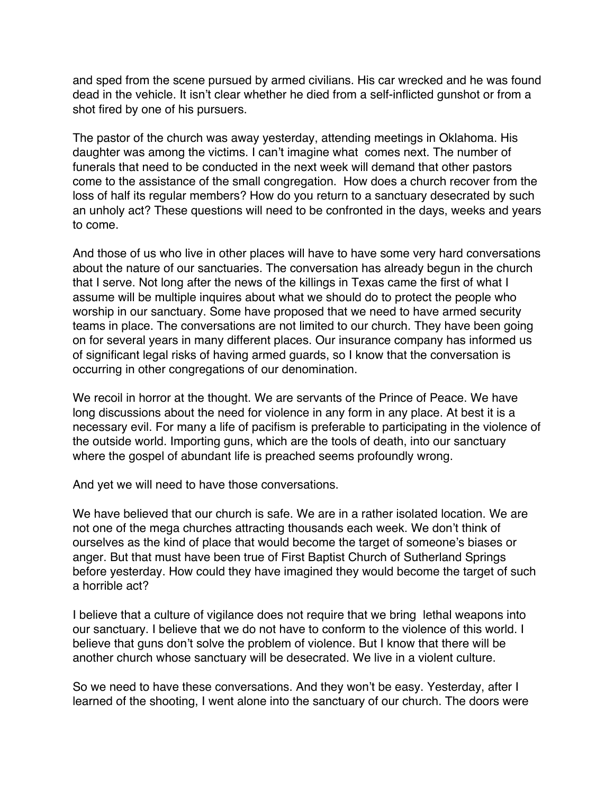and sped from the scene pursued by armed civilians. His car wrecked and he was found dead in the vehicle. It isn't clear whether he died from a self-inflicted gunshot or from a shot fired by one of his pursuers.

The pastor of the church was away yesterday, attending meetings in Oklahoma. His daughter was among the victims. I can't imagine what comes next. The number of funerals that need to be conducted in the next week will demand that other pastors come to the assistance of the small congregation. How does a church recover from the loss of half its regular members? How do you return to a sanctuary desecrated by such an unholy act? These questions will need to be confronted in the days, weeks and years to come.

And those of us who live in other places will have to have some very hard conversations about the nature of our sanctuaries. The conversation has already begun in the church that I serve. Not long after the news of the killings in Texas came the first of what I assume will be multiple inquires about what we should do to protect the people who worship in our sanctuary. Some have proposed that we need to have armed security teams in place. The conversations are not limited to our church. They have been going on for several years in many different places. Our insurance company has informed us of significant legal risks of having armed guards, so I know that the conversation is occurring in other congregations of our denomination.

We recoil in horror at the thought. We are servants of the Prince of Peace. We have long discussions about the need for violence in any form in any place. At best it is a necessary evil. For many a life of pacifism is preferable to participating in the violence of the outside world. Importing guns, which are the tools of death, into our sanctuary where the gospel of abundant life is preached seems profoundly wrong.

And yet we will need to have those conversations.

We have believed that our church is safe. We are in a rather isolated location. We are not one of the mega churches attracting thousands each week. We don't think of ourselves as the kind of place that would become the target of someone's biases or anger. But that must have been true of First Baptist Church of Sutherland Springs before yesterday. How could they have imagined they would become the target of such a horrible act?

I believe that a culture of vigilance does not require that we bring lethal weapons into our sanctuary. I believe that we do not have to conform to the violence of this world. I believe that guns don't solve the problem of violence. But I know that there will be another church whose sanctuary will be desecrated. We live in a violent culture.

So we need to have these conversations. And they won't be easy. Yesterday, after I learned of the shooting, I went alone into the sanctuary of our church. The doors were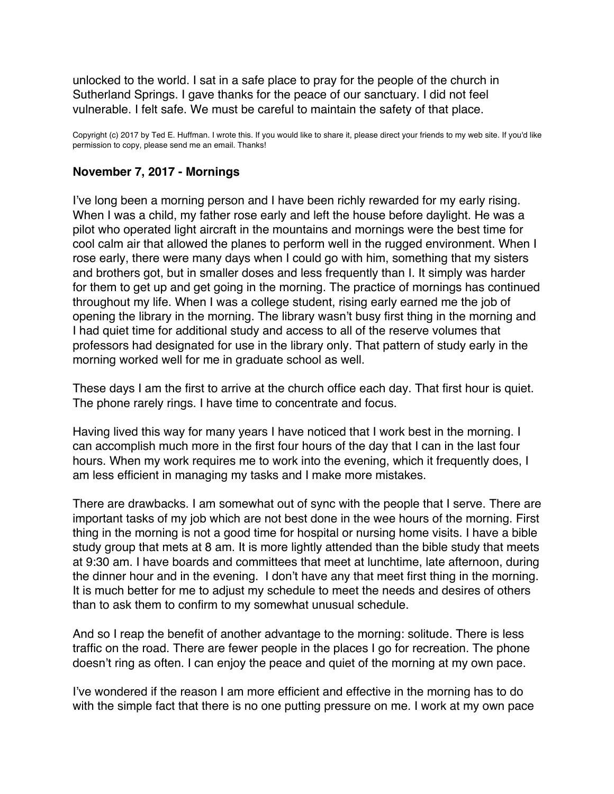<span id="page-13-0"></span>unlocked to the world. I sat in a safe place to pray for the people of the church in Sutherland Springs. I gave thanks for the peace of our sanctuary. I did not feel vulnerable. I felt safe. We must be careful to maintain the safety of that place.

Copyright (c) 2017 by Ted E. Huffman. I wrote this. If you would like to share it, please direct your friends to my web site. If you'd like permission to copy, please send me an email. Thanks!

# **November 7, 2017 - Mornings**

I've long been a morning person and I have been richly rewarded for my early rising. When I was a child, my father rose early and left the house before daylight. He was a pilot who operated light aircraft in the mountains and mornings were the best time for cool calm air that allowed the planes to perform well in the rugged environment. When I rose early, there were many days when I could go with him, something that my sisters and brothers got, but in smaller doses and less frequently than I. It simply was harder for them to get up and get going in the morning. The practice of mornings has continued throughout my life. When I was a college student, rising early earned me the job of opening the library in the morning. The library wasn't busy first thing in the morning and I had quiet time for additional study and access to all of the reserve volumes that professors had designated for use in the library only. That pattern of study early in the morning worked well for me in graduate school as well.

These days I am the first to arrive at the church office each day. That first hour is quiet. The phone rarely rings. I have time to concentrate and focus.

Having lived this way for many years I have noticed that I work best in the morning. I can accomplish much more in the first four hours of the day that I can in the last four hours. When my work requires me to work into the evening, which it frequently does, I am less efficient in managing my tasks and I make more mistakes.

There are drawbacks. I am somewhat out of sync with the people that I serve. There are important tasks of my job which are not best done in the wee hours of the morning. First thing in the morning is not a good time for hospital or nursing home visits. I have a bible study group that mets at 8 am. It is more lightly attended than the bible study that meets at 9:30 am. I have boards and committees that meet at lunchtime, late afternoon, during the dinner hour and in the evening. I don't have any that meet first thing in the morning. It is much better for me to adjust my schedule to meet the needs and desires of others than to ask them to confirm to my somewhat unusual schedule.

And so I reap the benefit of another advantage to the morning: solitude. There is less traffic on the road. There are fewer people in the places I go for recreation. The phone doesn't ring as often. I can enjoy the peace and quiet of the morning at my own pace.

I've wondered if the reason I am more efficient and effective in the morning has to do with the simple fact that there is no one putting pressure on me. I work at my own pace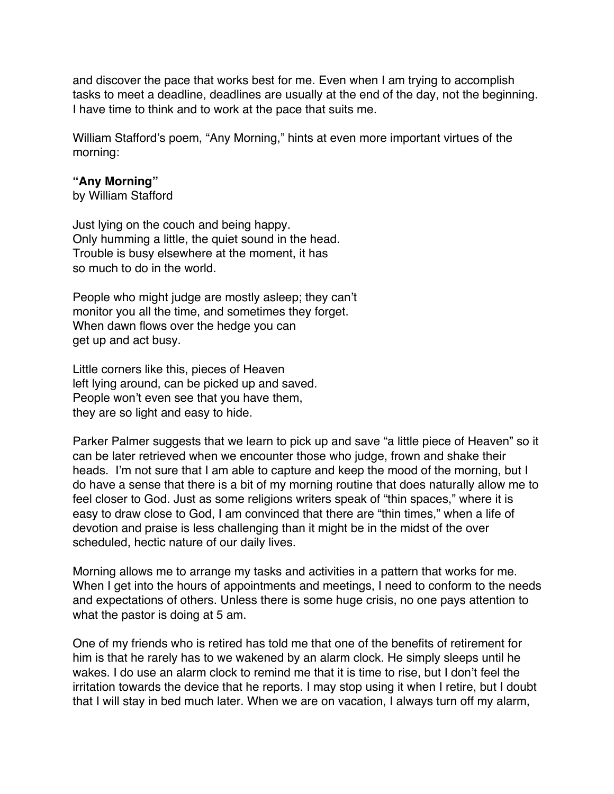and discover the pace that works best for me. Even when I am trying to accomplish tasks to meet a deadline, deadlines are usually at the end of the day, not the beginning. I have time to think and to work at the pace that suits me.

William Stafford's poem, "Any Morning," hints at even more important virtues of the morning:

#### **"Any Morning"**

by William Stafford

Just lying on the couch and being happy. Only humming a little, the quiet sound in the head. Trouble is busy elsewhere at the moment, it has so much to do in the world.

People who might judge are mostly asleep; they can't monitor you all the time, and sometimes they forget. When dawn flows over the hedge you can get up and act busy.

Little corners like this, pieces of Heaven left lying around, can be picked up and saved. People won't even see that you have them, they are so light and easy to hide.

Parker Palmer suggests that we learn to pick up and save "a little piece of Heaven" so it can be later retrieved when we encounter those who judge, frown and shake their heads. I'm not sure that I am able to capture and keep the mood of the morning, but I do have a sense that there is a bit of my morning routine that does naturally allow me to feel closer to God. Just as some religions writers speak of "thin spaces," where it is easy to draw close to God, I am convinced that there are "thin times," when a life of devotion and praise is less challenging than it might be in the midst of the over scheduled, hectic nature of our daily lives.

Morning allows me to arrange my tasks and activities in a pattern that works for me. When I get into the hours of appointments and meetings, I need to conform to the needs and expectations of others. Unless there is some huge crisis, no one pays attention to what the pastor is doing at 5 am.

One of my friends who is retired has told me that one of the benefits of retirement for him is that he rarely has to we wakened by an alarm clock. He simply sleeps until he wakes. I do use an alarm clock to remind me that it is time to rise, but I don't feel the irritation towards the device that he reports. I may stop using it when I retire, but I doubt that I will stay in bed much later. When we are on vacation, I always turn off my alarm,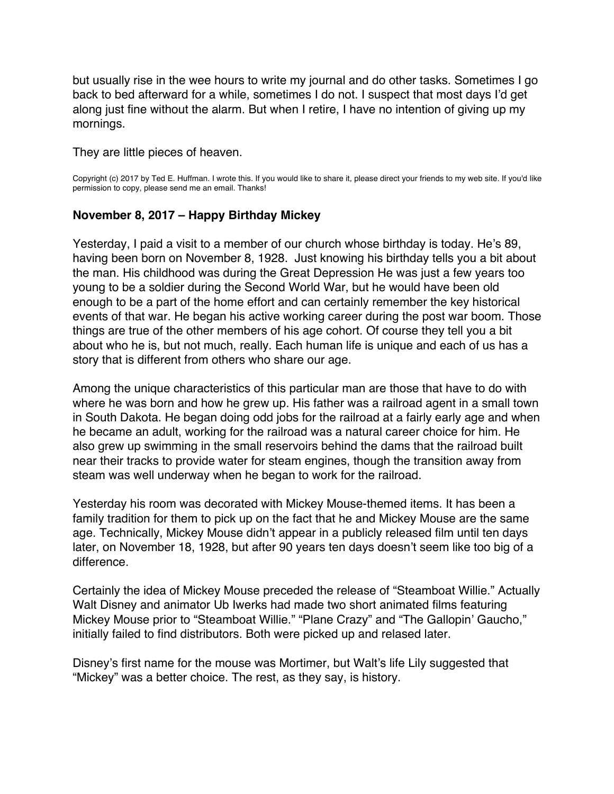<span id="page-15-0"></span>but usually rise in the wee hours to write my journal and do other tasks. Sometimes I go back to bed afterward for a while, sometimes I do not. I suspect that most days I'd get along just fine without the alarm. But when I retire, I have no intention of giving up my mornings.

They are little pieces of heaven.

Copyright (c) 2017 by Ted E. Huffman. I wrote this. If you would like to share it, please direct your friends to my web site. If you'd like permission to copy, please send me an email. Thanks!

### **November 8, 2017 – Happy Birthday Mickey**

Yesterday, I paid a visit to a member of our church whose birthday is today. He's 89, having been born on November 8, 1928. Just knowing his birthday tells you a bit about the man. His childhood was during the Great Depression He was just a few years too young to be a soldier during the Second World War, but he would have been old enough to be a part of the home effort and can certainly remember the key historical events of that war. He began his active working career during the post war boom. Those things are true of the other members of his age cohort. Of course they tell you a bit about who he is, but not much, really. Each human life is unique and each of us has a story that is different from others who share our age.

Among the unique characteristics of this particular man are those that have to do with where he was born and how he grew up. His father was a railroad agent in a small town in South Dakota. He began doing odd jobs for the railroad at a fairly early age and when he became an adult, working for the railroad was a natural career choice for him. He also grew up swimming in the small reservoirs behind the dams that the railroad built near their tracks to provide water for steam engines, though the transition away from steam was well underway when he began to work for the railroad.

Yesterday his room was decorated with Mickey Mouse-themed items. It has been a family tradition for them to pick up on the fact that he and Mickey Mouse are the same age. Technically, Mickey Mouse didn't appear in a publicly released film until ten days later, on November 18, 1928, but after 90 years ten days doesn't seem like too big of a difference.

Certainly the idea of Mickey Mouse preceded the release of "Steamboat Willie." Actually Walt Disney and animator Ub Iwerks had made two short animated films featuring Mickey Mouse prior to "Steamboat Willie." "Plane Crazy" and "The Gallopin' Gaucho," initially failed to find distributors. Both were picked up and relased later.

Disney's first name for the mouse was Mortimer, but Walt's life Lily suggested that "Mickey" was a better choice. The rest, as they say, is history.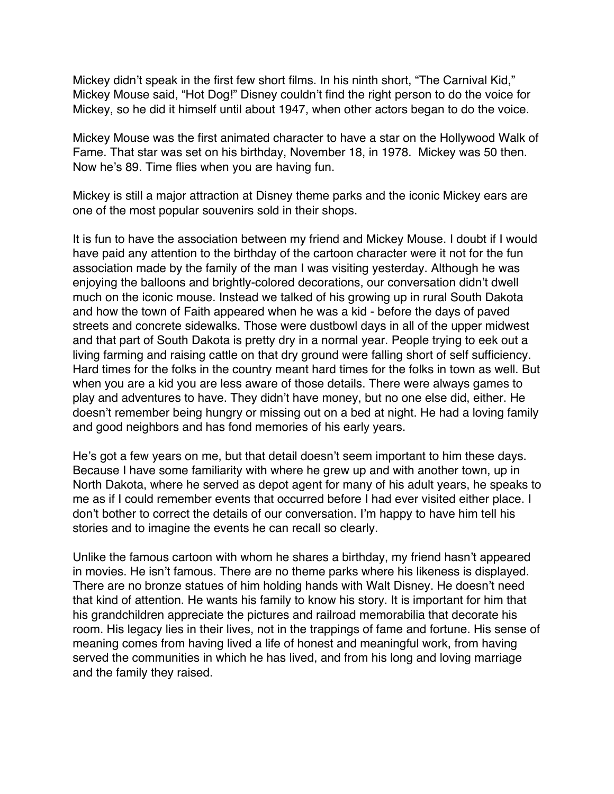Mickey didn't speak in the first few short films. In his ninth short, "The Carnival Kid," Mickey Mouse said, "Hot Dog!" Disney couldn't find the right person to do the voice for Mickey, so he did it himself until about 1947, when other actors began to do the voice.

Mickey Mouse was the first animated character to have a star on the Hollywood Walk of Fame. That star was set on his birthday, November 18, in 1978. Mickey was 50 then. Now he's 89. Time flies when you are having fun.

Mickey is still a major attraction at Disney theme parks and the iconic Mickey ears are one of the most popular souvenirs sold in their shops.

It is fun to have the association between my friend and Mickey Mouse. I doubt if I would have paid any attention to the birthday of the cartoon character were it not for the fun association made by the family of the man I was visiting yesterday. Although he was enjoying the balloons and brightly-colored decorations, our conversation didn't dwell much on the iconic mouse. Instead we talked of his growing up in rural South Dakota and how the town of Faith appeared when he was a kid - before the days of paved streets and concrete sidewalks. Those were dustbowl days in all of the upper midwest and that part of South Dakota is pretty dry in a normal year. People trying to eek out a living farming and raising cattle on that dry ground were falling short of self sufficiency. Hard times for the folks in the country meant hard times for the folks in town as well. But when you are a kid you are less aware of those details. There were always games to play and adventures to have. They didn't have money, but no one else did, either. He doesn't remember being hungry or missing out on a bed at night. He had a loving family and good neighbors and has fond memories of his early years.

He's got a few years on me, but that detail doesn't seem important to him these days. Because I have some familiarity with where he grew up and with another town, up in North Dakota, where he served as depot agent for many of his adult years, he speaks to me as if I could remember events that occurred before I had ever visited either place. I don't bother to correct the details of our conversation. I'm happy to have him tell his stories and to imagine the events he can recall so clearly.

Unlike the famous cartoon with whom he shares a birthday, my friend hasn't appeared in movies. He isn't famous. There are no theme parks where his likeness is displayed. There are no bronze statues of him holding hands with Walt Disney. He doesn't need that kind of attention. He wants his family to know his story. It is important for him that his grandchildren appreciate the pictures and railroad memorabilia that decorate his room. His legacy lies in their lives, not in the trappings of fame and fortune. His sense of meaning comes from having lived a life of honest and meaningful work, from having served the communities in which he has lived, and from his long and loving marriage and the family they raised.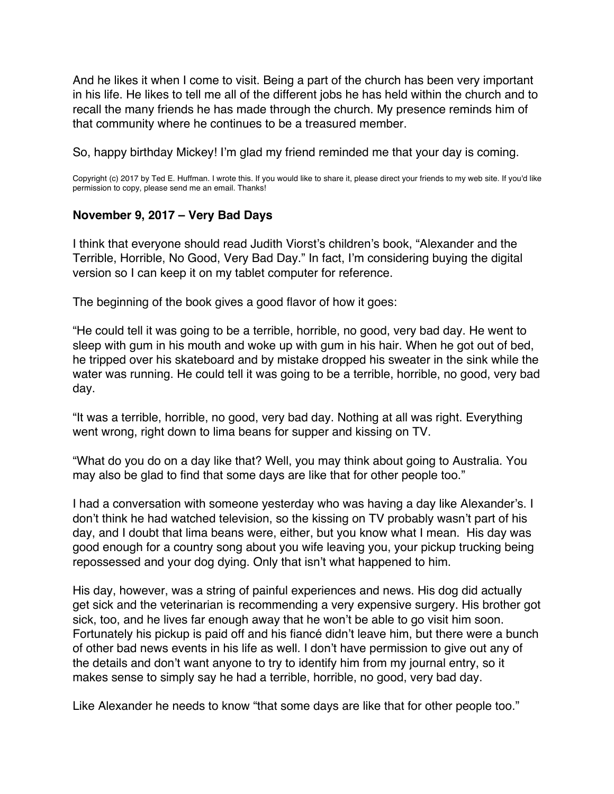<span id="page-17-0"></span>And he likes it when I come to visit. Being a part of the church has been very important in his life. He likes to tell me all of the different jobs he has held within the church and to recall the many friends he has made through the church. My presence reminds him of that community where he continues to be a treasured member.

So, happy birthday Mickey! I'm glad my friend reminded me that your day is coming.

Copyright (c) 2017 by Ted E. Huffman. I wrote this. If you would like to share it, please direct your friends to my web site. If you'd like permission to copy, please send me an email. Thanks!

### **November 9, 2017 – Very Bad Days**

I think that everyone should read Judith Viorst's children's book, "Alexander and the Terrible, Horrible, No Good, Very Bad Day." In fact, I'm considering buying the digital version so I can keep it on my tablet computer for reference.

The beginning of the book gives a good flavor of how it goes:

"He could tell it was going to be a terrible, horrible, no good, very bad day. He went to sleep with gum in his mouth and woke up with gum in his hair. When he got out of bed, he tripped over his skateboard and by mistake dropped his sweater in the sink while the water was running. He could tell it was going to be a terrible, horrible, no good, very bad day.

"It was a terrible, horrible, no good, very bad day. Nothing at all was right. Everything went wrong, right down to lima beans for supper and kissing on TV.

"What do you do on a day like that? Well, you may think about going to Australia. You may also be glad to find that some days are like that for other people too."

I had a conversation with someone yesterday who was having a day like Alexander's. I don't think he had watched television, so the kissing on TV probably wasn't part of his day, and I doubt that lima beans were, either, but you know what I mean. His day was good enough for a country song about you wife leaving you, your pickup trucking being repossessed and your dog dying. Only that isn't what happened to him.

His day, however, was a string of painful experiences and news. His dog did actually get sick and the veterinarian is recommending a very expensive surgery. His brother got sick, too, and he lives far enough away that he won't be able to go visit him soon. Fortunately his pickup is paid off and his fiancé didn't leave him, but there were a bunch of other bad news events in his life as well. I don't have permission to give out any of the details and don't want anyone to try to identify him from my journal entry, so it makes sense to simply say he had a terrible, horrible, no good, very bad day.

Like Alexander he needs to know "that some days are like that for other people too."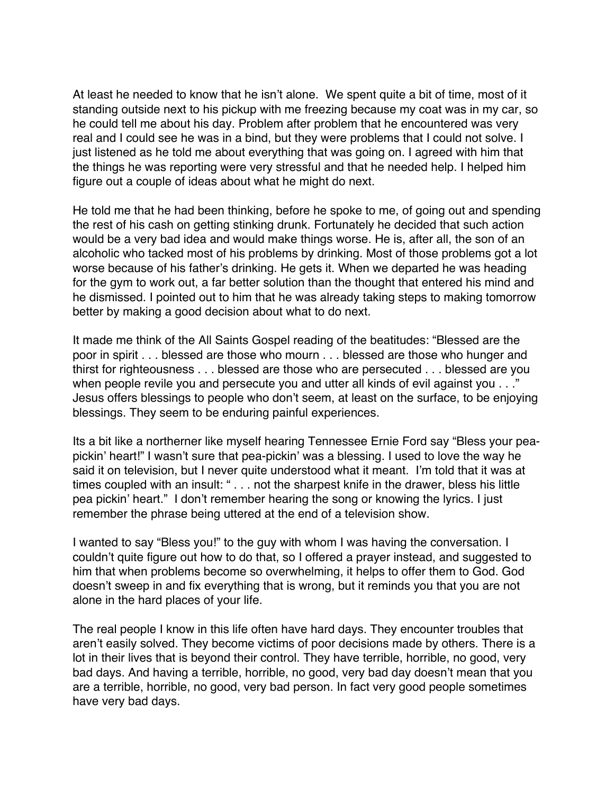At least he needed to know that he isn't alone. We spent quite a bit of time, most of it standing outside next to his pickup with me freezing because my coat was in my car, so he could tell me about his day. Problem after problem that he encountered was very real and I could see he was in a bind, but they were problems that I could not solve. I just listened as he told me about everything that was going on. I agreed with him that the things he was reporting were very stressful and that he needed help. I helped him figure out a couple of ideas about what he might do next.

He told me that he had been thinking, before he spoke to me, of going out and spending the rest of his cash on getting stinking drunk. Fortunately he decided that such action would be a very bad idea and would make things worse. He is, after all, the son of an alcoholic who tacked most of his problems by drinking. Most of those problems got a lot worse because of his father's drinking. He gets it. When we departed he was heading for the gym to work out, a far better solution than the thought that entered his mind and he dismissed. I pointed out to him that he was already taking steps to making tomorrow better by making a good decision about what to do next.

It made me think of the All Saints Gospel reading of the beatitudes: "Blessed are the poor in spirit . . . blessed are those who mourn . . . blessed are those who hunger and thirst for righteousness . . . blessed are those who are persecuted . . . blessed are you when people revile you and persecute you and utter all kinds of evil against you . . ." Jesus offers blessings to people who don't seem, at least on the surface, to be enjoying blessings. They seem to be enduring painful experiences.

Its a bit like a northerner like myself hearing Tennessee Ernie Ford say "Bless your peapickin' heart!" I wasn't sure that pea-pickin' was a blessing. I used to love the way he said it on television, but I never quite understood what it meant. I'm told that it was at times coupled with an insult: " . . . not the sharpest knife in the drawer, bless his little pea pickin' heart." I don't remember hearing the song or knowing the lyrics. I just remember the phrase being uttered at the end of a television show.

I wanted to say "Bless you!" to the guy with whom I was having the conversation. I couldn't quite figure out how to do that, so I offered a prayer instead, and suggested to him that when problems become so overwhelming, it helps to offer them to God. God doesn't sweep in and fix everything that is wrong, but it reminds you that you are not alone in the hard places of your life.

The real people I know in this life often have hard days. They encounter troubles that aren't easily solved. They become victims of poor decisions made by others. There is a lot in their lives that is beyond their control. They have terrible, horrible, no good, very bad days. And having a terrible, horrible, no good, very bad day doesn't mean that you are a terrible, horrible, no good, very bad person. In fact very good people sometimes have very bad days.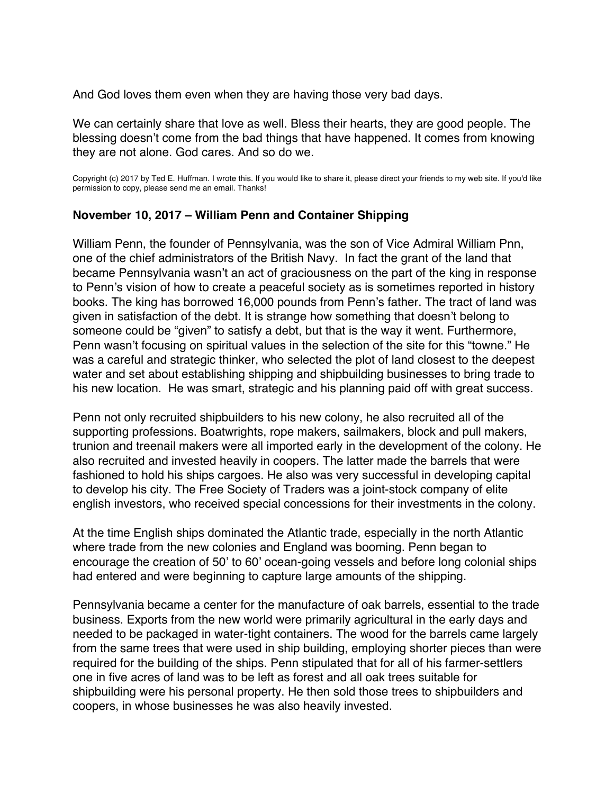<span id="page-19-0"></span>And God loves them even when they are having those very bad days.

We can certainly share that love as well. Bless their hearts, they are good people. The blessing doesn't come from the bad things that have happened. It comes from knowing they are not alone. God cares. And so do we.

Copyright (c) 2017 by Ted E. Huffman. I wrote this. If you would like to share it, please direct your friends to my web site. If you'd like permission to copy, please send me an email. Thanks!

# **November 10, 2017 – William Penn and Container Shipping**

William Penn, the founder of Pennsylvania, was the son of Vice Admiral William Pnn, one of the chief administrators of the British Navy. In fact the grant of the land that became Pennsylvania wasn't an act of graciousness on the part of the king in response to Penn's vision of how to create a peaceful society as is sometimes reported in history books. The king has borrowed 16,000 pounds from Penn's father. The tract of land was given in satisfaction of the debt. It is strange how something that doesn't belong to someone could be "given" to satisfy a debt, but that is the way it went. Furthermore, Penn wasn't focusing on spiritual values in the selection of the site for this "towne." He was a careful and strategic thinker, who selected the plot of land closest to the deepest water and set about establishing shipping and shipbuilding businesses to bring trade to his new location. He was smart, strategic and his planning paid off with great success.

Penn not only recruited shipbuilders to his new colony, he also recruited all of the supporting professions. Boatwrights, rope makers, sailmakers, block and pull makers, trunion and treenail makers were all imported early in the development of the colony. He also recruited and invested heavily in coopers. The latter made the barrels that were fashioned to hold his ships cargoes. He also was very successful in developing capital to develop his city. The Free Society of Traders was a joint-stock company of elite english investors, who received special concessions for their investments in the colony.

At the time English ships dominated the Atlantic trade, especially in the north Atlantic where trade from the new colonies and England was booming. Penn began to encourage the creation of 50' to 60' ocean-going vessels and before long colonial ships had entered and were beginning to capture large amounts of the shipping.

Pennsylvania became a center for the manufacture of oak barrels, essential to the trade business. Exports from the new world were primarily agricultural in the early days and needed to be packaged in water-tight containers. The wood for the barrels came largely from the same trees that were used in ship building, employing shorter pieces than were required for the building of the ships. Penn stipulated that for all of his farmer-settlers one in five acres of land was to be left as forest and all oak trees suitable for shipbuilding were his personal property. He then sold those trees to shipbuilders and coopers, in whose businesses he was also heavily invested.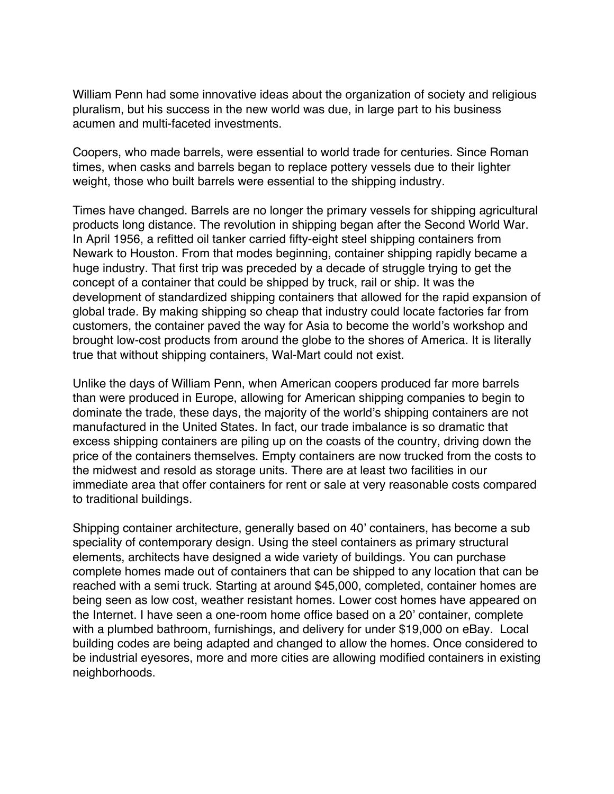William Penn had some innovative ideas about the organization of society and religious pluralism, but his success in the new world was due, in large part to his business acumen and multi-faceted investments.

Coopers, who made barrels, were essential to world trade for centuries. Since Roman times, when casks and barrels began to replace pottery vessels due to their lighter weight, those who built barrels were essential to the shipping industry.

Times have changed. Barrels are no longer the primary vessels for shipping agricultural products long distance. The revolution in shipping began after the Second World War. In April 1956, a refitted oil tanker carried fifty-eight steel shipping containers from Newark to Houston. From that modes beginning, container shipping rapidly became a huge industry. That first trip was preceded by a decade of struggle trying to get the concept of a container that could be shipped by truck, rail or ship. It was the development of standardized shipping containers that allowed for the rapid expansion of global trade. By making shipping so cheap that industry could locate factories far from customers, the container paved the way for Asia to become the world's workshop and brought low-cost products from around the globe to the shores of America. It is literally true that without shipping containers, Wal-Mart could not exist.

Unlike the days of William Penn, when American coopers produced far more barrels than were produced in Europe, allowing for American shipping companies to begin to dominate the trade, these days, the majority of the world's shipping containers are not manufactured in the United States. In fact, our trade imbalance is so dramatic that excess shipping containers are piling up on the coasts of the country, driving down the price of the containers themselves. Empty containers are now trucked from the costs to the midwest and resold as storage units. There are at least two facilities in our immediate area that offer containers for rent or sale at very reasonable costs compared to traditional buildings.

Shipping container architecture, generally based on 40' containers, has become a sub speciality of contemporary design. Using the steel containers as primary structural elements, architects have designed a wide variety of buildings. You can purchase complete homes made out of containers that can be shipped to any location that can be reached with a semi truck. Starting at around \$45,000, completed, container homes are being seen as low cost, weather resistant homes. Lower cost homes have appeared on the Internet. I have seen a one-room home office based on a 20' container, complete with a plumbed bathroom, furnishings, and delivery for under \$19,000 on eBay. Local building codes are being adapted and changed to allow the homes. Once considered to be industrial eyesores, more and more cities are allowing modified containers in existing neighborhoods.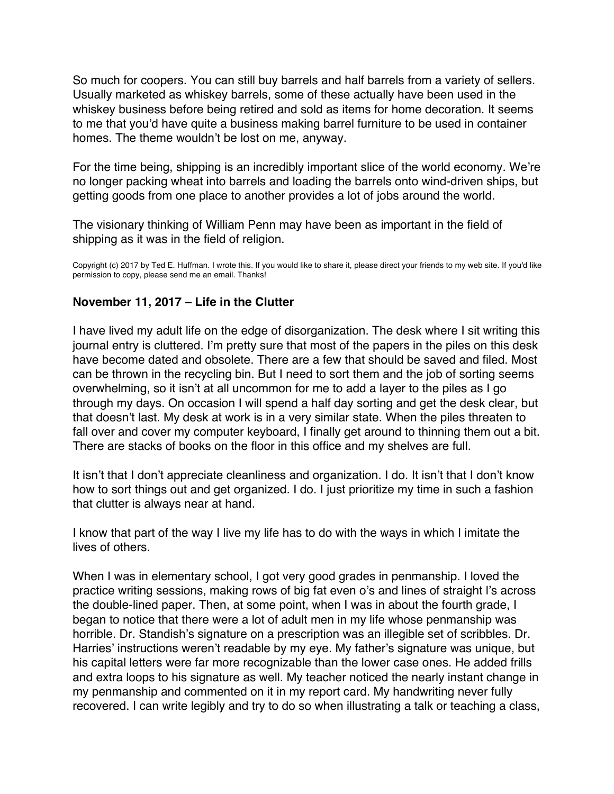<span id="page-21-0"></span>So much for coopers. You can still buy barrels and half barrels from a variety of sellers. Usually marketed as whiskey barrels, some of these actually have been used in the whiskey business before being retired and sold as items for home decoration. It seems to me that you'd have quite a business making barrel furniture to be used in container homes. The theme wouldn't be lost on me, anyway.

For the time being, shipping is an incredibly important slice of the world economy. We're no longer packing wheat into barrels and loading the barrels onto wind-driven ships, but getting goods from one place to another provides a lot of jobs around the world.

The visionary thinking of William Penn may have been as important in the field of shipping as it was in the field of religion.

Copyright (c) 2017 by Ted E. Huffman. I wrote this. If you would like to share it, please direct your friends to my web site. If you'd like permission to copy, please send me an email. Thanks!

# **November 11, 2017 – Life in the Clutter**

I have lived my adult life on the edge of disorganization. The desk where I sit writing this journal entry is cluttered. I'm pretty sure that most of the papers in the piles on this desk have become dated and obsolete. There are a few that should be saved and filed. Most can be thrown in the recycling bin. But I need to sort them and the job of sorting seems overwhelming, so it isn't at all uncommon for me to add a layer to the piles as I go through my days. On occasion I will spend a half day sorting and get the desk clear, but that doesn't last. My desk at work is in a very similar state. When the piles threaten to fall over and cover my computer keyboard, I finally get around to thinning them out a bit. There are stacks of books on the floor in this office and my shelves are full.

It isn't that I don't appreciate cleanliness and organization. I do. It isn't that I don't know how to sort things out and get organized. I do. I just prioritize my time in such a fashion that clutter is always near at hand.

I know that part of the way I live my life has to do with the ways in which I imitate the lives of others.

When I was in elementary school, I got very good grades in penmanship. I loved the practice writing sessions, making rows of big fat even o's and lines of straight l's across the double-lined paper. Then, at some point, when I was in about the fourth grade, I began to notice that there were a lot of adult men in my life whose penmanship was horrible. Dr. Standish's signature on a prescription was an illegible set of scribbles. Dr. Harries' instructions weren't readable by my eye. My father's signature was unique, but his capital letters were far more recognizable than the lower case ones. He added frills and extra loops to his signature as well. My teacher noticed the nearly instant change in my penmanship and commented on it in my report card. My handwriting never fully recovered. I can write legibly and try to do so when illustrating a talk or teaching a class,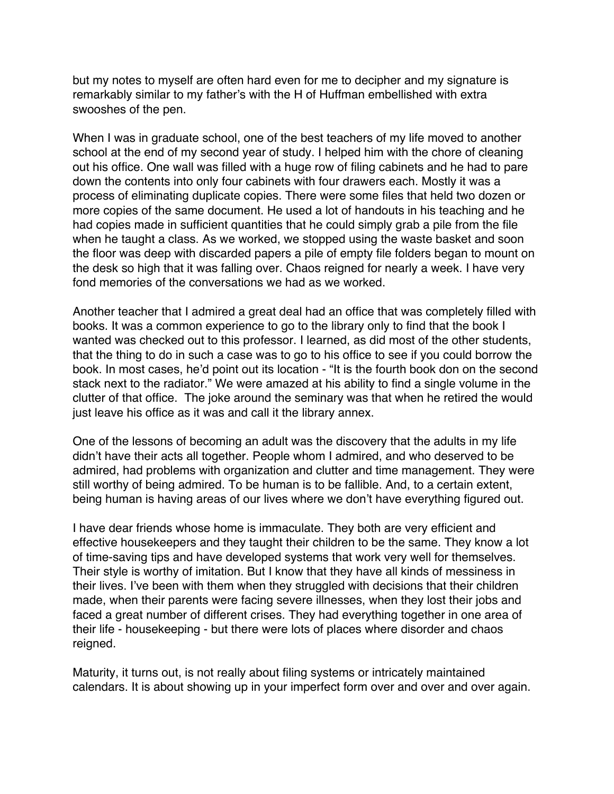but my notes to myself are often hard even for me to decipher and my signature is remarkably similar to my father's with the H of Huffman embellished with extra swooshes of the pen.

When I was in graduate school, one of the best teachers of my life moved to another school at the end of my second year of study. I helped him with the chore of cleaning out his office. One wall was filled with a huge row of filing cabinets and he had to pare down the contents into only four cabinets with four drawers each. Mostly it was a process of eliminating duplicate copies. There were some files that held two dozen or more copies of the same document. He used a lot of handouts in his teaching and he had copies made in sufficient quantities that he could simply grab a pile from the file when he taught a class. As we worked, we stopped using the waste basket and soon the floor was deep with discarded papers a pile of empty file folders began to mount on the desk so high that it was falling over. Chaos reigned for nearly a week. I have very fond memories of the conversations we had as we worked.

Another teacher that I admired a great deal had an office that was completely filled with books. It was a common experience to go to the library only to find that the book I wanted was checked out to this professor. I learned, as did most of the other students, that the thing to do in such a case was to go to his office to see if you could borrow the book. In most cases, he'd point out its location - "It is the fourth book don on the second stack next to the radiator." We were amazed at his ability to find a single volume in the clutter of that office. The joke around the seminary was that when he retired the would just leave his office as it was and call it the library annex.

One of the lessons of becoming an adult was the discovery that the adults in my life didn't have their acts all together. People whom I admired, and who deserved to be admired, had problems with organization and clutter and time management. They were still worthy of being admired. To be human is to be fallible. And, to a certain extent, being human is having areas of our lives where we don't have everything figured out.

I have dear friends whose home is immaculate. They both are very efficient and effective housekeepers and they taught their children to be the same. They know a lot of time-saving tips and have developed systems that work very well for themselves. Their style is worthy of imitation. But I know that they have all kinds of messiness in their lives. I've been with them when they struggled with decisions that their children made, when their parents were facing severe illnesses, when they lost their jobs and faced a great number of different crises. They had everything together in one area of their life - housekeeping - but there were lots of places where disorder and chaos reigned.

Maturity, it turns out, is not really about filing systems or intricately maintained calendars. It is about showing up in your imperfect form over and over and over again.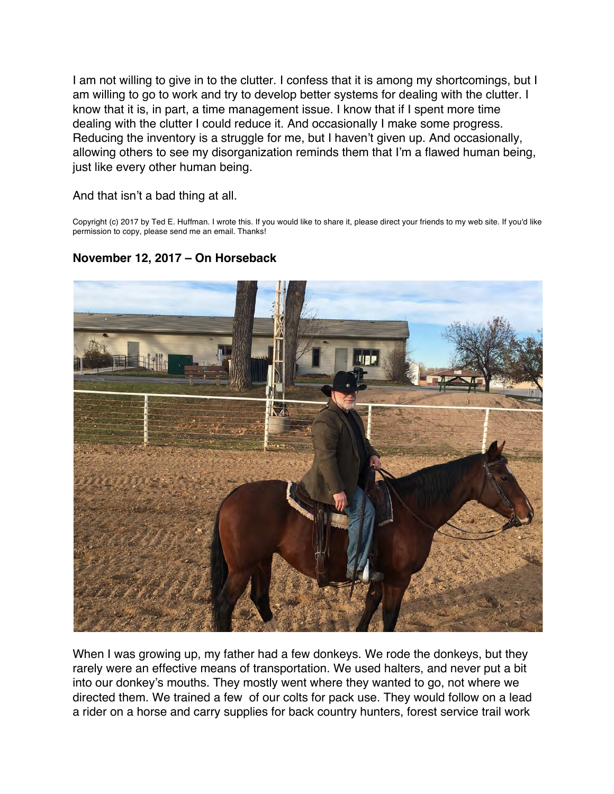<span id="page-23-0"></span>I am not willing to give in to the clutter. I confess that it is among my shortcomings, but I am willing to go to work and try to develop better systems for dealing with the clutter. I know that it is, in part, a time management issue. I know that if I spent more time dealing with the clutter I could reduce it. And occasionally I make some progress. Reducing the inventory is a struggle for me, but I haven't given up. And occasionally, allowing others to see my disorganization reminds them that I'm a flawed human being, just like every other human being.

And that isn't a bad thing at all.

Copyright (c) 2017 by Ted E. Huffman. I wrote this. If you would like to share it, please direct your friends to my web site. If you'd like permission to copy, please send me an email. Thanks!

# **November 12, 2017 – On Horseback**



When I was growing up, my father had a few donkeys. We rode the donkeys, but they rarely were an effective means of transportation. We used halters, and never put a bit into our donkey's mouths. They mostly went where they wanted to go, not where we directed them. We trained a few of our colts for pack use. They would follow on a lead a rider on a horse and carry supplies for back country hunters, forest service trail work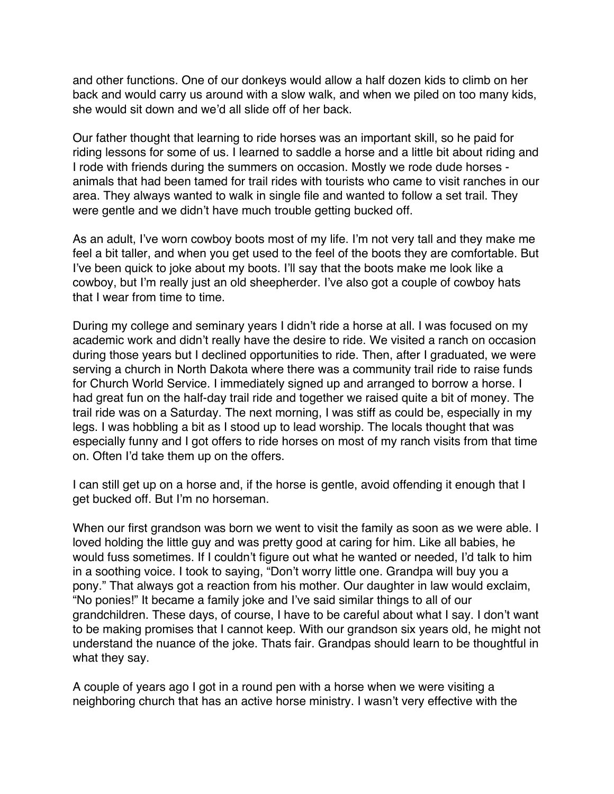and other functions. One of our donkeys would allow a half dozen kids to climb on her back and would carry us around with a slow walk, and when we piled on too many kids, she would sit down and we'd all slide off of her back.

Our father thought that learning to ride horses was an important skill, so he paid for riding lessons for some of us. I learned to saddle a horse and a little bit about riding and I rode with friends during the summers on occasion. Mostly we rode dude horses animals that had been tamed for trail rides with tourists who came to visit ranches in our area. They always wanted to walk in single file and wanted to follow a set trail. They were gentle and we didn't have much trouble getting bucked off.

As an adult, I've worn cowboy boots most of my life. I'm not very tall and they make me feel a bit taller, and when you get used to the feel of the boots they are comfortable. But I've been quick to joke about my boots. I'll say that the boots make me look like a cowboy, but I'm really just an old sheepherder. I've also got a couple of cowboy hats that I wear from time to time.

During my college and seminary years I didn't ride a horse at all. I was focused on my academic work and didn't really have the desire to ride. We visited a ranch on occasion during those years but I declined opportunities to ride. Then, after I graduated, we were serving a church in North Dakota where there was a community trail ride to raise funds for Church World Service. I immediately signed up and arranged to borrow a horse. I had great fun on the half-day trail ride and together we raised quite a bit of money. The trail ride was on a Saturday. The next morning, I was stiff as could be, especially in my legs. I was hobbling a bit as I stood up to lead worship. The locals thought that was especially funny and I got offers to ride horses on most of my ranch visits from that time on. Often I'd take them up on the offers.

I can still get up on a horse and, if the horse is gentle, avoid offending it enough that I get bucked off. But I'm no horseman.

When our first grandson was born we went to visit the family as soon as we were able. I loved holding the little guy and was pretty good at caring for him. Like all babies, he would fuss sometimes. If I couldn't figure out what he wanted or needed, I'd talk to him in a soothing voice. I took to saying, "Don't worry little one. Grandpa will buy you a pony." That always got a reaction from his mother. Our daughter in law would exclaim, "No ponies!" It became a family joke and I've said similar things to all of our grandchildren. These days, of course, I have to be careful about what I say. I don't want to be making promises that I cannot keep. With our grandson six years old, he might not understand the nuance of the joke. Thats fair. Grandpas should learn to be thoughtful in what they say.

A couple of years ago I got in a round pen with a horse when we were visiting a neighboring church that has an active horse ministry. I wasn't very effective with the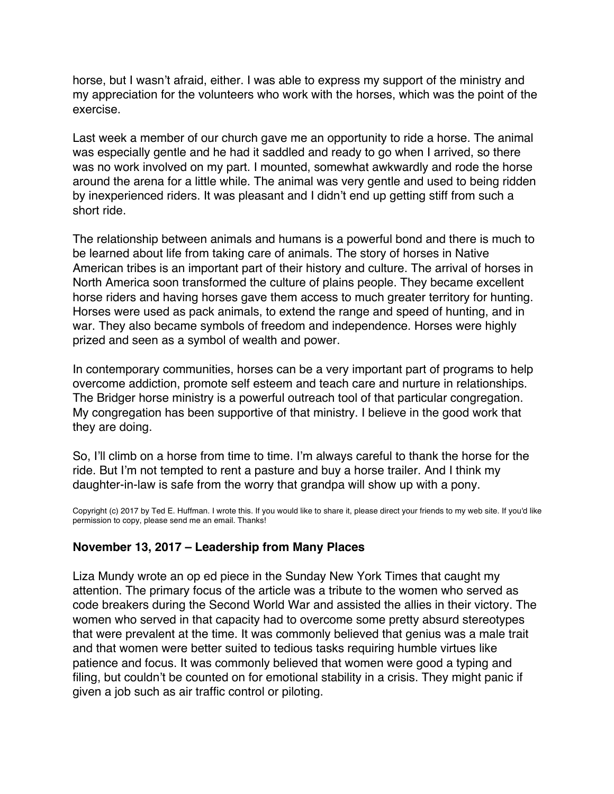<span id="page-25-0"></span>horse, but I wasn't afraid, either. I was able to express my support of the ministry and my appreciation for the volunteers who work with the horses, which was the point of the exercise.

Last week a member of our church gave me an opportunity to ride a horse. The animal was especially gentle and he had it saddled and ready to go when I arrived, so there was no work involved on my part. I mounted, somewhat awkwardly and rode the horse around the arena for a little while. The animal was very gentle and used to being ridden by inexperienced riders. It was pleasant and I didn't end up getting stiff from such a short ride.

The relationship between animals and humans is a powerful bond and there is much to be learned about life from taking care of animals. The story of horses in Native American tribes is an important part of their history and culture. The arrival of horses in North America soon transformed the culture of plains people. They became excellent horse riders and having horses gave them access to much greater territory for hunting. Horses were used as pack animals, to extend the range and speed of hunting, and in war. They also became symbols of freedom and independence. Horses were highly prized and seen as a symbol of wealth and power.

In contemporary communities, horses can be a very important part of programs to help overcome addiction, promote self esteem and teach care and nurture in relationships. The Bridger horse ministry is a powerful outreach tool of that particular congregation. My congregation has been supportive of that ministry. I believe in the good work that they are doing.

So, I'll climb on a horse from time to time. I'm always careful to thank the horse for the ride. But I'm not tempted to rent a pasture and buy a horse trailer. And I think my daughter-in-law is safe from the worry that grandpa will show up with a pony.

Copyright (c) 2017 by Ted E. Huffman. I wrote this. If you would like to share it, please direct your friends to my web site. If you'd like permission to copy, please send me an email. Thanks!

# **November 13, 2017 – Leadership from Many Places**

Liza Mundy wrote an op ed piece in the Sunday New York Times that caught my attention. The primary focus of the article was a tribute to the women who served as code breakers during the Second World War and assisted the allies in their victory. The women who served in that capacity had to overcome some pretty absurd stereotypes that were prevalent at the time. It was commonly believed that genius was a male trait and that women were better suited to tedious tasks requiring humble virtues like patience and focus. It was commonly believed that women were good a typing and filing, but couldn't be counted on for emotional stability in a crisis. They might panic if given a job such as air traffic control or piloting.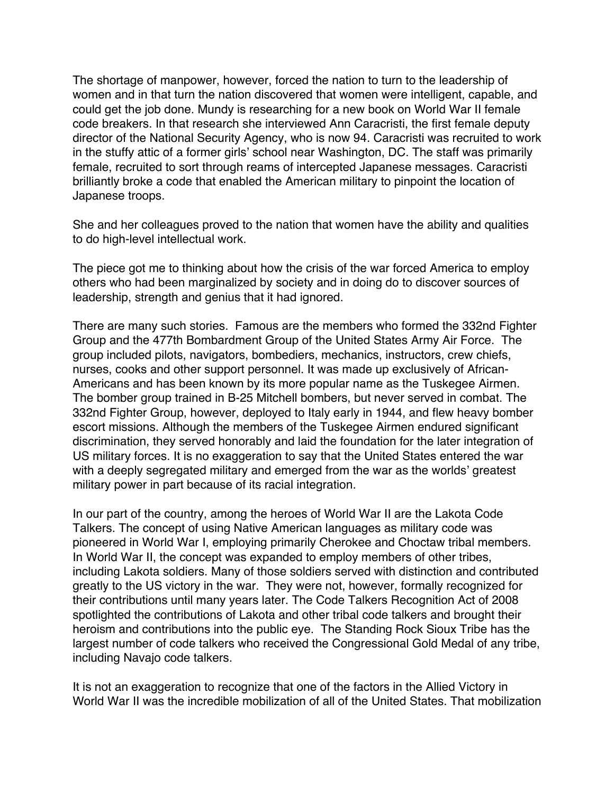The shortage of manpower, however, forced the nation to turn to the leadership of women and in that turn the nation discovered that women were intelligent, capable, and could get the job done. Mundy is researching for a new book on World War II female code breakers. In that research she interviewed Ann Caracristi, the first female deputy director of the National Security Agency, who is now 94. Caracristi was recruited to work in the stuffy attic of a former girls' school near Washington, DC. The staff was primarily female, recruited to sort through reams of intercepted Japanese messages. Caracristi brilliantly broke a code that enabled the American military to pinpoint the location of Japanese troops.

She and her colleagues proved to the nation that women have the ability and qualities to do high-level intellectual work.

The piece got me to thinking about how the crisis of the war forced America to employ others who had been marginalized by society and in doing do to discover sources of leadership, strength and genius that it had ignored.

There are many such stories. Famous are the members who formed the 332nd Fighter Group and the 477th Bombardment Group of the United States Army Air Force. The group included pilots, navigators, bombediers, mechanics, instructors, crew chiefs, nurses, cooks and other support personnel. It was made up exclusively of African-Americans and has been known by its more popular name as the Tuskegee Airmen. The bomber group trained in B-25 Mitchell bombers, but never served in combat. The 332nd Fighter Group, however, deployed to Italy early in 1944, and flew heavy bomber escort missions. Although the members of the Tuskegee Airmen endured significant discrimination, they served honorably and laid the foundation for the later integration of US military forces. It is no exaggeration to say that the United States entered the war with a deeply segregated military and emerged from the war as the worlds' greatest military power in part because of its racial integration.

In our part of the country, among the heroes of World War II are the Lakota Code Talkers. The concept of using Native American languages as military code was pioneered in World War I, employing primarily Cherokee and Choctaw tribal members. In World War II, the concept was expanded to employ members of other tribes, including Lakota soldiers. Many of those soldiers served with distinction and contributed greatly to the US victory in the war. They were not, however, formally recognized for their contributions until many years later. The Code Talkers Recognition Act of 2008 spotlighted the contributions of Lakota and other tribal code talkers and brought their heroism and contributions into the public eye. The Standing Rock Sioux Tribe has the largest number of code talkers who received the Congressional Gold Medal of any tribe, including Navajo code talkers.

It is not an exaggeration to recognize that one of the factors in the Allied Victory in World War II was the incredible mobilization of all of the United States. That mobilization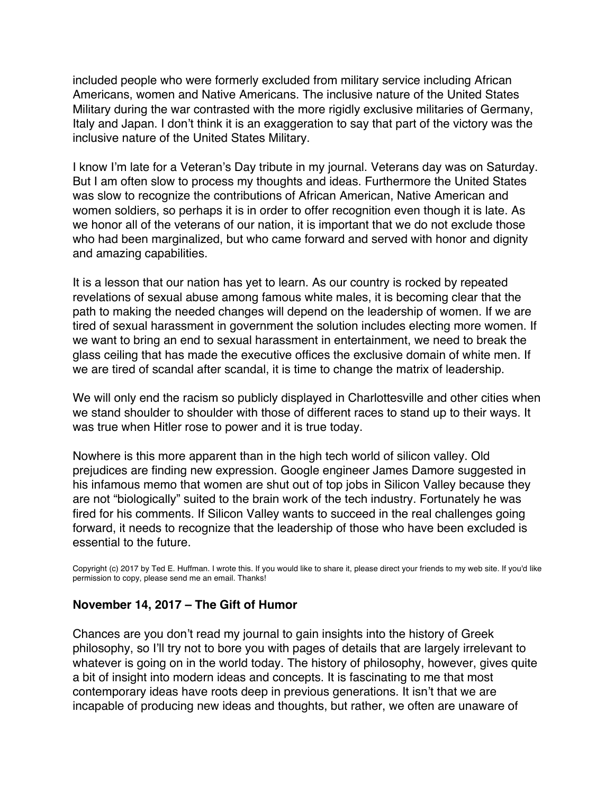included people who were formerly excluded from military service including African Americans, women and Native Americans. The inclusive nature of the United States Military during the war contrasted with the more rigidly exclusive militaries of Germany, Italy and Japan. I don't think it is an exaggeration to say that part of the victory was the inclusive nature of the United States Military.

I know I'm late for a Veteran's Day tribute in my journal. Veterans day was on Saturday. But I am often slow to process my thoughts and ideas. Furthermore the United States was slow to recognize the contributions of African American, Native American and women soldiers, so perhaps it is in order to offer recognition even though it is late. As we honor all of the veterans of our nation, it is important that we do not exclude those who had been marginalized, but who came forward and served with honor and dignity and amazing capabilities.

It is a lesson that our nation has yet to learn. As our country is rocked by repeated revelations of sexual abuse among famous white males, it is becoming clear that the path to making the needed changes will depend on the leadership of women. If we are tired of sexual harassment in government the solution includes electing more women. If we want to bring an end to sexual harassment in entertainment, we need to break the glass ceiling that has made the executive offices the exclusive domain of white men. If we are tired of scandal after scandal, it is time to change the matrix of leadership.

We will only end the racism so publicly displayed in Charlottesville and other cities when we stand shoulder to shoulder with those of different races to stand up to their ways. It was true when Hitler rose to power and it is true today.

Nowhere is this more apparent than in the high tech world of silicon valley. Old prejudices are finding new expression. Google engineer James Damore suggested in his infamous memo that women are shut out of top jobs in Silicon Valley because they are not "biologically" suited to the brain work of the tech industry. Fortunately he was fired for his comments. If Silicon Valley wants to succeed in the real challenges going forward, it needs to recognize that the leadership of those who have been excluded is essential to the future.

Copyright (c) 2017 by Ted E. Huffman. I wrote this. If you would like to share it, please direct your friends to my web site. If you'd like permission to copy, please send me an email. Thanks!

# **November 14, 2017 – The Gift of Humor**

Chances are you don't read my journal to gain insights into the history of Greek philosophy, so I'll try not to bore you with pages of details that are largely irrelevant to whatever is going on in the world today. The history of philosophy, however, gives quite a bit of insight into modern ideas and concepts. It is fascinating to me that most contemporary ideas have roots deep in previous generations. It isn't that we are incapable of producing new ideas and thoughts, but rather, we often are unaware of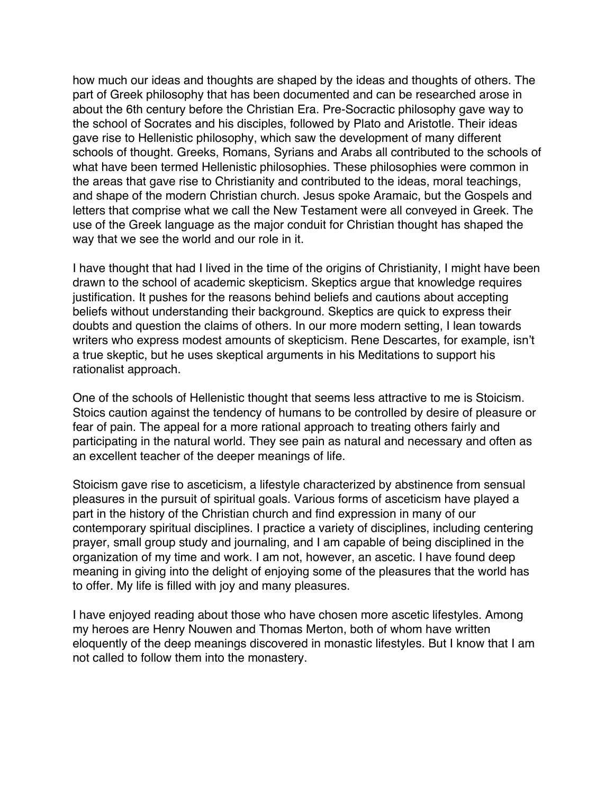<span id="page-28-0"></span>how much our ideas and thoughts are shaped by the ideas and thoughts of others. The part of Greek philosophy that has been documented and can be researched arose in about the 6th century before the Christian Era. Pre-Socractic philosophy gave way to the school of Socrates and his disciples, followed by Plato and Aristotle. Their ideas gave rise to Hellenistic philosophy, which saw the development of many different schools of thought. Greeks, Romans, Syrians and Arabs all contributed to the schools of what have been termed Hellenistic philosophies. These philosophies were common in the areas that gave rise to Christianity and contributed to the ideas, moral teachings, and shape of the modern Christian church. Jesus spoke Aramaic, but the Gospels and letters that comprise what we call the New Testament were all conveyed in Greek. The use of the Greek language as the major conduit for Christian thought has shaped the way that we see the world and our role in it.

I have thought that had I lived in the time of the origins of Christianity, I might have been drawn to the school of academic skepticism. Skeptics argue that knowledge requires justification. It pushes for the reasons behind beliefs and cautions about accepting beliefs without understanding their background. Skeptics are quick to express their doubts and question the claims of others. In our more modern setting, I lean towards writers who express modest amounts of skepticism. Rene Descartes, for example, isn't a true skeptic, but he uses skeptical arguments in his Meditations to support his rationalist approach.

One of the schools of Hellenistic thought that seems less attractive to me is Stoicism. Stoics caution against the tendency of humans to be controlled by desire of pleasure or fear of pain. The appeal for a more rational approach to treating others fairly and participating in the natural world. They see pain as natural and necessary and often as an excellent teacher of the deeper meanings of life.

Stoicism gave rise to asceticism, a lifestyle characterized by abstinence from sensual pleasures in the pursuit of spiritual goals. Various forms of asceticism have played a part in the history of the Christian church and find expression in many of our contemporary spiritual disciplines. I practice a variety of disciplines, including centering prayer, small group study and journaling, and I am capable of being disciplined in the organization of my time and work. I am not, however, an ascetic. I have found deep meaning in giving into the delight of enjoying some of the pleasures that the world has to offer. My life is filled with joy and many pleasures.

I have enjoyed reading about those who have chosen more ascetic lifestyles. Among my heroes are Henry Nouwen and Thomas Merton, both of whom have written eloquently of the deep meanings discovered in monastic lifestyles. But I know that I am not called to follow them into the monastery.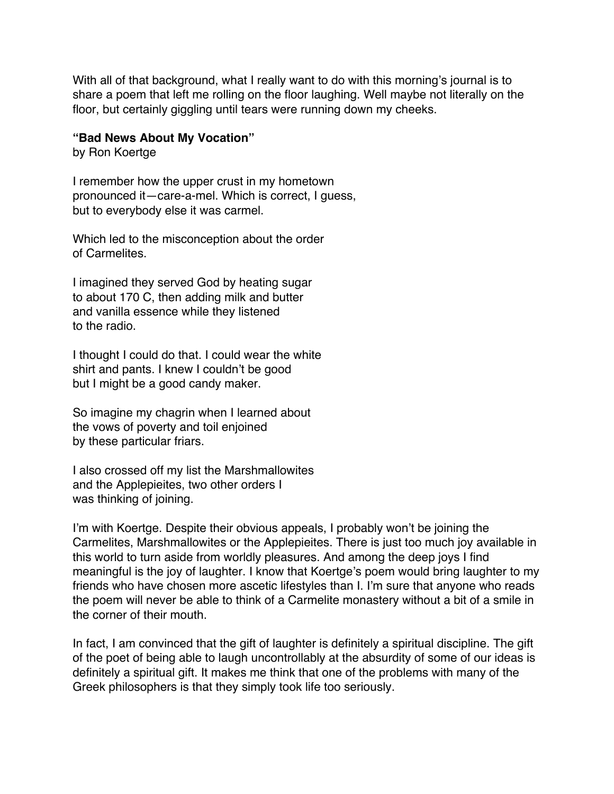With all of that background, what I really want to do with this morning's journal is to share a poem that left me rolling on the floor laughing. Well maybe not literally on the floor, but certainly giggling until tears were running down my cheeks.

#### **"Bad News About My Vocation"**

by Ron Koertge

I remember how the upper crust in my hometown pronounced it—care-a-mel. Which is correct, I guess, but to everybody else it was carmel.

Which led to the misconception about the order of Carmelites.

I imagined they served God by heating sugar to about 170 C, then adding milk and butter and vanilla essence while they listened to the radio.

I thought I could do that. I could wear the white shirt and pants. I knew I couldn't be good but I might be a good candy maker.

So imagine my chagrin when I learned about the vows of poverty and toil enjoined by these particular friars.

I also crossed off my list the Marshmallowites and the Applepieites, two other orders I was thinking of joining.

I'm with Koertge. Despite their obvious appeals, I probably won't be joining the Carmelites, Marshmallowites or the Applepieites. There is just too much joy available in this world to turn aside from worldly pleasures. And among the deep joys I find meaningful is the joy of laughter. I know that Koertge's poem would bring laughter to my friends who have chosen more ascetic lifestyles than I. I'm sure that anyone who reads the poem will never be able to think of a Carmelite monastery without a bit of a smile in the corner of their mouth.

In fact, I am convinced that the gift of laughter is definitely a spiritual discipline. The gift of the poet of being able to laugh uncontrollably at the absurdity of some of our ideas is definitely a spiritual gift. It makes me think that one of the problems with many of the Greek philosophers is that they simply took life too seriously.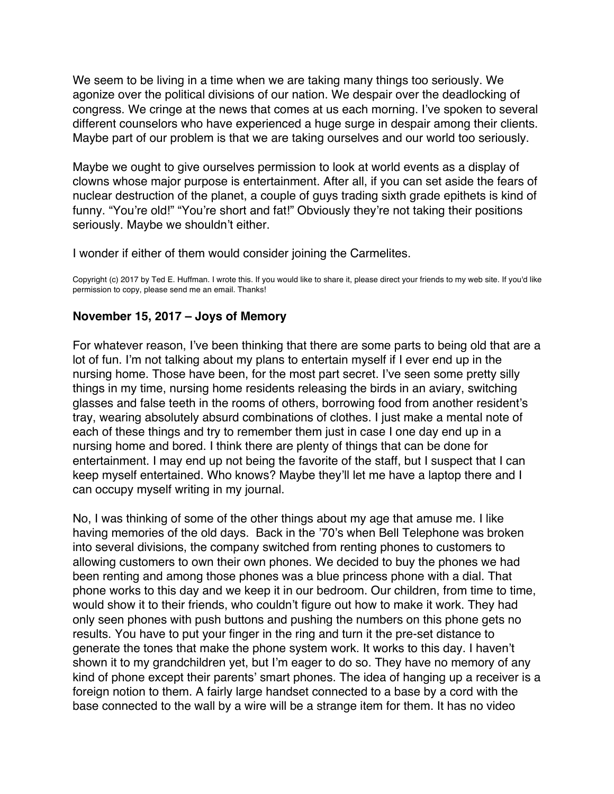<span id="page-30-0"></span>We seem to be living in a time when we are taking many things too seriously. We agonize over the political divisions of our nation. We despair over the deadlocking of congress. We cringe at the news that comes at us each morning. I've spoken to several different counselors who have experienced a huge surge in despair among their clients. Maybe part of our problem is that we are taking ourselves and our world too seriously.

Maybe we ought to give ourselves permission to look at world events as a display of clowns whose major purpose is entertainment. After all, if you can set aside the fears of nuclear destruction of the planet, a couple of guys trading sixth grade epithets is kind of funny. "You're old!" "You're short and fat!" Obviously they're not taking their positions seriously. Maybe we shouldn't either.

I wonder if either of them would consider joining the Carmelites.

Copyright (c) 2017 by Ted E. Huffman. I wrote this. If you would like to share it, please direct your friends to my web site. If you'd like permission to copy, please send me an email. Thanks!

### **November 15, 2017 – Joys of Memory**

For whatever reason, I've been thinking that there are some parts to being old that are a lot of fun. I'm not talking about my plans to entertain myself if I ever end up in the nursing home. Those have been, for the most part secret. I've seen some pretty silly things in my time, nursing home residents releasing the birds in an aviary, switching glasses and false teeth in the rooms of others, borrowing food from another resident's tray, wearing absolutely absurd combinations of clothes. I just make a mental note of each of these things and try to remember them just in case I one day end up in a nursing home and bored. I think there are plenty of things that can be done for entertainment. I may end up not being the favorite of the staff, but I suspect that I can keep myself entertained. Who knows? Maybe they'll let me have a laptop there and I can occupy myself writing in my journal.

No, I was thinking of some of the other things about my age that amuse me. I like having memories of the old days. Back in the '70's when Bell Telephone was broken into several divisions, the company switched from renting phones to customers to allowing customers to own their own phones. We decided to buy the phones we had been renting and among those phones was a blue princess phone with a dial. That phone works to this day and we keep it in our bedroom. Our children, from time to time, would show it to their friends, who couldn't figure out how to make it work. They had only seen phones with push buttons and pushing the numbers on this phone gets no results. You have to put your finger in the ring and turn it the pre-set distance to generate the tones that make the phone system work. It works to this day. I haven't shown it to my grandchildren yet, but I'm eager to do so. They have no memory of any kind of phone except their parents' smart phones. The idea of hanging up a receiver is a foreign notion to them. A fairly large handset connected to a base by a cord with the base connected to the wall by a wire will be a strange item for them. It has no video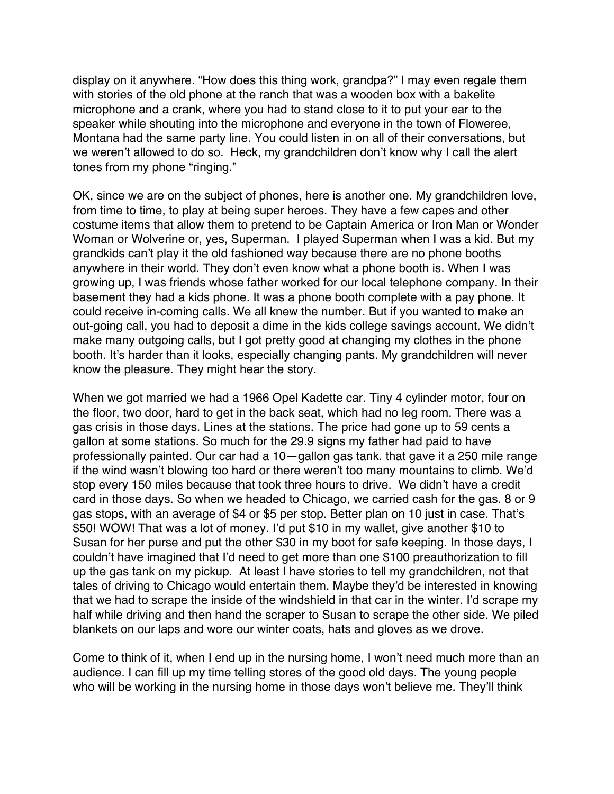display on it anywhere. "How does this thing work, grandpa?" I may even regale them with stories of the old phone at the ranch that was a wooden box with a bakelite microphone and a crank, where you had to stand close to it to put your ear to the speaker while shouting into the microphone and everyone in the town of Floweree, Montana had the same party line. You could listen in on all of their conversations, but we weren't allowed to do so. Heck, my grandchildren don't know why I call the alert tones from my phone "ringing."

OK, since we are on the subject of phones, here is another one. My grandchildren love, from time to time, to play at being super heroes. They have a few capes and other costume items that allow them to pretend to be Captain America or Iron Man or Wonder Woman or Wolverine or, yes, Superman. I played Superman when I was a kid. But my grandkids can't play it the old fashioned way because there are no phone booths anywhere in their world. They don't even know what a phone booth is. When I was growing up, I was friends whose father worked for our local telephone company. In their basement they had a kids phone. It was a phone booth complete with a pay phone. It could receive in-coming calls. We all knew the number. But if you wanted to make an out-going call, you had to deposit a dime in the kids college savings account. We didn't make many outgoing calls, but I got pretty good at changing my clothes in the phone booth. It's harder than it looks, especially changing pants. My grandchildren will never know the pleasure. They might hear the story.

When we got married we had a 1966 Opel Kadette car. Tiny 4 cylinder motor, four on the floor, two door, hard to get in the back seat, which had no leg room. There was a gas crisis in those days. Lines at the stations. The price had gone up to 59 cents a gallon at some stations. So much for the 29.9 signs my father had paid to have professionally painted. Our car had a 10—gallon gas tank. that gave it a 250 mile range if the wind wasn't blowing too hard or there weren't too many mountains to climb. We'd stop every 150 miles because that took three hours to drive. We didn't have a credit card in those days. So when we headed to Chicago, we carried cash for the gas. 8 or 9 gas stops, with an average of \$4 or \$5 per stop. Better plan on 10 just in case. That's \$50! WOW! That was a lot of money. I'd put \$10 in my wallet, give another \$10 to Susan for her purse and put the other \$30 in my boot for safe keeping. In those days, I couldn't have imagined that I'd need to get more than one \$100 preauthorization to fill up the gas tank on my pickup. At least I have stories to tell my grandchildren, not that tales of driving to Chicago would entertain them. Maybe they'd be interested in knowing that we had to scrape the inside of the windshield in that car in the winter. I'd scrape my half while driving and then hand the scraper to Susan to scrape the other side. We piled blankets on our laps and wore our winter coats, hats and gloves as we drove.

Come to think of it, when I end up in the nursing home, I won't need much more than an audience. I can fill up my time telling stores of the good old days. The young people who will be working in the nursing home in those days won't believe me. They'll think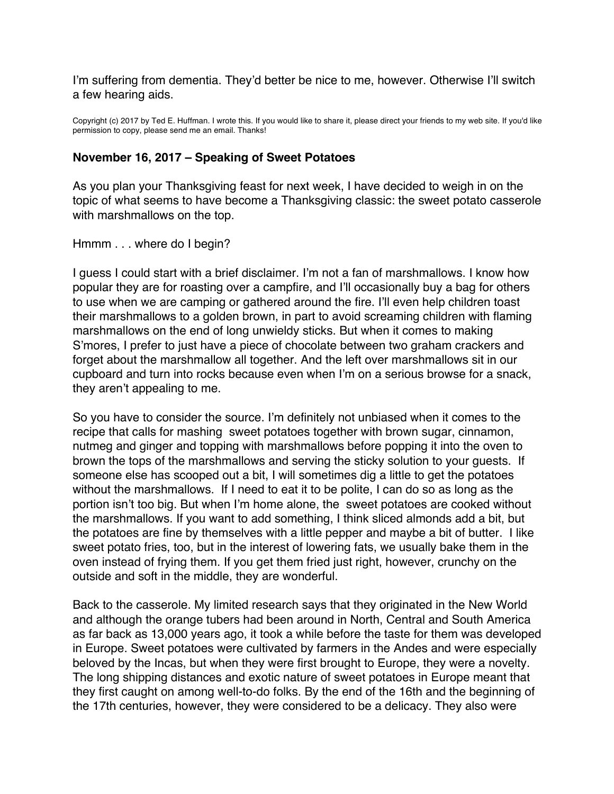<span id="page-32-0"></span>I'm suffering from dementia. They'd better be nice to me, however. Otherwise I'll switch a few hearing aids.

Copyright (c) 2017 by Ted E. Huffman. I wrote this. If you would like to share it, please direct your friends to my web site. If you'd like permission to copy, please send me an email. Thanks!

### **November 16, 2017 – Speaking of Sweet Potatoes**

As you plan your Thanksgiving feast for next week, I have decided to weigh in on the topic of what seems to have become a Thanksgiving classic: the sweet potato casserole with marshmallows on the top.

#### Hmmm . . . where do I begin?

I guess I could start with a brief disclaimer. I'm not a fan of marshmallows. I know how popular they are for roasting over a campfire, and I'll occasionally buy a bag for others to use when we are camping or gathered around the fire. I'll even help children toast their marshmallows to a golden brown, in part to avoid screaming children with flaming marshmallows on the end of long unwieldy sticks. But when it comes to making S'mores, I prefer to just have a piece of chocolate between two graham crackers and forget about the marshmallow all together. And the left over marshmallows sit in our cupboard and turn into rocks because even when I'm on a serious browse for a snack, they aren't appealing to me.

So you have to consider the source. I'm definitely not unbiased when it comes to the recipe that calls for mashing sweet potatoes together with brown sugar, cinnamon, nutmeg and ginger and topping with marshmallows before popping it into the oven to brown the tops of the marshmallows and serving the sticky solution to your guests. If someone else has scooped out a bit, I will sometimes dig a little to get the potatoes without the marshmallows. If I need to eat it to be polite, I can do so as long as the portion isn't too big. But when I'm home alone, the sweet potatoes are cooked without the marshmallows. If you want to add something, I think sliced almonds add a bit, but the potatoes are fine by themselves with a little pepper and maybe a bit of butter. I like sweet potato fries, too, but in the interest of lowering fats, we usually bake them in the oven instead of frying them. If you get them fried just right, however, crunchy on the outside and soft in the middle, they are wonderful.

Back to the casserole. My limited research says that they originated in the New World and although the orange tubers had been around in North, Central and South America as far back as 13,000 years ago, it took a while before the taste for them was developed in Europe. Sweet potatoes were cultivated by farmers in the Andes and were especially beloved by the Incas, but when they were first brought to Europe, they were a novelty. The long shipping distances and exotic nature of sweet potatoes in Europe meant that they first caught on among well-to-do folks. By the end of the 16th and the beginning of the 17th centuries, however, they were considered to be a delicacy. They also were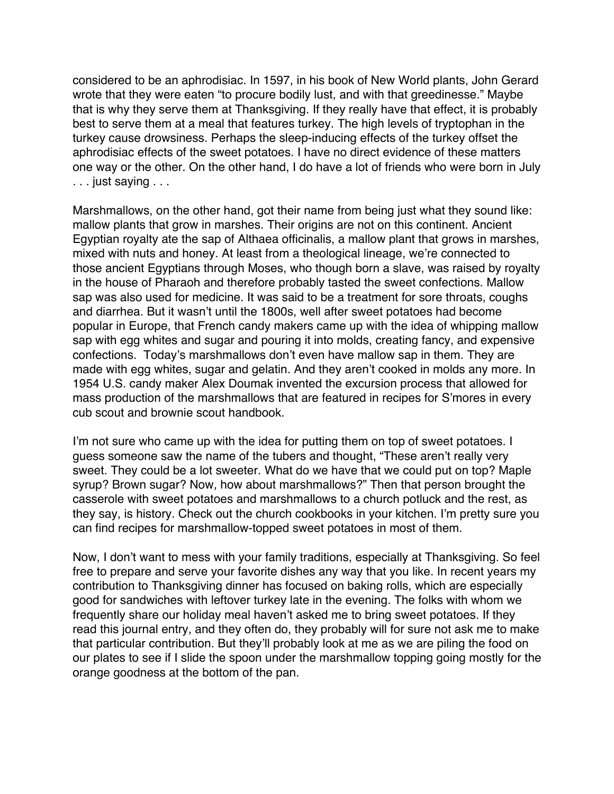considered to be an aphrodisiac. In 1597, in his book of New World plants, John Gerard wrote that they were eaten "to procure bodily lust, and with that greedinesse." Maybe that is why they serve them at Thanksgiving. If they really have that effect, it is probably best to serve them at a meal that features turkey. The high levels of tryptophan in the turkey cause drowsiness. Perhaps the sleep-inducing effects of the turkey offset the aphrodisiac effects of the sweet potatoes. I have no direct evidence of these matters one way or the other. On the other hand, I do have a lot of friends who were born in July . . . just saying . . .

Marshmallows, on the other hand, got their name from being just what they sound like: mallow plants that grow in marshes. Their origins are not on this continent. Ancient Egyptian royalty ate the sap of Althaea officinalis, a mallow plant that grows in marshes, mixed with nuts and honey. At least from a theological lineage, we're connected to those ancient Egyptians through Moses, who though born a slave, was raised by royalty in the house of Pharaoh and therefore probably tasted the sweet confections. Mallow sap was also used for medicine. It was said to be a treatment for sore throats, coughs and diarrhea. But it wasn't until the 1800s, well after sweet potatoes had become popular in Europe, that French candy makers came up with the idea of whipping mallow sap with egg whites and sugar and pouring it into molds, creating fancy, and expensive confections. Today's marshmallows don't even have mallow sap in them. They are made with egg whites, sugar and gelatin. And they aren't cooked in molds any more. In 1954 U.S. candy maker Alex Doumak invented the excursion process that allowed for mass production of the marshmallows that are featured in recipes for S'mores in every cub scout and brownie scout handbook.

I'm not sure who came up with the idea for putting them on top of sweet potatoes. I guess someone saw the name of the tubers and thought, "These aren't really very sweet. They could be a lot sweeter. What do we have that we could put on top? Maple syrup? Brown sugar? Now, how about marshmallows?" Then that person brought the casserole with sweet potatoes and marshmallows to a church potluck and the rest, as they say, is history. Check out the church cookbooks in your kitchen. I'm pretty sure you can find recipes for marshmallow-topped sweet potatoes in most of them.

Now, I don't want to mess with your family traditions, especially at Thanksgiving. So feel free to prepare and serve your favorite dishes any way that you like. In recent years my contribution to Thanksgiving dinner has focused on baking rolls, which are especially good for sandwiches with leftover turkey late in the evening. The folks with whom we frequently share our holiday meal haven't asked me to bring sweet potatoes. If they read this journal entry, and they often do, they probably will for sure not ask me to make that particular contribution. But they'll probably look at me as we are piling the food on our plates to see if I slide the spoon under the marshmallow topping going mostly for the orange goodness at the bottom of the pan.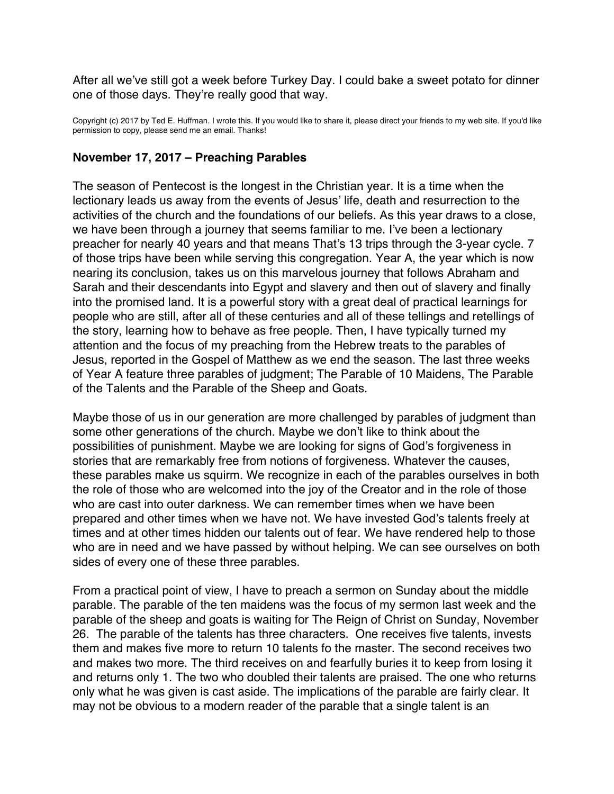<span id="page-34-0"></span>After all we've still got a week before Turkey Day. I could bake a sweet potato for dinner one of those days. They're really good that way.

Copyright (c) 2017 by Ted E. Huffman. I wrote this. If you would like to share it, please direct your friends to my web site. If you'd like permission to copy, please send me an email. Thanks!

# **November 17, 2017 – Preaching Parables**

The season of Pentecost is the longest in the Christian year. It is a time when the lectionary leads us away from the events of Jesus' life, death and resurrection to the activities of the church and the foundations of our beliefs. As this year draws to a close, we have been through a journey that seems familiar to me. I've been a lectionary preacher for nearly 40 years and that means That's 13 trips through the 3-year cycle. 7 of those trips have been while serving this congregation. Year A, the year which is now nearing its conclusion, takes us on this marvelous journey that follows Abraham and Sarah and their descendants into Egypt and slavery and then out of slavery and finally into the promised land. It is a powerful story with a great deal of practical learnings for people who are still, after all of these centuries and all of these tellings and retellings of the story, learning how to behave as free people. Then, I have typically turned my attention and the focus of my preaching from the Hebrew treats to the parables of Jesus, reported in the Gospel of Matthew as we end the season. The last three weeks of Year A feature three parables of judgment; The Parable of 10 Maidens, The Parable of the Talents and the Parable of the Sheep and Goats.

Maybe those of us in our generation are more challenged by parables of judgment than some other generations of the church. Maybe we don't like to think about the possibilities of punishment. Maybe we are looking for signs of God's forgiveness in stories that are remarkably free from notions of forgiveness. Whatever the causes, these parables make us squirm. We recognize in each of the parables ourselves in both the role of those who are welcomed into the joy of the Creator and in the role of those who are cast into outer darkness. We can remember times when we have been prepared and other times when we have not. We have invested God's talents freely at times and at other times hidden our talents out of fear. We have rendered help to those who are in need and we have passed by without helping. We can see ourselves on both sides of every one of these three parables.

From a practical point of view, I have to preach a sermon on Sunday about the middle parable. The parable of the ten maidens was the focus of my sermon last week and the parable of the sheep and goats is waiting for The Reign of Christ on Sunday, November 26. The parable of the talents has three characters. One receives five talents, invests them and makes five more to return 10 talents fo the master. The second receives two and makes two more. The third receives on and fearfully buries it to keep from losing it and returns only 1. The two who doubled their talents are praised. The one who returns only what he was given is cast aside. The implications of the parable are fairly clear. It may not be obvious to a modern reader of the parable that a single talent is an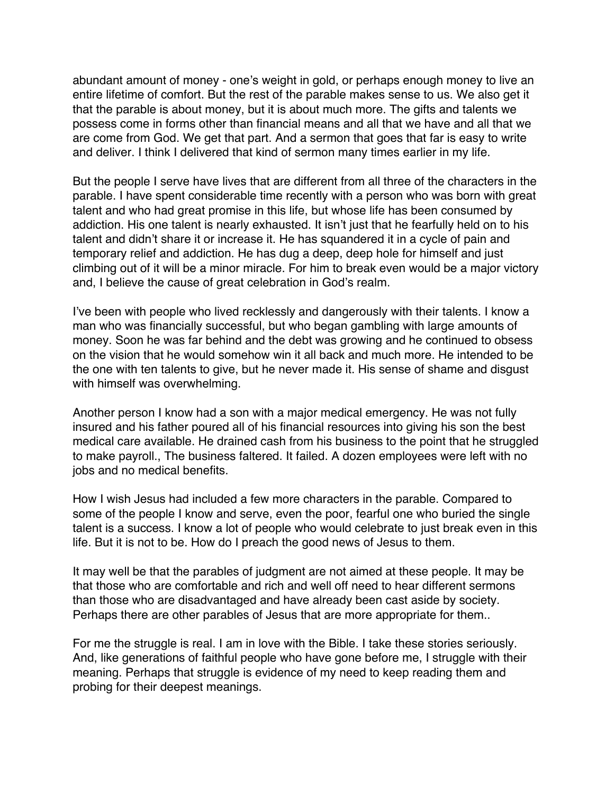abundant amount of money - one's weight in gold, or perhaps enough money to live an entire lifetime of comfort. But the rest of the parable makes sense to us. We also get it that the parable is about money, but it is about much more. The gifts and talents we possess come in forms other than financial means and all that we have and all that we are come from God. We get that part. And a sermon that goes that far is easy to write and deliver. I think I delivered that kind of sermon many times earlier in my life.

But the people I serve have lives that are different from all three of the characters in the parable. I have spent considerable time recently with a person who was born with great talent and who had great promise in this life, but whose life has been consumed by addiction. His one talent is nearly exhausted. It isn't just that he fearfully held on to his talent and didn't share it or increase it. He has squandered it in a cycle of pain and temporary relief and addiction. He has dug a deep, deep hole for himself and just climbing out of it will be a minor miracle. For him to break even would be a major victory and, I believe the cause of great celebration in God's realm.

I've been with people who lived recklessly and dangerously with their talents. I know a man who was financially successful, but who began gambling with large amounts of money. Soon he was far behind and the debt was growing and he continued to obsess on the vision that he would somehow win it all back and much more. He intended to be the one with ten talents to give, but he never made it. His sense of shame and disgust with himself was overwhelming.

Another person I know had a son with a major medical emergency. He was not fully insured and his father poured all of his financial resources into giving his son the best medical care available. He drained cash from his business to the point that he struggled to make payroll., The business faltered. It failed. A dozen employees were left with no jobs and no medical benefits.

How I wish Jesus had included a few more characters in the parable. Compared to some of the people I know and serve, even the poor, fearful one who buried the single talent is a success. I know a lot of people who would celebrate to just break even in this life. But it is not to be. How do I preach the good news of Jesus to them.

It may well be that the parables of judgment are not aimed at these people. It may be that those who are comfortable and rich and well off need to hear different sermons than those who are disadvantaged and have already been cast aside by society. Perhaps there are other parables of Jesus that are more appropriate for them..

For me the struggle is real. I am in love with the Bible. I take these stories seriously. And, like generations of faithful people who have gone before me, I struggle with their meaning. Perhaps that struggle is evidence of my need to keep reading them and probing for their deepest meanings.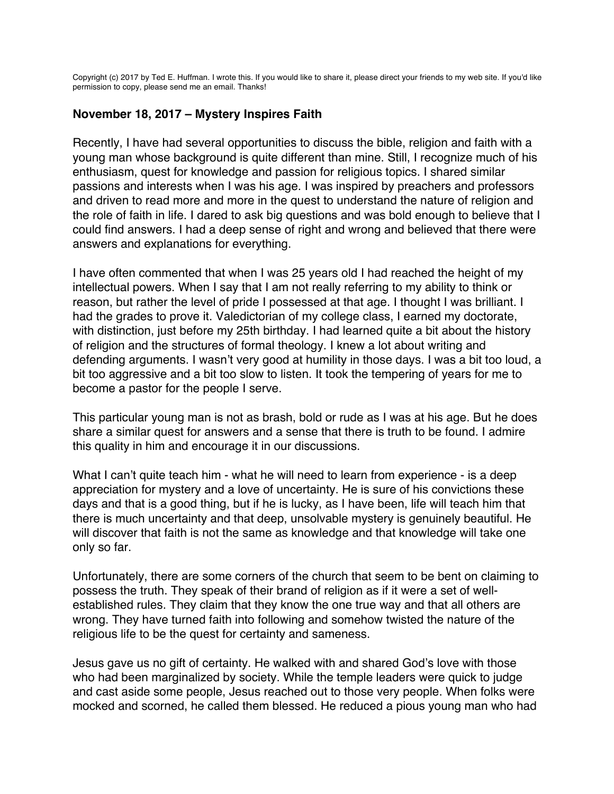<span id="page-36-0"></span>Copyright (c) 2017 by Ted E. Huffman. I wrote this. If you would like to share it, please direct your friends to my web site. If you'd like permission to copy, please send me an email. Thanks!

# **November 18, 2017 – Mystery Inspires Faith**

Recently, I have had several opportunities to discuss the bible, religion and faith with a young man whose background is quite different than mine. Still, I recognize much of his enthusiasm, quest for knowledge and passion for religious topics. I shared similar passions and interests when I was his age. I was inspired by preachers and professors and driven to read more and more in the quest to understand the nature of religion and the role of faith in life. I dared to ask big questions and was bold enough to believe that I could find answers. I had a deep sense of right and wrong and believed that there were answers and explanations for everything.

I have often commented that when I was 25 years old I had reached the height of my intellectual powers. When I say that I am not really referring to my ability to think or reason, but rather the level of pride I possessed at that age. I thought I was brilliant. I had the grades to prove it. Valedictorian of my college class, I earned my doctorate, with distinction, just before my 25th birthday. I had learned quite a bit about the history of religion and the structures of formal theology. I knew a lot about writing and defending arguments. I wasn't very good at humility in those days. I was a bit too loud, a bit too aggressive and a bit too slow to listen. It took the tempering of years for me to become a pastor for the people I serve.

This particular young man is not as brash, bold or rude as I was at his age. But he does share a similar quest for answers and a sense that there is truth to be found. I admire this quality in him and encourage it in our discussions.

What I can't quite teach him - what he will need to learn from experience - is a deep appreciation for mystery and a love of uncertainty. He is sure of his convictions these days and that is a good thing, but if he is lucky, as I have been, life will teach him that there is much uncertainty and that deep, unsolvable mystery is genuinely beautiful. He will discover that faith is not the same as knowledge and that knowledge will take one only so far.

Unfortunately, there are some corners of the church that seem to be bent on claiming to possess the truth. They speak of their brand of religion as if it were a set of wellestablished rules. They claim that they know the one true way and that all others are wrong. They have turned faith into following and somehow twisted the nature of the religious life to be the quest for certainty and sameness.

Jesus gave us no gift of certainty. He walked with and shared God's love with those who had been marginalized by society. While the temple leaders were quick to judge and cast aside some people, Jesus reached out to those very people. When folks were mocked and scorned, he called them blessed. He reduced a pious young man who had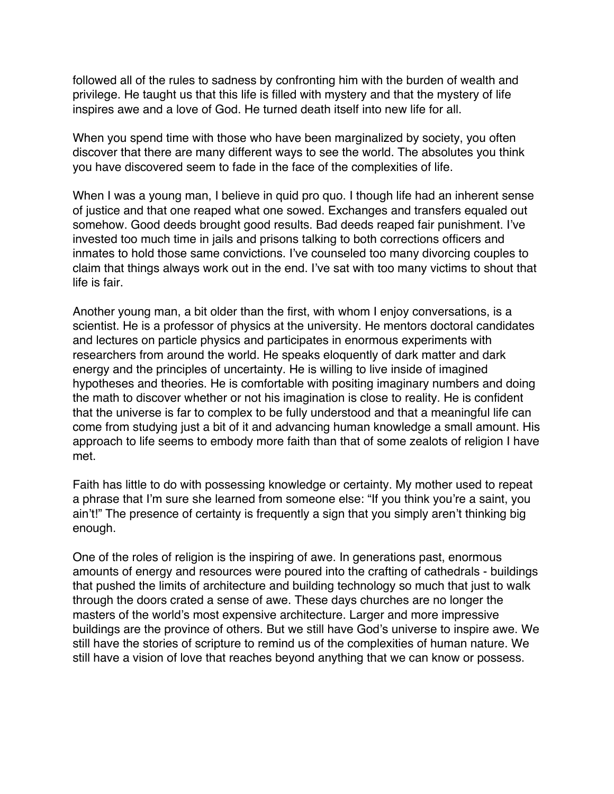followed all of the rules to sadness by confronting him with the burden of wealth and privilege. He taught us that this life is filled with mystery and that the mystery of life inspires awe and a love of God. He turned death itself into new life for all.

When you spend time with those who have been marginalized by society, you often discover that there are many different ways to see the world. The absolutes you think you have discovered seem to fade in the face of the complexities of life.

When I was a young man, I believe in quid pro quo. I though life had an inherent sense of justice and that one reaped what one sowed. Exchanges and transfers equaled out somehow. Good deeds brought good results. Bad deeds reaped fair punishment. I've invested too much time in jails and prisons talking to both corrections officers and inmates to hold those same convictions. I've counseled too many divorcing couples to claim that things always work out in the end. I've sat with too many victims to shout that life is fair.

Another young man, a bit older than the first, with whom I enjoy conversations, is a scientist. He is a professor of physics at the university. He mentors doctoral candidates and lectures on particle physics and participates in enormous experiments with researchers from around the world. He speaks eloquently of dark matter and dark energy and the principles of uncertainty. He is willing to live inside of imagined hypotheses and theories. He is comfortable with positing imaginary numbers and doing the math to discover whether or not his imagination is close to reality. He is confident that the universe is far to complex to be fully understood and that a meaningful life can come from studying just a bit of it and advancing human knowledge a small amount. His approach to life seems to embody more faith than that of some zealots of religion I have met.

Faith has little to do with possessing knowledge or certainty. My mother used to repeat a phrase that I'm sure she learned from someone else: "If you think you're a saint, you ain't!" The presence of certainty is frequently a sign that you simply aren't thinking big enough.

One of the roles of religion is the inspiring of awe. In generations past, enormous amounts of energy and resources were poured into the crafting of cathedrals - buildings that pushed the limits of architecture and building technology so much that just to walk through the doors crated a sense of awe. These days churches are no longer the masters of the world's most expensive architecture. Larger and more impressive buildings are the province of others. But we still have God's universe to inspire awe. We still have the stories of scripture to remind us of the complexities of human nature. We still have a vision of love that reaches beyond anything that we can know or possess.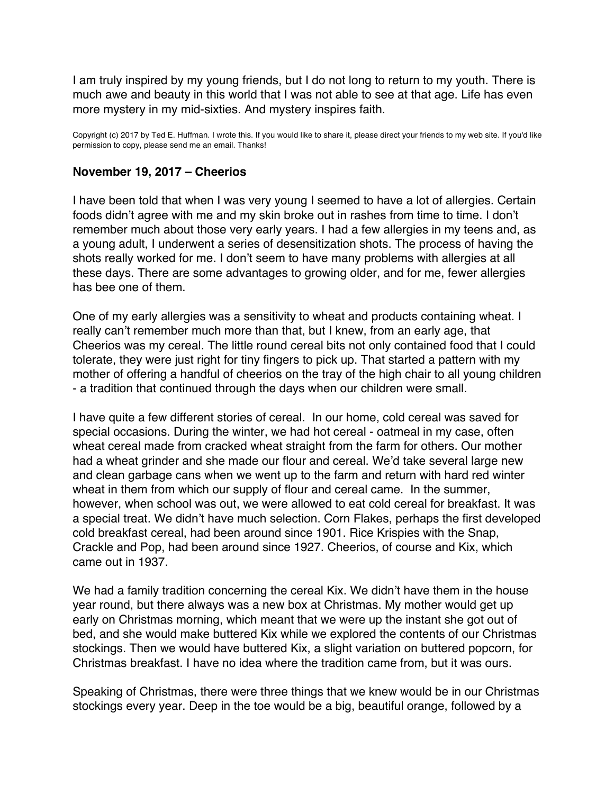<span id="page-38-0"></span>I am truly inspired by my young friends, but I do not long to return to my youth. There is much awe and beauty in this world that I was not able to see at that age. Life has even more mystery in my mid-sixties. And mystery inspires faith.

Copyright (c) 2017 by Ted E. Huffman. I wrote this. If you would like to share it, please direct your friends to my web site. If you'd like permission to copy, please send me an email. Thanks!

### **November 19, 2017 – Cheerios**

I have been told that when I was very young I seemed to have a lot of allergies. Certain foods didn't agree with me and my skin broke out in rashes from time to time. I don't remember much about those very early years. I had a few allergies in my teens and, as a young adult, I underwent a series of desensitization shots. The process of having the shots really worked for me. I don't seem to have many problems with allergies at all these days. There are some advantages to growing older, and for me, fewer allergies has bee one of them.

One of my early allergies was a sensitivity to wheat and products containing wheat. I really can't remember much more than that, but I knew, from an early age, that Cheerios was my cereal. The little round cereal bits not only contained food that I could tolerate, they were just right for tiny fingers to pick up. That started a pattern with my mother of offering a handful of cheerios on the tray of the high chair to all young children - a tradition that continued through the days when our children were small.

I have quite a few different stories of cereal. In our home, cold cereal was saved for special occasions. During the winter, we had hot cereal - oatmeal in my case, often wheat cereal made from cracked wheat straight from the farm for others. Our mother had a wheat grinder and she made our flour and cereal. We'd take several large new and clean garbage cans when we went up to the farm and return with hard red winter wheat in them from which our supply of flour and cereal came. In the summer, however, when school was out, we were allowed to eat cold cereal for breakfast. It was a special treat. We didn't have much selection. Corn Flakes, perhaps the first developed cold breakfast cereal, had been around since 1901. Rice Krispies with the Snap, Crackle and Pop, had been around since 1927. Cheerios, of course and Kix, which came out in 1937.

We had a family tradition concerning the cereal Kix. We didn't have them in the house year round, but there always was a new box at Christmas. My mother would get up early on Christmas morning, which meant that we were up the instant she got out of bed, and she would make buttered Kix while we explored the contents of our Christmas stockings. Then we would have buttered Kix, a slight variation on buttered popcorn, for Christmas breakfast. I have no idea where the tradition came from, but it was ours.

Speaking of Christmas, there were three things that we knew would be in our Christmas stockings every year. Deep in the toe would be a big, beautiful orange, followed by a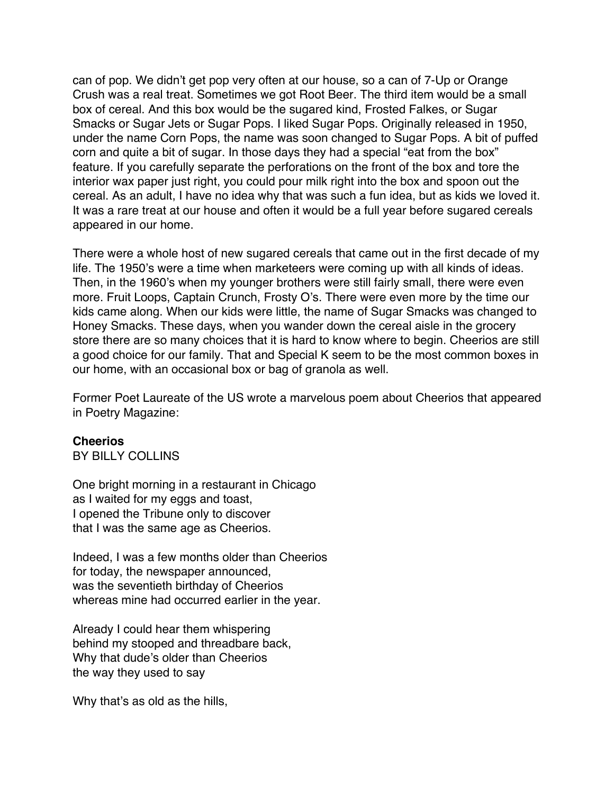can of pop. We didn't get pop very often at our house, so a can of 7-Up or Orange Crush was a real treat. Sometimes we got Root Beer. The third item would be a small box of cereal. And this box would be the sugared kind, Frosted Falkes, or Sugar Smacks or Sugar Jets or Sugar Pops. I liked Sugar Pops. Originally released in 1950, under the name Corn Pops, the name was soon changed to Sugar Pops. A bit of puffed corn and quite a bit of sugar. In those days they had a special "eat from the box" feature. If you carefully separate the perforations on the front of the box and tore the interior wax paper just right, you could pour milk right into the box and spoon out the cereal. As an adult, I have no idea why that was such a fun idea, but as kids we loved it. It was a rare treat at our house and often it would be a full year before sugared cereals appeared in our home.

There were a whole host of new sugared cereals that came out in the first decade of my life. The 1950's were a time when marketeers were coming up with all kinds of ideas. Then, in the 1960's when my younger brothers were still fairly small, there were even more. Fruit Loops, Captain Crunch, Frosty O's. There were even more by the time our kids came along. When our kids were little, the name of Sugar Smacks was changed to Honey Smacks. These days, when you wander down the cereal aisle in the grocery store there are so many choices that it is hard to know where to begin. Cheerios are still a good choice for our family. That and Special K seem to be the most common boxes in our home, with an occasional box or bag of granola as well.

Former Poet Laureate of the US wrote a marvelous poem about Cheerios that appeared in Poetry Magazine:

# **Cheerios**

BY BILLY COLLINS

One bright morning in a restaurant in Chicago as I waited for my eggs and toast, I opened the Tribune only to discover that I was the same age as Cheerios.

Indeed, I was a few months older than Cheerios for today, the newspaper announced, was the seventieth birthday of Cheerios whereas mine had occurred earlier in the year.

Already I could hear them whispering behind my stooped and threadbare back, Why that dude's older than Cheerios the way they used to say

Why that's as old as the hills,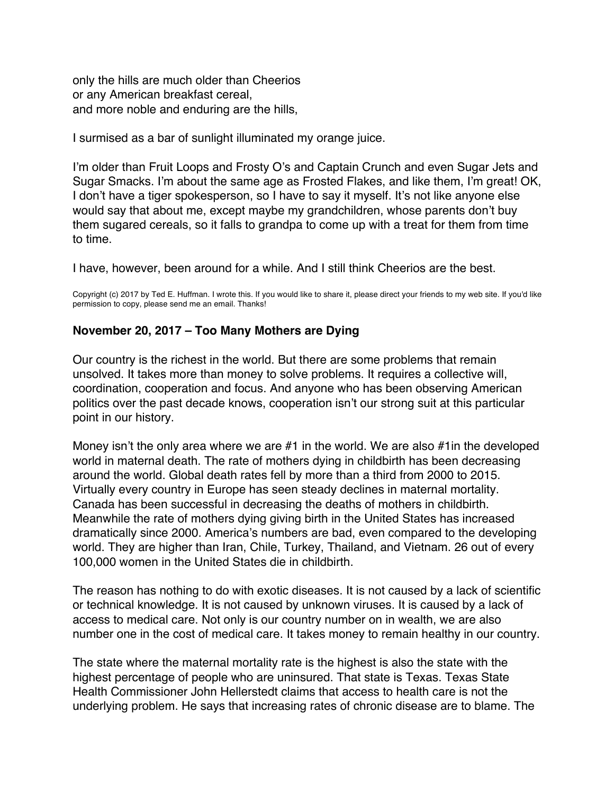<span id="page-40-0"></span>only the hills are much older than Cheerios or any American breakfast cereal, and more noble and enduring are the hills,

I surmised as a bar of sunlight illuminated my orange juice.

I'm older than Fruit Loops and Frosty O's and Captain Crunch and even Sugar Jets and Sugar Smacks. I'm about the same age as Frosted Flakes, and like them, I'm great! OK, I don't have a tiger spokesperson, so I have to say it myself. It's not like anyone else would say that about me, except maybe my grandchildren, whose parents don't buy them sugared cereals, so it falls to grandpa to come up with a treat for them from time to time.

I have, however, been around for a while. And I still think Cheerios are the best.

Copyright (c) 2017 by Ted E. Huffman. I wrote this. If you would like to share it, please direct your friends to my web site. If you'd like permission to copy, please send me an email. Thanks!

# **November 20, 2017 – Too Many Mothers are Dying**

Our country is the richest in the world. But there are some problems that remain unsolved. It takes more than money to solve problems. It requires a collective will, coordination, cooperation and focus. And anyone who has been observing American politics over the past decade knows, cooperation isn't our strong suit at this particular point in our history.

Money isn't the only area where we are #1 in the world. We are also #1in the developed world in maternal death. The rate of mothers dying in childbirth has been decreasing around the world. Global death rates fell by more than a third from 2000 to 2015. Virtually every country in Europe has seen steady declines in maternal mortality. Canada has been successful in decreasing the deaths of mothers in childbirth. Meanwhile the rate of mothers dying giving birth in the United States has increased dramatically since 2000. America's numbers are bad, even compared to the developing world. They are higher than Iran, Chile, Turkey, Thailand, and Vietnam. 26 out of every 100,000 women in the United States die in childbirth.

The reason has nothing to do with exotic diseases. It is not caused by a lack of scientific or technical knowledge. It is not caused by unknown viruses. It is caused by a lack of access to medical care. Not only is our country number on in wealth, we are also number one in the cost of medical care. It takes money to remain healthy in our country.

The state where the maternal mortality rate is the highest is also the state with the highest percentage of people who are uninsured. That state is Texas. Texas State Health Commissioner John Hellerstedt claims that access to health care is not the underlying problem. He says that increasing rates of chronic disease are to blame. The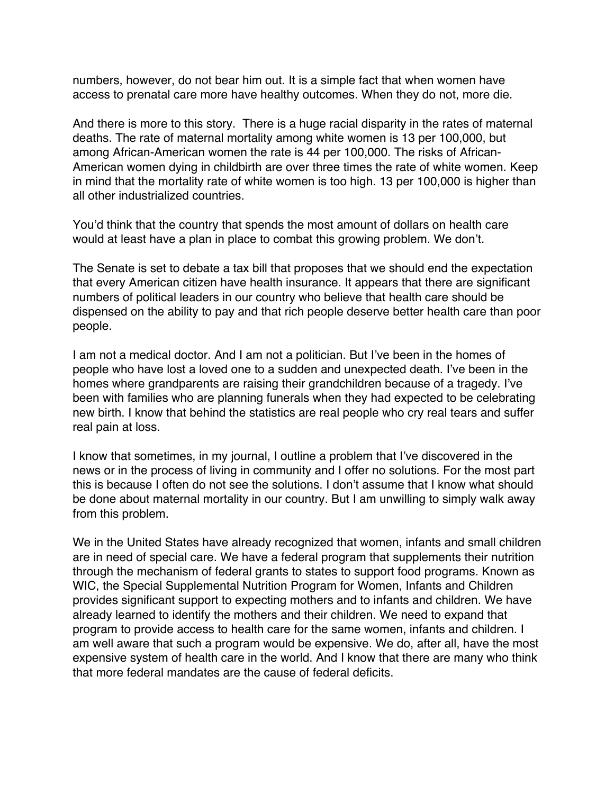numbers, however, do not bear him out. It is a simple fact that when women have access to prenatal care more have healthy outcomes. When they do not, more die.

And there is more to this story. There is a huge racial disparity in the rates of maternal deaths. The rate of maternal mortality among white women is 13 per 100,000, but among African-American women the rate is 44 per 100,000. The risks of African-American women dying in childbirth are over three times the rate of white women. Keep in mind that the mortality rate of white women is too high. 13 per 100,000 is higher than all other industrialized countries.

You'd think that the country that spends the most amount of dollars on health care would at least have a plan in place to combat this growing problem. We don't.

The Senate is set to debate a tax bill that proposes that we should end the expectation that every American citizen have health insurance. It appears that there are significant numbers of political leaders in our country who believe that health care should be dispensed on the ability to pay and that rich people deserve better health care than poor people.

I am not a medical doctor. And I am not a politician. But I've been in the homes of people who have lost a loved one to a sudden and unexpected death. I've been in the homes where grandparents are raising their grandchildren because of a tragedy. I've been with families who are planning funerals when they had expected to be celebrating new birth. I know that behind the statistics are real people who cry real tears and suffer real pain at loss.

I know that sometimes, in my journal, I outline a problem that I've discovered in the news or in the process of living in community and I offer no solutions. For the most part this is because I often do not see the solutions. I don't assume that I know what should be done about maternal mortality in our country. But I am unwilling to simply walk away from this problem.

We in the United States have already recognized that women, infants and small children are in need of special care. We have a federal program that supplements their nutrition through the mechanism of federal grants to states to support food programs. Known as WIC, the Special Supplemental Nutrition Program for Women, Infants and Children provides significant support to expecting mothers and to infants and children. We have already learned to identify the mothers and their children. We need to expand that program to provide access to health care for the same women, infants and children. I am well aware that such a program would be expensive. We do, after all, have the most expensive system of health care in the world. And I know that there are many who think that more federal mandates are the cause of federal deficits.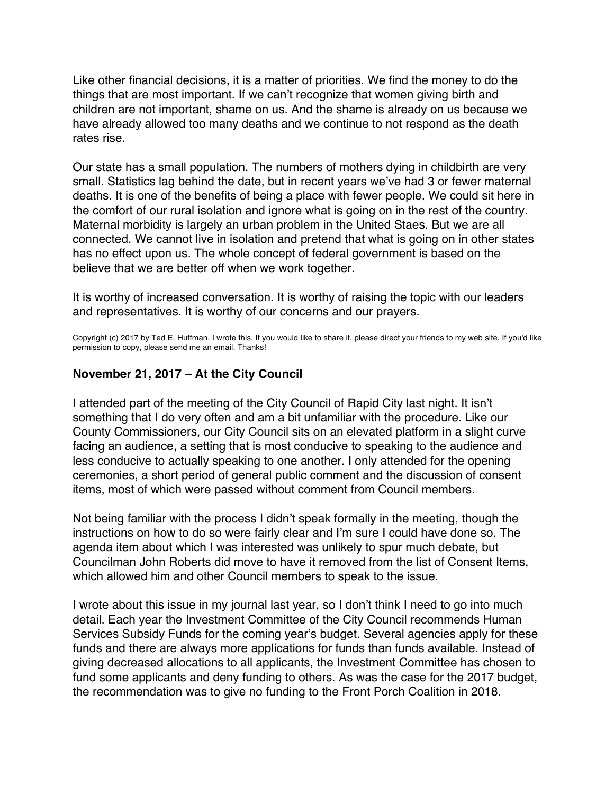<span id="page-42-0"></span>Like other financial decisions, it is a matter of priorities. We find the money to do the things that are most important. If we can't recognize that women giving birth and children are not important, shame on us. And the shame is already on us because we have already allowed too many deaths and we continue to not respond as the death rates rise.

Our state has a small population. The numbers of mothers dying in childbirth are very small. Statistics lag behind the date, but in recent years we've had 3 or fewer maternal deaths. It is one of the benefits of being a place with fewer people. We could sit here in the comfort of our rural isolation and ignore what is going on in the rest of the country. Maternal morbidity is largely an urban problem in the United Staes. But we are all connected. We cannot live in isolation and pretend that what is going on in other states has no effect upon us. The whole concept of federal government is based on the believe that we are better off when we work together.

It is worthy of increased conversation. It is worthy of raising the topic with our leaders and representatives. It is worthy of our concerns and our prayers.

Copyright (c) 2017 by Ted E. Huffman. I wrote this. If you would like to share it, please direct your friends to my web site. If you'd like permission to copy, please send me an email. Thanks!

# **November 21, 2017 – At the City Council**

I attended part of the meeting of the City Council of Rapid City last night. It isn't something that I do very often and am a bit unfamiliar with the procedure. Like our County Commissioners, our City Council sits on an elevated platform in a slight curve facing an audience, a setting that is most conducive to speaking to the audience and less conducive to actually speaking to one another. I only attended for the opening ceremonies, a short period of general public comment and the discussion of consent items, most of which were passed without comment from Council members.

Not being familiar with the process I didn't speak formally in the meeting, though the instructions on how to do so were fairly clear and I'm sure I could have done so. The agenda item about which I was interested was unlikely to spur much debate, but Councilman John Roberts did move to have it removed from the list of Consent Items, which allowed him and other Council members to speak to the issue.

I wrote about this issue in my journal last year, so I don't think I need to go into much detail. Each year the Investment Committee of the City Council recommends Human Services Subsidy Funds for the coming year's budget. Several agencies apply for these funds and there are always more applications for funds than funds available. Instead of giving decreased allocations to all applicants, the Investment Committee has chosen to fund some applicants and deny funding to others. As was the case for the 2017 budget, the recommendation was to give no funding to the Front Porch Coalition in 2018.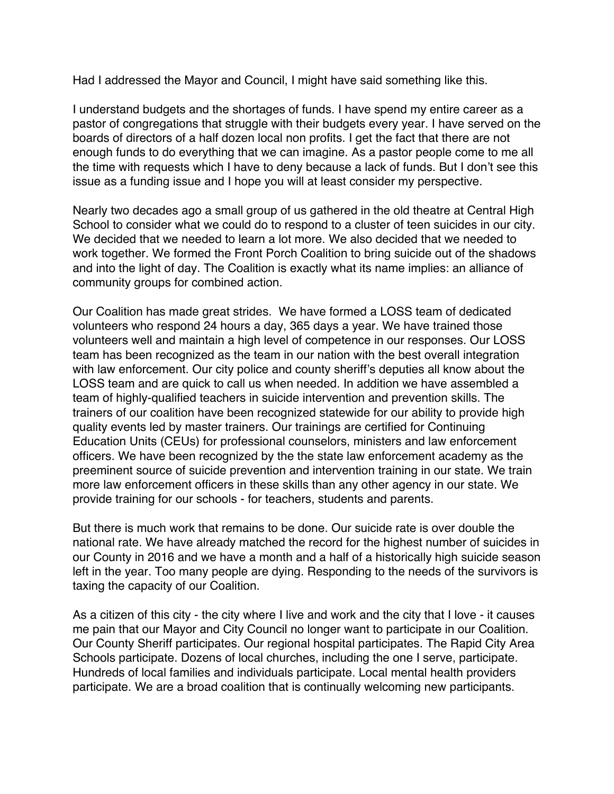Had I addressed the Mayor and Council, I might have said something like this.

I understand budgets and the shortages of funds. I have spend my entire career as a pastor of congregations that struggle with their budgets every year. I have served on the boards of directors of a half dozen local non profits. I get the fact that there are not enough funds to do everything that we can imagine. As a pastor people come to me all the time with requests which I have to deny because a lack of funds. But I don't see this issue as a funding issue and I hope you will at least consider my perspective.

Nearly two decades ago a small group of us gathered in the old theatre at Central High School to consider what we could do to respond to a cluster of teen suicides in our city. We decided that we needed to learn a lot more. We also decided that we needed to work together. We formed the Front Porch Coalition to bring suicide out of the shadows and into the light of day. The Coalition is exactly what its name implies: an alliance of community groups for combined action.

Our Coalition has made great strides. We have formed a LOSS team of dedicated volunteers who respond 24 hours a day, 365 days a year. We have trained those volunteers well and maintain a high level of competence in our responses. Our LOSS team has been recognized as the team in our nation with the best overall integration with law enforcement. Our city police and county sheriff's deputies all know about the LOSS team and are quick to call us when needed. In addition we have assembled a team of highly-qualified teachers in suicide intervention and prevention skills. The trainers of our coalition have been recognized statewide for our ability to provide high quality events led by master trainers. Our trainings are certified for Continuing Education Units (CEUs) for professional counselors, ministers and law enforcement officers. We have been recognized by the the state law enforcement academy as the preeminent source of suicide prevention and intervention training in our state. We train more law enforcement officers in these skills than any other agency in our state. We provide training for our schools - for teachers, students and parents.

But there is much work that remains to be done. Our suicide rate is over double the national rate. We have already matched the record for the highest number of suicides in our County in 2016 and we have a month and a half of a historically high suicide season left in the year. Too many people are dying. Responding to the needs of the survivors is taxing the capacity of our Coalition.

As a citizen of this city - the city where I live and work and the city that I love - it causes me pain that our Mayor and City Council no longer want to participate in our Coalition. Our County Sheriff participates. Our regional hospital participates. The Rapid City Area Schools participate. Dozens of local churches, including the one I serve, participate. Hundreds of local families and individuals participate. Local mental health providers participate. We are a broad coalition that is continually welcoming new participants.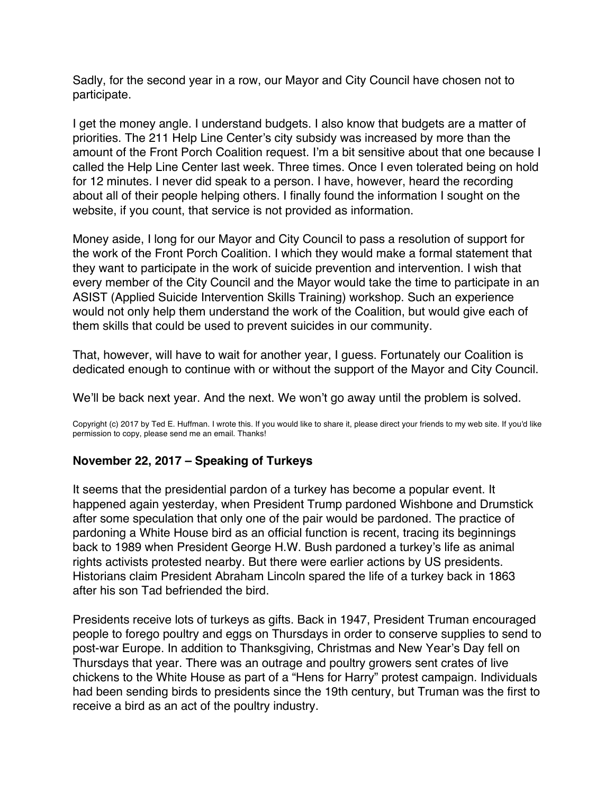<span id="page-44-0"></span>Sadly, for the second year in a row, our Mayor and City Council have chosen not to participate.

I get the money angle. I understand budgets. I also know that budgets are a matter of priorities. The 211 Help Line Center's city subsidy was increased by more than the amount of the Front Porch Coalition request. I'm a bit sensitive about that one because I called the Help Line Center last week. Three times. Once I even tolerated being on hold for 12 minutes. I never did speak to a person. I have, however, heard the recording about all of their people helping others. I finally found the information I sought on the website, if you count, that service is not provided as information.

Money aside, I long for our Mayor and City Council to pass a resolution of support for the work of the Front Porch Coalition. I which they would make a formal statement that they want to participate in the work of suicide prevention and intervention. I wish that every member of the City Council and the Mayor would take the time to participate in an ASIST (Applied Suicide Intervention Skills Training) workshop. Such an experience would not only help them understand the work of the Coalition, but would give each of them skills that could be used to prevent suicides in our community.

That, however, will have to wait for another year, I guess. Fortunately our Coalition is dedicated enough to continue with or without the support of the Mayor and City Council.

We'll be back next year. And the next. We won't go away until the problem is solved.

Copyright (c) 2017 by Ted E. Huffman. I wrote this. If you would like to share it, please direct your friends to my web site. If you'd like permission to copy, please send me an email. Thanks!

# **November 22, 2017 – Speaking of Turkeys**

It seems that the presidential pardon of a turkey has become a popular event. It happened again yesterday, when President Trump pardoned Wishbone and Drumstick after some speculation that only one of the pair would be pardoned. The practice of pardoning a White House bird as an official function is recent, tracing its beginnings back to 1989 when President George H.W. Bush pardoned a turkey's life as animal rights activists protested nearby. But there were earlier actions by US presidents. Historians claim President Abraham Lincoln spared the life of a turkey back in 1863 after his son Tad befriended the bird.

Presidents receive lots of turkeys as gifts. Back in 1947, President Truman encouraged people to forego poultry and eggs on Thursdays in order to conserve supplies to send to post-war Europe. In addition to Thanksgiving, Christmas and New Year's Day fell on Thursdays that year. There was an outrage and poultry growers sent crates of live chickens to the White House as part of a "Hens for Harry" protest campaign. Individuals had been sending birds to presidents since the 19th century, but Truman was the first to receive a bird as an act of the poultry industry.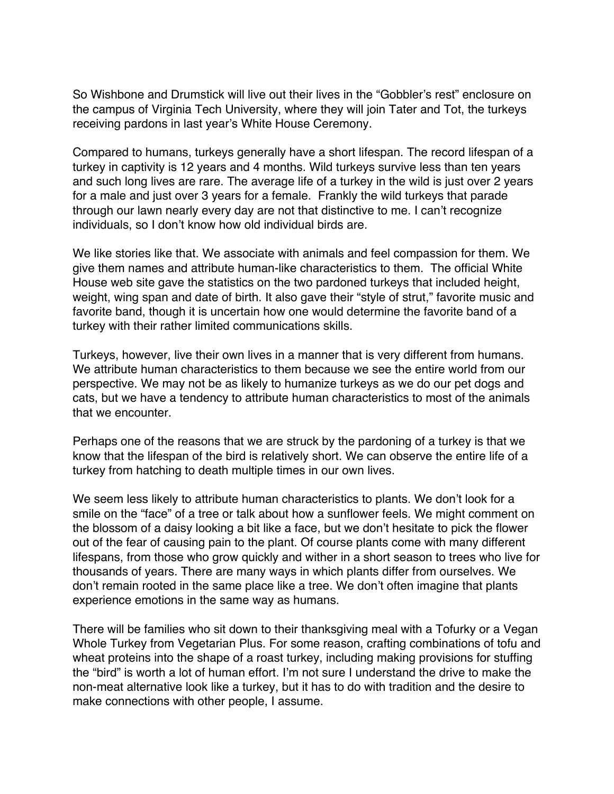So Wishbone and Drumstick will live out their lives in the "Gobbler's rest" enclosure on the campus of Virginia Tech University, where they will join Tater and Tot, the turkeys receiving pardons in last year's White House Ceremony.

Compared to humans, turkeys generally have a short lifespan. The record lifespan of a turkey in captivity is 12 years and 4 months. Wild turkeys survive less than ten years and such long lives are rare. The average life of a turkey in the wild is just over 2 years for a male and just over 3 years for a female. Frankly the wild turkeys that parade through our lawn nearly every day are not that distinctive to me. I can't recognize individuals, so I don't know how old individual birds are.

We like stories like that. We associate with animals and feel compassion for them. We give them names and attribute human-like characteristics to them. The official White House web site gave the statistics on the two pardoned turkeys that included height, weight, wing span and date of birth. It also gave their "style of strut," favorite music and favorite band, though it is uncertain how one would determine the favorite band of a turkey with their rather limited communications skills.

Turkeys, however, live their own lives in a manner that is very different from humans. We attribute human characteristics to them because we see the entire world from our perspective. We may not be as likely to humanize turkeys as we do our pet dogs and cats, but we have a tendency to attribute human characteristics to most of the animals that we encounter.

Perhaps one of the reasons that we are struck by the pardoning of a turkey is that we know that the lifespan of the bird is relatively short. We can observe the entire life of a turkey from hatching to death multiple times in our own lives.

We seem less likely to attribute human characteristics to plants. We don't look for a smile on the "face" of a tree or talk about how a sunflower feels. We might comment on the blossom of a daisy looking a bit like a face, but we don't hesitate to pick the flower out of the fear of causing pain to the plant. Of course plants come with many different lifespans, from those who grow quickly and wither in a short season to trees who live for thousands of years. There are many ways in which plants differ from ourselves. We don't remain rooted in the same place like a tree. We don't often imagine that plants experience emotions in the same way as humans.

There will be families who sit down to their thanksgiving meal with a Tofurky or a Vegan Whole Turkey from Vegetarian Plus. For some reason, crafting combinations of tofu and wheat proteins into the shape of a roast turkey, including making provisions for stuffing the "bird" is worth a lot of human effort. I'm not sure I understand the drive to make the non-meat alternative look like a turkey, but it has to do with tradition and the desire to make connections with other people, I assume.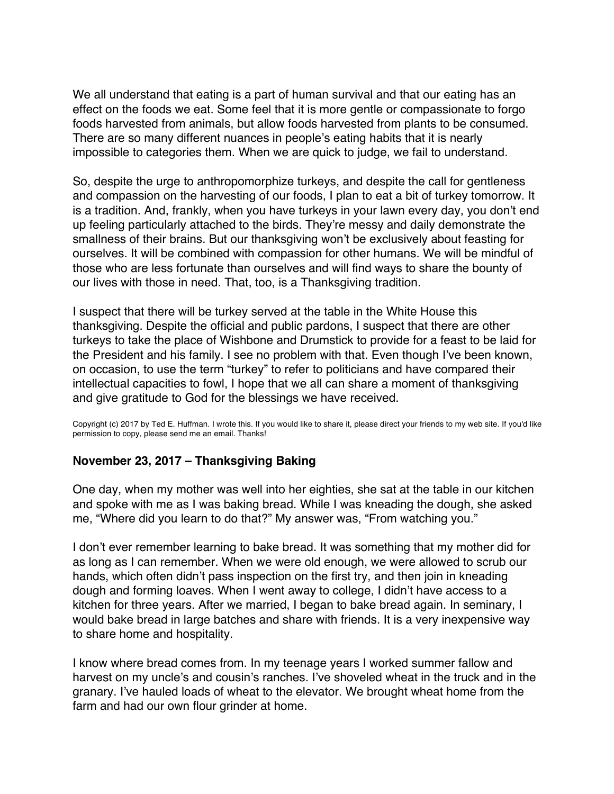<span id="page-46-0"></span>We all understand that eating is a part of human survival and that our eating has an effect on the foods we eat. Some feel that it is more gentle or compassionate to forgo foods harvested from animals, but allow foods harvested from plants to be consumed. There are so many different nuances in people's eating habits that it is nearly impossible to categories them. When we are quick to judge, we fail to understand.

So, despite the urge to anthropomorphize turkeys, and despite the call for gentleness and compassion on the harvesting of our foods, I plan to eat a bit of turkey tomorrow. It is a tradition. And, frankly, when you have turkeys in your lawn every day, you don't end up feeling particularly attached to the birds. They're messy and daily demonstrate the smallness of their brains. But our thanksgiving won't be exclusively about feasting for ourselves. It will be combined with compassion for other humans. We will be mindful of those who are less fortunate than ourselves and will find ways to share the bounty of our lives with those in need. That, too, is a Thanksgiving tradition.

I suspect that there will be turkey served at the table in the White House this thanksgiving. Despite the official and public pardons, I suspect that there are other turkeys to take the place of Wishbone and Drumstick to provide for a feast to be laid for the President and his family. I see no problem with that. Even though I've been known, on occasion, to use the term "turkey" to refer to politicians and have compared their intellectual capacities to fowl, I hope that we all can share a moment of thanksgiving and give gratitude to God for the blessings we have received.

Copyright (c) 2017 by Ted E. Huffman. I wrote this. If you would like to share it, please direct your friends to my web site. If you'd like permission to copy, please send me an email. Thanks!

# **November 23, 2017 – Thanksgiving Baking**

One day, when my mother was well into her eighties, she sat at the table in our kitchen and spoke with me as I was baking bread. While I was kneading the dough, she asked me, "Where did you learn to do that?" My answer was, "From watching you."

I don't ever remember learning to bake bread. It was something that my mother did for as long as I can remember. When we were old enough, we were allowed to scrub our hands, which often didn't pass inspection on the first try, and then join in kneading dough and forming loaves. When I went away to college, I didn't have access to a kitchen for three years. After we married, I began to bake bread again. In seminary, I would bake bread in large batches and share with friends. It is a very inexpensive way to share home and hospitality.

I know where bread comes from. In my teenage years I worked summer fallow and harvest on my uncle's and cousin's ranches. I've shoveled wheat in the truck and in the granary. I've hauled loads of wheat to the elevator. We brought wheat home from the farm and had our own flour grinder at home.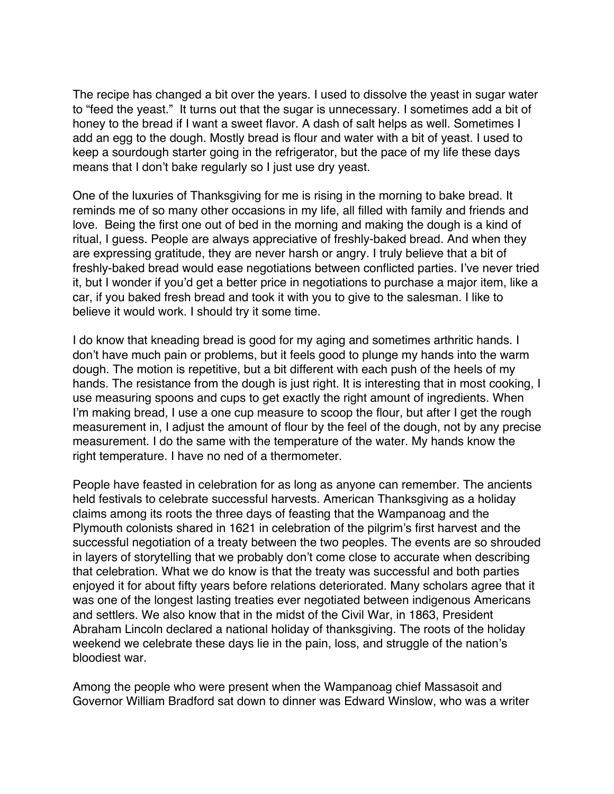The recipe has changed a bit over the years. I used to dissolve the yeast in sugar water to "feed the yeast." It turns out that the sugar is unnecessary. I sometimes add a bit of honey to the bread if I want a sweet flavor. A dash of salt helps as well. Sometimes I add an egg to the dough. Mostly bread is flour and water with a bit of yeast. I used to keep a sourdough starter going in the refrigerator, but the pace of my life these days means that I don't bake regularly so I just use dry yeast.

One of the luxuries of Thanksgiving for me is rising in the morning to bake bread. It reminds me of so many other occasions in my life, all filled with family and friends and love. Being the first one out of bed in the morning and making the dough is a kind of ritual, I guess. People are always appreciative of freshly-baked bread. And when they are expressing gratitude, they are never harsh or angry. I truly believe that a bit of freshly-baked bread would ease negotiations between conflicted parties. I've never tried it, but I wonder if you'd get a better price in negotiations to purchase a major item, like a car, if you baked fresh bread and took it with you to give to the salesman. I like to believe it would work. I should try it some time.

I do know that kneading bread is good for my aging and sometimes arthritic hands. I don't have much pain or problems, but it feels good to plunge my hands into the warm dough. The motion is repetitive, but a bit different with each push of the heels of my hands. The resistance from the dough is just right. It is interesting that in most cooking, I use measuring spoons and cups to get exactly the right amount of ingredients. When I'm making bread, I use a one cup measure to scoop the flour, but after I get the rough measurement in, I adjust the amount of flour by the feel of the dough, not by any precise measurement. I do the same with the temperature of the water. My hands know the right temperature. I have no ned of a thermometer.

People have feasted in celebration for as long as anyone can remember. The ancients held festivals to celebrate successful harvests. American Thanksgiving as a holiday claims among its roots the three days of feasting that the Wampanoag and the Plymouth colonists shared in 1621 in celebration of the pilgrim's first harvest and the successful negotiation of a treaty between the two peoples. The events are so shrouded in layers of storytelling that we probably don't come close to accurate when describing that celebration. What we do know is that the treaty was successful and both parties enjoyed it for about fifty years before relations deteriorated. Many scholars agree that it was one of the longest lasting treaties ever negotiated between indigenous Americans and settlers. We also know that in the midst of the Civil War, in 1863, President Abraham Lincoln declared a national holiday of thanksgiving. The roots of the holiday weekend we celebrate these days lie in the pain, loss, and struggle of the nation's bloodiest war.

Among the people who were present when the Wampanoag chief Massasoit and Governor William Bradford sat down to dinner was Edward Winslow, who was a writer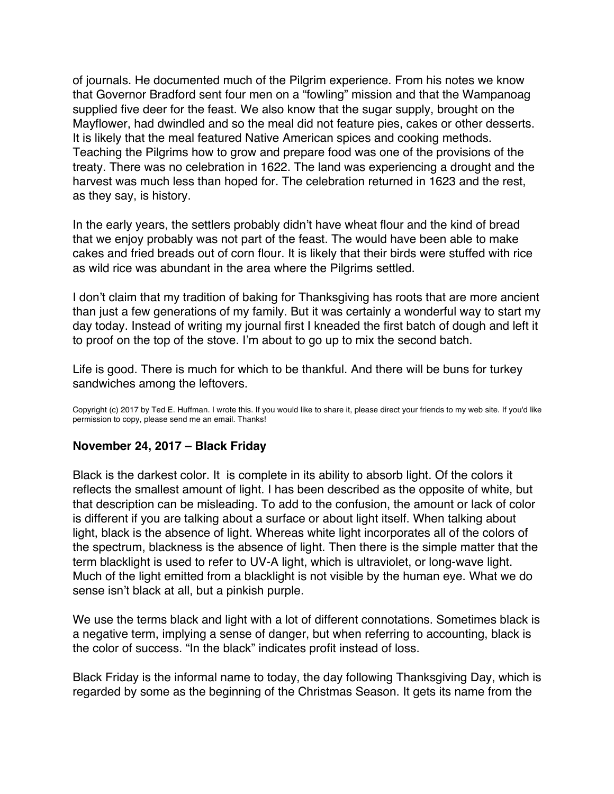<span id="page-48-0"></span>of journals. He documented much of the Pilgrim experience. From his notes we know that Governor Bradford sent four men on a "fowling" mission and that the Wampanoag supplied five deer for the feast. We also know that the sugar supply, brought on the Mayflower, had dwindled and so the meal did not feature pies, cakes or other desserts. It is likely that the meal featured Native American spices and cooking methods. Teaching the Pilgrims how to grow and prepare food was one of the provisions of the treaty. There was no celebration in 1622. The land was experiencing a drought and the harvest was much less than hoped for. The celebration returned in 1623 and the rest, as they say, is history.

In the early years, the settlers probably didn't have wheat flour and the kind of bread that we enjoy probably was not part of the feast. The would have been able to make cakes and fried breads out of corn flour. It is likely that their birds were stuffed with rice as wild rice was abundant in the area where the Pilgrims settled.

I don't claim that my tradition of baking for Thanksgiving has roots that are more ancient than just a few generations of my family. But it was certainly a wonderful way to start my day today. Instead of writing my journal first I kneaded the first batch of dough and left it to proof on the top of the stove. I'm about to go up to mix the second batch.

Life is good. There is much for which to be thankful. And there will be buns for turkey sandwiches among the leftovers.

Copyright (c) 2017 by Ted E. Huffman. I wrote this. If you would like to share it, please direct your friends to my web site. If you'd like permission to copy, please send me an email. Thanks!

#### **November 24, 2017 – Black Friday**

Black is the darkest color. It is complete in its ability to absorb light. Of the colors it reflects the smallest amount of light. I has been described as the opposite of white, but that description can be misleading. To add to the confusion, the amount or lack of color is different if you are talking about a surface or about light itself. When talking about light, black is the absence of light. Whereas white light incorporates all of the colors of the spectrum, blackness is the absence of light. Then there is the simple matter that the term blacklight is used to refer to UV-A light, which is ultraviolet, or long-wave light. Much of the light emitted from a blacklight is not visible by the human eye. What we do sense isn't black at all, but a pinkish purple.

We use the terms black and light with a lot of different connotations. Sometimes black is a negative term, implying a sense of danger, but when referring to accounting, black is the color of success. "In the black" indicates profit instead of loss.

Black Friday is the informal name to today, the day following Thanksgiving Day, which is regarded by some as the beginning of the Christmas Season. It gets its name from the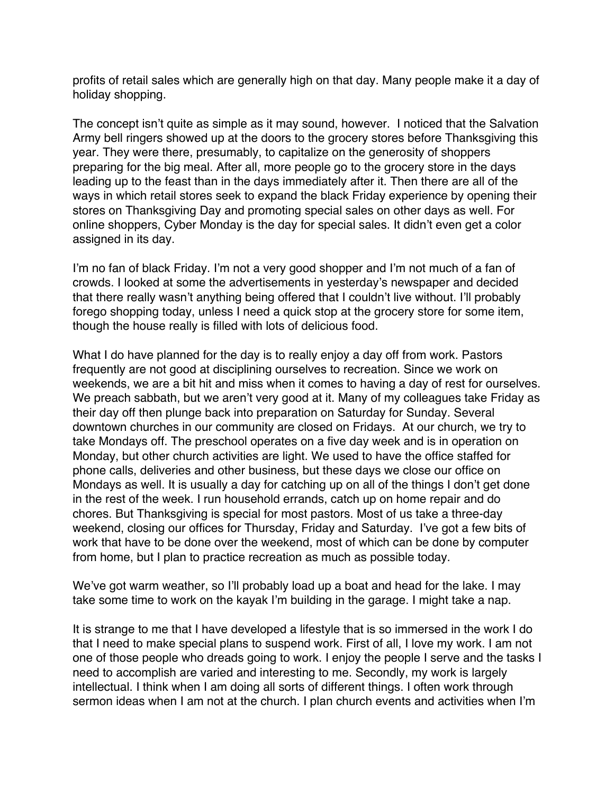profits of retail sales which are generally high on that day. Many people make it a day of holiday shopping.

The concept isn't quite as simple as it may sound, however. I noticed that the Salvation Army bell ringers showed up at the doors to the grocery stores before Thanksgiving this year. They were there, presumably, to capitalize on the generosity of shoppers preparing for the big meal. After all, more people go to the grocery store in the days leading up to the feast than in the days immediately after it. Then there are all of the ways in which retail stores seek to expand the black Friday experience by opening their stores on Thanksgiving Day and promoting special sales on other days as well. For online shoppers, Cyber Monday is the day for special sales. It didn't even get a color assigned in its day.

I'm no fan of black Friday. I'm not a very good shopper and I'm not much of a fan of crowds. I looked at some the advertisements in yesterday's newspaper and decided that there really wasn't anything being offered that I couldn't live without. I'll probably forego shopping today, unless I need a quick stop at the grocery store for some item, though the house really is filled with lots of delicious food.

What I do have planned for the day is to really enjoy a day off from work. Pastors frequently are not good at disciplining ourselves to recreation. Since we work on weekends, we are a bit hit and miss when it comes to having a day of rest for ourselves. We preach sabbath, but we aren't very good at it. Many of my colleagues take Friday as their day off then plunge back into preparation on Saturday for Sunday. Several downtown churches in our community are closed on Fridays. At our church, we try to take Mondays off. The preschool operates on a five day week and is in operation on Monday, but other church activities are light. We used to have the office staffed for phone calls, deliveries and other business, but these days we close our office on Mondays as well. It is usually a day for catching up on all of the things I don't get done in the rest of the week. I run household errands, catch up on home repair and do chores. But Thanksgiving is special for most pastors. Most of us take a three-day weekend, closing our offices for Thursday, Friday and Saturday. I've got a few bits of work that have to be done over the weekend, most of which can be done by computer from home, but I plan to practice recreation as much as possible today.

We've got warm weather, so I'll probably load up a boat and head for the lake. I may take some time to work on the kayak I'm building in the garage. I might take a nap.

It is strange to me that I have developed a lifestyle that is so immersed in the work I do that I need to make special plans to suspend work. First of all, I love my work. I am not one of those people who dreads going to work. I enjoy the people I serve and the tasks I need to accomplish are varied and interesting to me. Secondly, my work is largely intellectual. I think when I am doing all sorts of different things. I often work through sermon ideas when I am not at the church. I plan church events and activities when I'm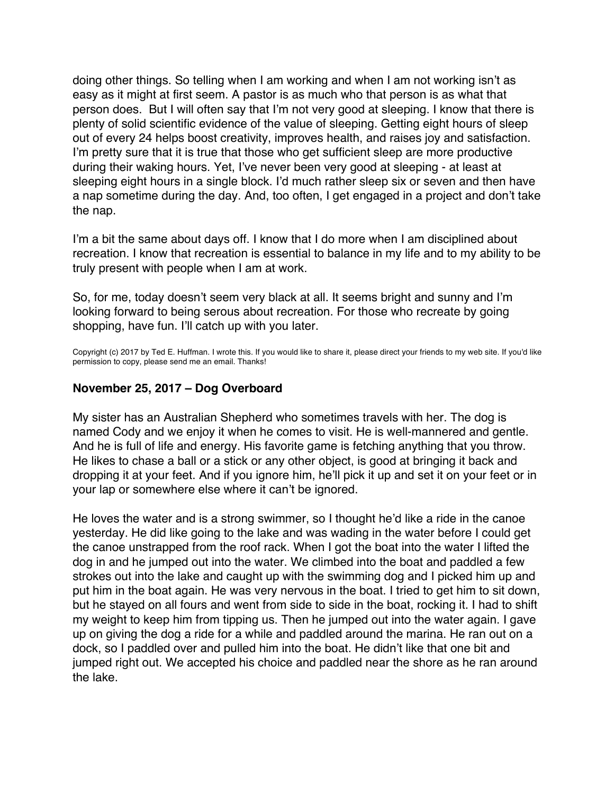<span id="page-50-0"></span>doing other things. So telling when I am working and when I am not working isn't as easy as it might at first seem. A pastor is as much who that person is as what that person does. But I will often say that I'm not very good at sleeping. I know that there is plenty of solid scientific evidence of the value of sleeping. Getting eight hours of sleep out of every 24 helps boost creativity, improves health, and raises joy and satisfaction. I'm pretty sure that it is true that those who get sufficient sleep are more productive during their waking hours. Yet, I've never been very good at sleeping - at least at sleeping eight hours in a single block. I'd much rather sleep six or seven and then have a nap sometime during the day. And, too often, I get engaged in a project and don't take the nap.

I'm a bit the same about days off. I know that I do more when I am disciplined about recreation. I know that recreation is essential to balance in my life and to my ability to be truly present with people when I am at work.

So, for me, today doesn't seem very black at all. It seems bright and sunny and I'm looking forward to being serous about recreation. For those who recreate by going shopping, have fun. I'll catch up with you later.

Copyright (c) 2017 by Ted E. Huffman. I wrote this. If you would like to share it, please direct your friends to my web site. If you'd like permission to copy, please send me an email. Thanks!

# **November 25, 2017 – Dog Overboard**

My sister has an Australian Shepherd who sometimes travels with her. The dog is named Cody and we enjoy it when he comes to visit. He is well-mannered and gentle. And he is full of life and energy. His favorite game is fetching anything that you throw. He likes to chase a ball or a stick or any other object, is good at bringing it back and dropping it at your feet. And if you ignore him, he'll pick it up and set it on your feet or in your lap or somewhere else where it can't be ignored.

He loves the water and is a strong swimmer, so I thought he'd like a ride in the canoe yesterday. He did like going to the lake and was wading in the water before I could get the canoe unstrapped from the roof rack. When I got the boat into the water I lifted the dog in and he jumped out into the water. We climbed into the boat and paddled a few strokes out into the lake and caught up with the swimming dog and I picked him up and put him in the boat again. He was very nervous in the boat. I tried to get him to sit down, but he stayed on all fours and went from side to side in the boat, rocking it. I had to shift my weight to keep him from tipping us. Then he jumped out into the water again. I gave up on giving the dog a ride for a while and paddled around the marina. He ran out on a dock, so I paddled over and pulled him into the boat. He didn't like that one bit and jumped right out. We accepted his choice and paddled near the shore as he ran around the lake.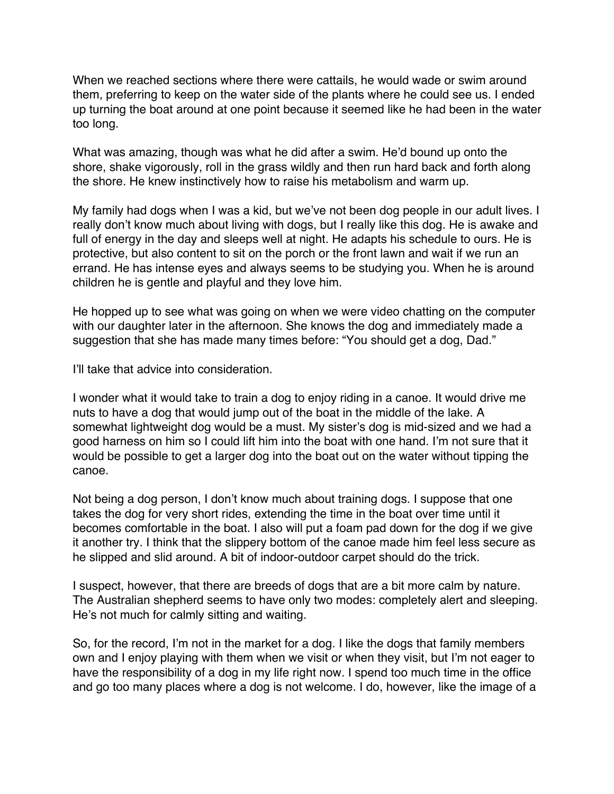When we reached sections where there were cattails, he would wade or swim around them, preferring to keep on the water side of the plants where he could see us. I ended up turning the boat around at one point because it seemed like he had been in the water too long.

What was amazing, though was what he did after a swim. He'd bound up onto the shore, shake vigorously, roll in the grass wildly and then run hard back and forth along the shore. He knew instinctively how to raise his metabolism and warm up.

My family had dogs when I was a kid, but we've not been dog people in our adult lives. I really don't know much about living with dogs, but I really like this dog. He is awake and full of energy in the day and sleeps well at night. He adapts his schedule to ours. He is protective, but also content to sit on the porch or the front lawn and wait if we run an errand. He has intense eyes and always seems to be studying you. When he is around children he is gentle and playful and they love him.

He hopped up to see what was going on when we were video chatting on the computer with our daughter later in the afternoon. She knows the dog and immediately made a suggestion that she has made many times before: "You should get a dog, Dad."

I'll take that advice into consideration.

I wonder what it would take to train a dog to enjoy riding in a canoe. It would drive me nuts to have a dog that would jump out of the boat in the middle of the lake. A somewhat lightweight dog would be a must. My sister's dog is mid-sized and we had a good harness on him so I could lift him into the boat with one hand. I'm not sure that it would be possible to get a larger dog into the boat out on the water without tipping the canoe.

Not being a dog person, I don't know much about training dogs. I suppose that one takes the dog for very short rides, extending the time in the boat over time until it becomes comfortable in the boat. I also will put a foam pad down for the dog if we give it another try. I think that the slippery bottom of the canoe made him feel less secure as he slipped and slid around. A bit of indoor-outdoor carpet should do the trick.

I suspect, however, that there are breeds of dogs that are a bit more calm by nature. The Australian shepherd seems to have only two modes: completely alert and sleeping. He's not much for calmly sitting and waiting.

So, for the record, I'm not in the market for a dog. I like the dogs that family members own and I enjoy playing with them when we visit or when they visit, but I'm not eager to have the responsibility of a dog in my life right now. I spend too much time in the office and go too many places where a dog is not welcome. I do, however, like the image of a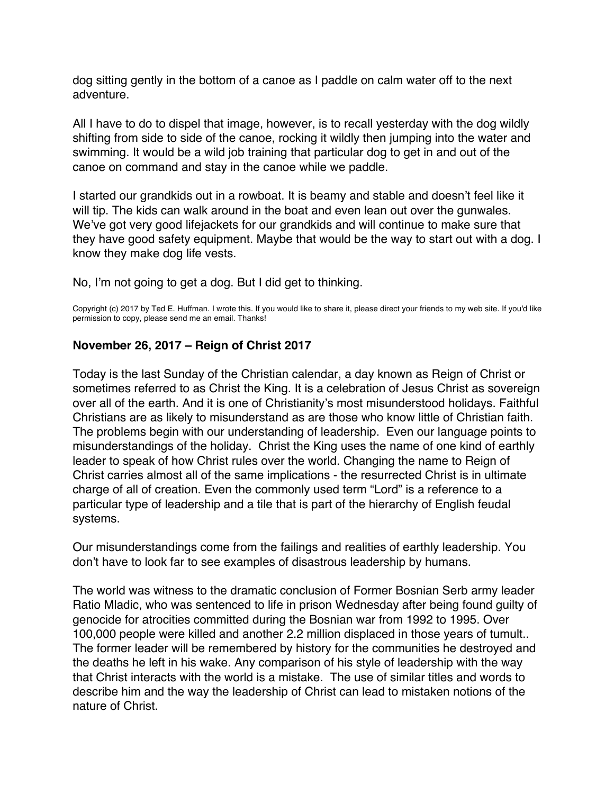<span id="page-52-0"></span>dog sitting gently in the bottom of a canoe as I paddle on calm water off to the next adventure.

All I have to do to dispel that image, however, is to recall yesterday with the dog wildly shifting from side to side of the canoe, rocking it wildly then jumping into the water and swimming. It would be a wild job training that particular dog to get in and out of the canoe on command and stay in the canoe while we paddle.

I started our grandkids out in a rowboat. It is beamy and stable and doesn't feel like it will tip. The kids can walk around in the boat and even lean out over the gunwales. We've got very good lifejackets for our grandkids and will continue to make sure that they have good safety equipment. Maybe that would be the way to start out with a dog. I know they make dog life vests.

No, I'm not going to get a dog. But I did get to thinking.

Copyright (c) 2017 by Ted E. Huffman. I wrote this. If you would like to share it, please direct your friends to my web site. If you'd like permission to copy, please send me an email. Thanks!

# **November 26, 2017 – Reign of Christ 2017**

Today is the last Sunday of the Christian calendar, a day known as Reign of Christ or sometimes referred to as Christ the King. It is a celebration of Jesus Christ as sovereign over all of the earth. And it is one of Christianity's most misunderstood holidays. Faithful Christians are as likely to misunderstand as are those who know little of Christian faith. The problems begin with our understanding of leadership. Even our language points to misunderstandings of the holiday. Christ the King uses the name of one kind of earthly leader to speak of how Christ rules over the world. Changing the name to Reign of Christ carries almost all of the same implications - the resurrected Christ is in ultimate charge of all of creation. Even the commonly used term "Lord" is a reference to a particular type of leadership and a tile that is part of the hierarchy of English feudal systems.

Our misunderstandings come from the failings and realities of earthly leadership. You don't have to look far to see examples of disastrous leadership by humans.

The world was witness to the dramatic conclusion of Former Bosnian Serb army leader Ratio Mladic, who was sentenced to life in prison Wednesday after being found guilty of genocide for atrocities committed during the Bosnian war from 1992 to 1995. Over 100,000 people were killed and another 2.2 million displaced in those years of tumult.. The former leader will be remembered by history for the communities he destroyed and the deaths he left in his wake. Any comparison of his style of leadership with the way that Christ interacts with the world is a mistake. The use of similar titles and words to describe him and the way the leadership of Christ can lead to mistaken notions of the nature of Christ.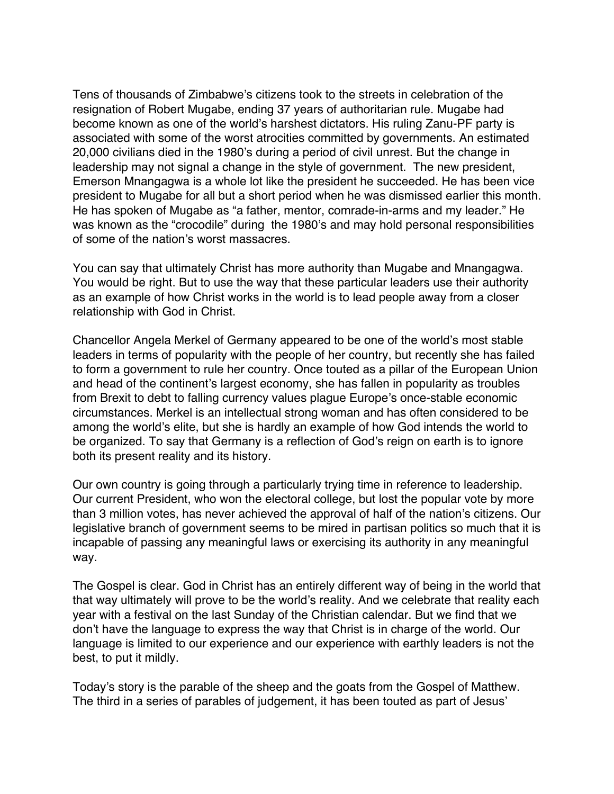Tens of thousands of Zimbabwe's citizens took to the streets in celebration of the resignation of Robert Mugabe, ending 37 years of authoritarian rule. Mugabe had become known as one of the world's harshest dictators. His ruling Zanu-PF party is associated with some of the worst atrocities committed by governments. An estimated 20,000 civilians died in the 1980's during a period of civil unrest. But the change in leadership may not signal a change in the style of government. The new president, Emerson Mnangagwa is a whole lot like the president he succeeded. He has been vice president to Mugabe for all but a short period when he was dismissed earlier this month. He has spoken of Mugabe as "a father, mentor, comrade-in-arms and my leader." He was known as the "crocodile" during the 1980's and may hold personal responsibilities of some of the nation's worst massacres.

You can say that ultimately Christ has more authority than Mugabe and Mnangagwa. You would be right. But to use the way that these particular leaders use their authority as an example of how Christ works in the world is to lead people away from a closer relationship with God in Christ.

Chancellor Angela Merkel of Germany appeared to be one of the world's most stable leaders in terms of popularity with the people of her country, but recently she has failed to form a government to rule her country. Once touted as a pillar of the European Union and head of the continent's largest economy, she has fallen in popularity as troubles from Brexit to debt to falling currency values plague Europe's once-stable economic circumstances. Merkel is an intellectual strong woman and has often considered to be among the world's elite, but she is hardly an example of how God intends the world to be organized. To say that Germany is a reflection of God's reign on earth is to ignore both its present reality and its history.

Our own country is going through a particularly trying time in reference to leadership. Our current President, who won the electoral college, but lost the popular vote by more than 3 million votes, has never achieved the approval of half of the nation's citizens. Our legislative branch of government seems to be mired in partisan politics so much that it is incapable of passing any meaningful laws or exercising its authority in any meaningful way.

The Gospel is clear. God in Christ has an entirely different way of being in the world that that way ultimately will prove to be the world's reality. And we celebrate that reality each year with a festival on the last Sunday of the Christian calendar. But we find that we don't have the language to express the way that Christ is in charge of the world. Our language is limited to our experience and our experience with earthly leaders is not the best, to put it mildly.

Today's story is the parable of the sheep and the goats from the Gospel of Matthew. The third in a series of parables of judgement, it has been touted as part of Jesus'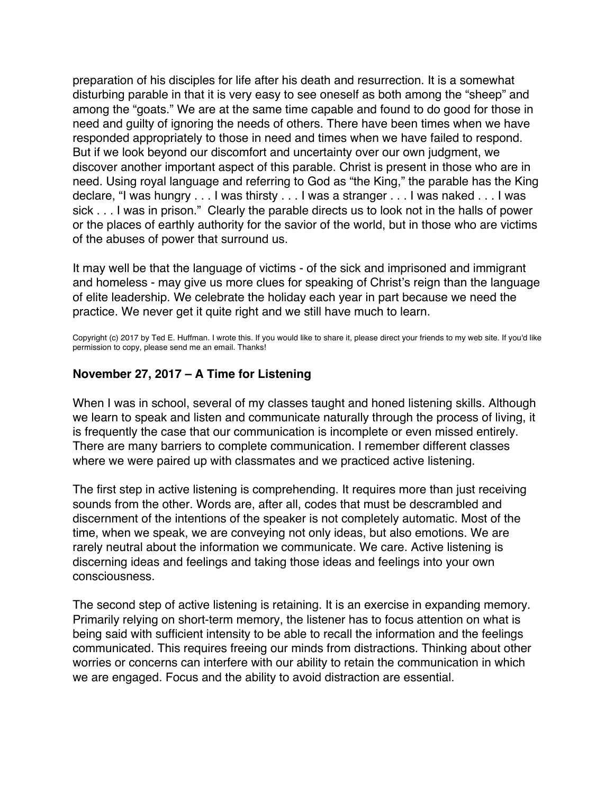<span id="page-54-0"></span>preparation of his disciples for life after his death and resurrection. It is a somewhat disturbing parable in that it is very easy to see oneself as both among the "sheep" and among the "goats." We are at the same time capable and found to do good for those in need and guilty of ignoring the needs of others. There have been times when we have responded appropriately to those in need and times when we have failed to respond. But if we look beyond our discomfort and uncertainty over our own judgment, we discover another important aspect of this parable. Christ is present in those who are in need. Using royal language and referring to God as "the King," the parable has the King declare, "I was hungry . . . I was thirsty . . . I was a stranger . . . I was naked . . . I was sick . . . I was in prison." Clearly the parable directs us to look not in the halls of power or the places of earthly authority for the savior of the world, but in those who are victims of the abuses of power that surround us.

It may well be that the language of victims - of the sick and imprisoned and immigrant and homeless - may give us more clues for speaking of Christ's reign than the language of elite leadership. We celebrate the holiday each year in part because we need the practice. We never get it quite right and we still have much to learn.

Copyright (c) 2017 by Ted E. Huffman. I wrote this. If you would like to share it, please direct your friends to my web site. If you'd like permission to copy, please send me an email. Thanks!

### **November 27, 2017 – A Time for Listening**

When I was in school, several of my classes taught and honed listening skills. Although we learn to speak and listen and communicate naturally through the process of living, it is frequently the case that our communication is incomplete or even missed entirely. There are many barriers to complete communication. I remember different classes where we were paired up with classmates and we practiced active listening.

The first step in active listening is comprehending. It requires more than just receiving sounds from the other. Words are, after all, codes that must be descrambled and discernment of the intentions of the speaker is not completely automatic. Most of the time, when we speak, we are conveying not only ideas, but also emotions. We are rarely neutral about the information we communicate. We care. Active listening is discerning ideas and feelings and taking those ideas and feelings into your own consciousness.

The second step of active listening is retaining. It is an exercise in expanding memory. Primarily relying on short-term memory, the listener has to focus attention on what is being said with sufficient intensity to be able to recall the information and the feelings communicated. This requires freeing our minds from distractions. Thinking about other worries or concerns can interfere with our ability to retain the communication in which we are engaged. Focus and the ability to avoid distraction are essential.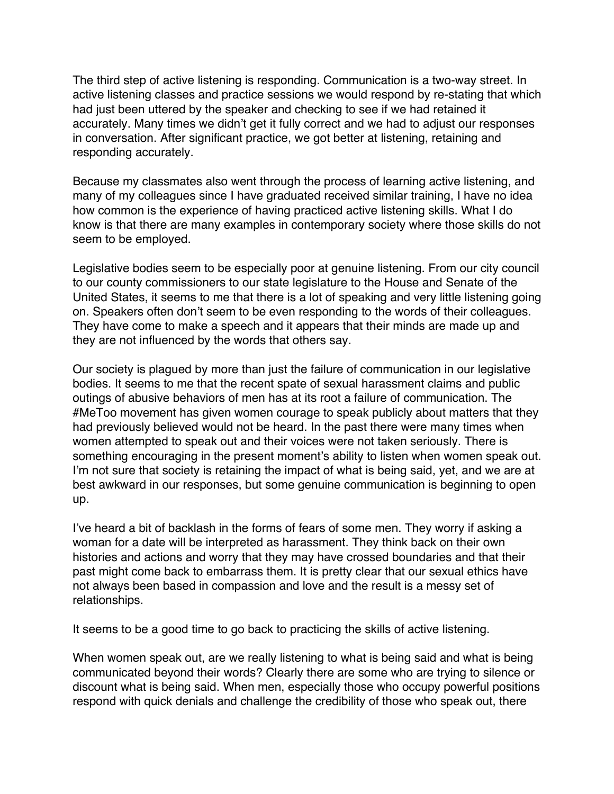The third step of active listening is responding. Communication is a two-way street. In active listening classes and practice sessions we would respond by re-stating that which had just been uttered by the speaker and checking to see if we had retained it accurately. Many times we didn't get it fully correct and we had to adjust our responses in conversation. After significant practice, we got better at listening, retaining and responding accurately.

Because my classmates also went through the process of learning active listening, and many of my colleagues since I have graduated received similar training, I have no idea how common is the experience of having practiced active listening skills. What I do know is that there are many examples in contemporary society where those skills do not seem to be employed.

Legislative bodies seem to be especially poor at genuine listening. From our city council to our county commissioners to our state legislature to the House and Senate of the United States, it seems to me that there is a lot of speaking and very little listening going on. Speakers often don't seem to be even responding to the words of their colleagues. They have come to make a speech and it appears that their minds are made up and they are not influenced by the words that others say.

Our society is plagued by more than just the failure of communication in our legislative bodies. It seems to me that the recent spate of sexual harassment claims and public outings of abusive behaviors of men has at its root a failure of communication. The #MeToo movement has given women courage to speak publicly about matters that they had previously believed would not be heard. In the past there were many times when women attempted to speak out and their voices were not taken seriously. There is something encouraging in the present moment's ability to listen when women speak out. I'm not sure that society is retaining the impact of what is being said, yet, and we are at best awkward in our responses, but some genuine communication is beginning to open up.

I've heard a bit of backlash in the forms of fears of some men. They worry if asking a woman for a date will be interpreted as harassment. They think back on their own histories and actions and worry that they may have crossed boundaries and that their past might come back to embarrass them. It is pretty clear that our sexual ethics have not always been based in compassion and love and the result is a messy set of relationships.

It seems to be a good time to go back to practicing the skills of active listening.

When women speak out, are we really listening to what is being said and what is being communicated beyond their words? Clearly there are some who are trying to silence or discount what is being said. When men, especially those who occupy powerful positions respond with quick denials and challenge the credibility of those who speak out, there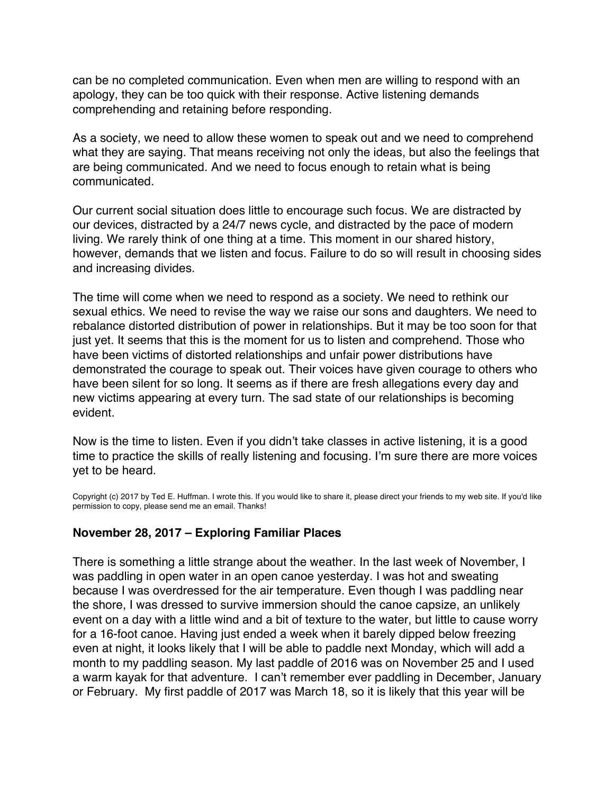<span id="page-56-0"></span>can be no completed communication. Even when men are willing to respond with an apology, they can be too quick with their response. Active listening demands comprehending and retaining before responding.

As a society, we need to allow these women to speak out and we need to comprehend what they are saying. That means receiving not only the ideas, but also the feelings that are being communicated. And we need to focus enough to retain what is being communicated.

Our current social situation does little to encourage such focus. We are distracted by our devices, distracted by a 24/7 news cycle, and distracted by the pace of modern living. We rarely think of one thing at a time. This moment in our shared history, however, demands that we listen and focus. Failure to do so will result in choosing sides and increasing divides.

The time will come when we need to respond as a society. We need to rethink our sexual ethics. We need to revise the way we raise our sons and daughters. We need to rebalance distorted distribution of power in relationships. But it may be too soon for that just yet. It seems that this is the moment for us to listen and comprehend. Those who have been victims of distorted relationships and unfair power distributions have demonstrated the courage to speak out. Their voices have given courage to others who have been silent for so long. It seems as if there are fresh allegations every day and new victims appearing at every turn. The sad state of our relationships is becoming evident.

Now is the time to listen. Even if you didn't take classes in active listening, it is a good time to practice the skills of really listening and focusing. I'm sure there are more voices yet to be heard.

Copyright (c) 2017 by Ted E. Huffman. I wrote this. If you would like to share it, please direct your friends to my web site. If you'd like permission to copy, please send me an email. Thanks!

# **November 28, 2017 – Exploring Familiar Places**

There is something a little strange about the weather. In the last week of November, I was paddling in open water in an open canoe yesterday. I was hot and sweating because I was overdressed for the air temperature. Even though I was paddling near the shore, I was dressed to survive immersion should the canoe capsize, an unlikely event on a day with a little wind and a bit of texture to the water, but little to cause worry for a 16-foot canoe. Having just ended a week when it barely dipped below freezing even at night, it looks likely that I will be able to paddle next Monday, which will add a month to my paddling season. My last paddle of 2016 was on November 25 and I used a warm kayak for that adventure. I can't remember ever paddling in December, January or February. My first paddle of 2017 was March 18, so it is likely that this year will be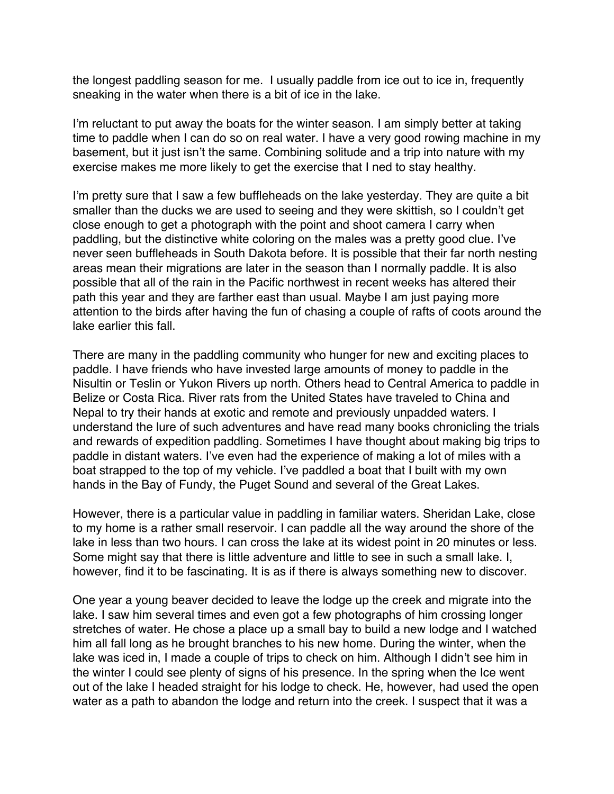the longest paddling season for me. I usually paddle from ice out to ice in, frequently sneaking in the water when there is a bit of ice in the lake.

I'm reluctant to put away the boats for the winter season. I am simply better at taking time to paddle when I can do so on real water. I have a very good rowing machine in my basement, but it just isn't the same. Combining solitude and a trip into nature with my exercise makes me more likely to get the exercise that I ned to stay healthy.

I'm pretty sure that I saw a few buffleheads on the lake yesterday. They are quite a bit smaller than the ducks we are used to seeing and they were skittish, so I couldn't get close enough to get a photograph with the point and shoot camera I carry when paddling, but the distinctive white coloring on the males was a pretty good clue. I've never seen buffleheads in South Dakota before. It is possible that their far north nesting areas mean their migrations are later in the season than I normally paddle. It is also possible that all of the rain in the Pacific northwest in recent weeks has altered their path this year and they are farther east than usual. Maybe I am just paying more attention to the birds after having the fun of chasing a couple of rafts of coots around the lake earlier this fall.

There are many in the paddling community who hunger for new and exciting places to paddle. I have friends who have invested large amounts of money to paddle in the Nisultin or Teslin or Yukon Rivers up north. Others head to Central America to paddle in Belize or Costa Rica. River rats from the United States have traveled to China and Nepal to try their hands at exotic and remote and previously unpadded waters. I understand the lure of such adventures and have read many books chronicling the trials and rewards of expedition paddling. Sometimes I have thought about making big trips to paddle in distant waters. I've even had the experience of making a lot of miles with a boat strapped to the top of my vehicle. I've paddled a boat that I built with my own hands in the Bay of Fundy, the Puget Sound and several of the Great Lakes.

However, there is a particular value in paddling in familiar waters. Sheridan Lake, close to my home is a rather small reservoir. I can paddle all the way around the shore of the lake in less than two hours. I can cross the lake at its widest point in 20 minutes or less. Some might say that there is little adventure and little to see in such a small lake. I, however, find it to be fascinating. It is as if there is always something new to discover.

One year a young beaver decided to leave the lodge up the creek and migrate into the lake. I saw him several times and even got a few photographs of him crossing longer stretches of water. He chose a place up a small bay to build a new lodge and I watched him all fall long as he brought branches to his new home. During the winter, when the lake was iced in, I made a couple of trips to check on him. Although I didn't see him in the winter I could see plenty of signs of his presence. In the spring when the Ice went out of the lake I headed straight for his lodge to check. He, however, had used the open water as a path to abandon the lodge and return into the creek. I suspect that it was a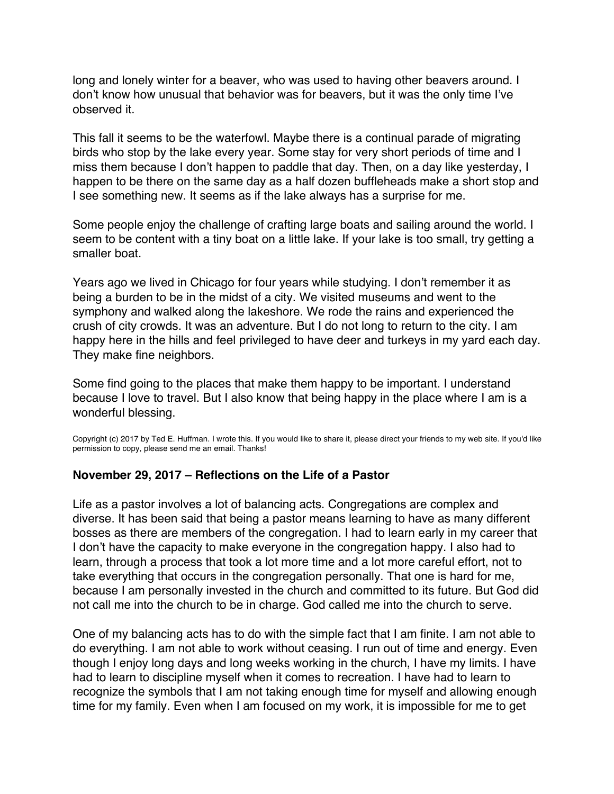<span id="page-58-0"></span>long and lonely winter for a beaver, who was used to having other beavers around. I don't know how unusual that behavior was for beavers, but it was the only time I've observed it.

This fall it seems to be the waterfowl. Maybe there is a continual parade of migrating birds who stop by the lake every year. Some stay for very short periods of time and I miss them because I don't happen to paddle that day. Then, on a day like yesterday, I happen to be there on the same day as a half dozen buffleheads make a short stop and I see something new. It seems as if the lake always has a surprise for me.

Some people enjoy the challenge of crafting large boats and sailing around the world. I seem to be content with a tiny boat on a little lake. If your lake is too small, try getting a smaller boat.

Years ago we lived in Chicago for four years while studying. I don't remember it as being a burden to be in the midst of a city. We visited museums and went to the symphony and walked along the lakeshore. We rode the rains and experienced the crush of city crowds. It was an adventure. But I do not long to return to the city. I am happy here in the hills and feel privileged to have deer and turkeys in my yard each day. They make fine neighbors.

Some find going to the places that make them happy to be important. I understand because I love to travel. But I also know that being happy in the place where I am is a wonderful blessing.

Copyright (c) 2017 by Ted E. Huffman. I wrote this. If you would like to share it, please direct your friends to my web site. If you'd like permission to copy, please send me an email. Thanks!

# **November 29, 2017 – Reflections on the Life of a Pastor**

Life as a pastor involves a lot of balancing acts. Congregations are complex and diverse. It has been said that being a pastor means learning to have as many different bosses as there are members of the congregation. I had to learn early in my career that I don't have the capacity to make everyone in the congregation happy. I also had to learn, through a process that took a lot more time and a lot more careful effort, not to take everything that occurs in the congregation personally. That one is hard for me, because I am personally invested in the church and committed to its future. But God did not call me into the church to be in charge. God called me into the church to serve.

One of my balancing acts has to do with the simple fact that I am finite. I am not able to do everything. I am not able to work without ceasing. I run out of time and energy. Even though I enjoy long days and long weeks working in the church, I have my limits. I have had to learn to discipline myself when it comes to recreation. I have had to learn to recognize the symbols that I am not taking enough time for myself and allowing enough time for my family. Even when I am focused on my work, it is impossible for me to get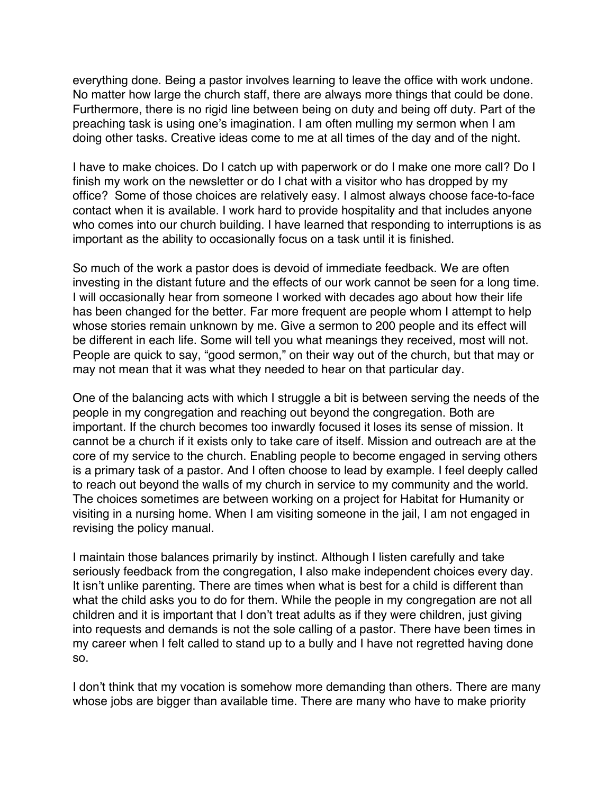everything done. Being a pastor involves learning to leave the office with work undone. No matter how large the church staff, there are always more things that could be done. Furthermore, there is no rigid line between being on duty and being off duty. Part of the preaching task is using one's imagination. I am often mulling my sermon when I am doing other tasks. Creative ideas come to me at all times of the day and of the night.

I have to make choices. Do I catch up with paperwork or do I make one more call? Do I finish my work on the newsletter or do I chat with a visitor who has dropped by my office? Some of those choices are relatively easy. I almost always choose face-to-face contact when it is available. I work hard to provide hospitality and that includes anyone who comes into our church building. I have learned that responding to interruptions is as important as the ability to occasionally focus on a task until it is finished.

So much of the work a pastor does is devoid of immediate feedback. We are often investing in the distant future and the effects of our work cannot be seen for a long time. I will occasionally hear from someone I worked with decades ago about how their life has been changed for the better. Far more frequent are people whom I attempt to help whose stories remain unknown by me. Give a sermon to 200 people and its effect will be different in each life. Some will tell you what meanings they received, most will not. People are quick to say, "good sermon," on their way out of the church, but that may or may not mean that it was what they needed to hear on that particular day.

One of the balancing acts with which I struggle a bit is between serving the needs of the people in my congregation and reaching out beyond the congregation. Both are important. If the church becomes too inwardly focused it loses its sense of mission. It cannot be a church if it exists only to take care of itself. Mission and outreach are at the core of my service to the church. Enabling people to become engaged in serving others is a primary task of a pastor. And I often choose to lead by example. I feel deeply called to reach out beyond the walls of my church in service to my community and the world. The choices sometimes are between working on a project for Habitat for Humanity or visiting in a nursing home. When I am visiting someone in the jail, I am not engaged in revising the policy manual.

I maintain those balances primarily by instinct. Although I listen carefully and take seriously feedback from the congregation, I also make independent choices every day. It isn't unlike parenting. There are times when what is best for a child is different than what the child asks you to do for them. While the people in my congregation are not all children and it is important that I don't treat adults as if they were children, just giving into requests and demands is not the sole calling of a pastor. There have been times in my career when I felt called to stand up to a bully and I have not regretted having done so.

I don't think that my vocation is somehow more demanding than others. There are many whose jobs are bigger than available time. There are many who have to make priority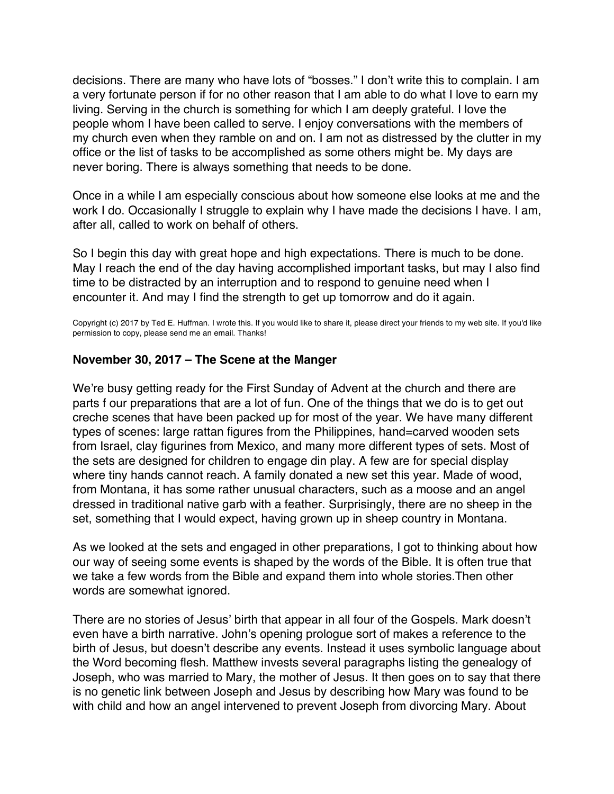<span id="page-60-0"></span>decisions. There are many who have lots of "bosses." I don't write this to complain. I am a very fortunate person if for no other reason that I am able to do what I love to earn my living. Serving in the church is something for which I am deeply grateful. I love the people whom I have been called to serve. I enjoy conversations with the members of my church even when they ramble on and on. I am not as distressed by the clutter in my office or the list of tasks to be accomplished as some others might be. My days are never boring. There is always something that needs to be done.

Once in a while I am especially conscious about how someone else looks at me and the work I do. Occasionally I struggle to explain why I have made the decisions I have. I am, after all, called to work on behalf of others.

So I begin this day with great hope and high expectations. There is much to be done. May I reach the end of the day having accomplished important tasks, but may I also find time to be distracted by an interruption and to respond to genuine need when I encounter it. And may I find the strength to get up tomorrow and do it again.

Copyright (c) 2017 by Ted E. Huffman. I wrote this. If you would like to share it, please direct your friends to my web site. If you'd like permission to copy, please send me an email. Thanks!

# **November 30, 2017 – The Scene at the Manger**

We're busy getting ready for the First Sunday of Advent at the church and there are parts f our preparations that are a lot of fun. One of the things that we do is to get out creche scenes that have been packed up for most of the year. We have many different types of scenes: large rattan figures from the Philippines, hand=carved wooden sets from Israel, clay figurines from Mexico, and many more different types of sets. Most of the sets are designed for children to engage din play. A few are for special display where tiny hands cannot reach. A family donated a new set this year. Made of wood, from Montana, it has some rather unusual characters, such as a moose and an angel dressed in traditional native garb with a feather. Surprisingly, there are no sheep in the set, something that I would expect, having grown up in sheep country in Montana.

As we looked at the sets and engaged in other preparations, I got to thinking about how our way of seeing some events is shaped by the words of the Bible. It is often true that we take a few words from the Bible and expand them into whole stories.Then other words are somewhat ignored.

There are no stories of Jesus' birth that appear in all four of the Gospels. Mark doesn't even have a birth narrative. John's opening prologue sort of makes a reference to the birth of Jesus, but doesn't describe any events. Instead it uses symbolic language about the Word becoming flesh. Matthew invests several paragraphs listing the genealogy of Joseph, who was married to Mary, the mother of Jesus. It then goes on to say that there is no genetic link between Joseph and Jesus by describing how Mary was found to be with child and how an angel intervened to prevent Joseph from divorcing Mary. About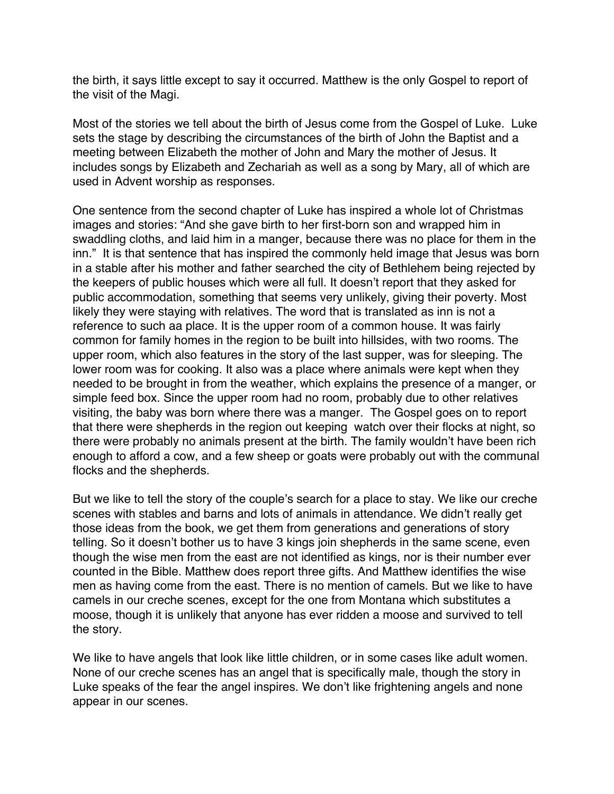the birth, it says little except to say it occurred. Matthew is the only Gospel to report of the visit of the Magi.

Most of the stories we tell about the birth of Jesus come from the Gospel of Luke. Luke sets the stage by describing the circumstances of the birth of John the Baptist and a meeting between Elizabeth the mother of John and Mary the mother of Jesus. It includes songs by Elizabeth and Zechariah as well as a song by Mary, all of which are used in Advent worship as responses.

One sentence from the second chapter of Luke has inspired a whole lot of Christmas images and stories: "And she gave birth to her first-born son and wrapped him in swaddling cloths, and laid him in a manger, because there was no place for them in the inn." It is that sentence that has inspired the commonly held image that Jesus was born in a stable after his mother and father searched the city of Bethlehem being rejected by the keepers of public houses which were all full. It doesn't report that they asked for public accommodation, something that seems very unlikely, giving their poverty. Most likely they were staying with relatives. The word that is translated as inn is not a reference to such aa place. It is the upper room of a common house. It was fairly common for family homes in the region to be built into hillsides, with two rooms. The upper room, which also features in the story of the last supper, was for sleeping. The lower room was for cooking. It also was a place where animals were kept when they needed to be brought in from the weather, which explains the presence of a manger, or simple feed box. Since the upper room had no room, probably due to other relatives visiting, the baby was born where there was a manger. The Gospel goes on to report that there were shepherds in the region out keeping watch over their flocks at night, so there were probably no animals present at the birth. The family wouldn't have been rich enough to afford a cow, and a few sheep or goats were probably out with the communal flocks and the shepherds.

But we like to tell the story of the couple's search for a place to stay. We like our creche scenes with stables and barns and lots of animals in attendance. We didn't really get those ideas from the book, we get them from generations and generations of story telling. So it doesn't bother us to have 3 kings join shepherds in the same scene, even though the wise men from the east are not identified as kings, nor is their number ever counted in the Bible. Matthew does report three gifts. And Matthew identifies the wise men as having come from the east. There is no mention of camels. But we like to have camels in our creche scenes, except for the one from Montana which substitutes a moose, though it is unlikely that anyone has ever ridden a moose and survived to tell the story.

We like to have angels that look like little children, or in some cases like adult women. None of our creche scenes has an angel that is specifically male, though the story in Luke speaks of the fear the angel inspires. We don't like frightening angels and none appear in our scenes.